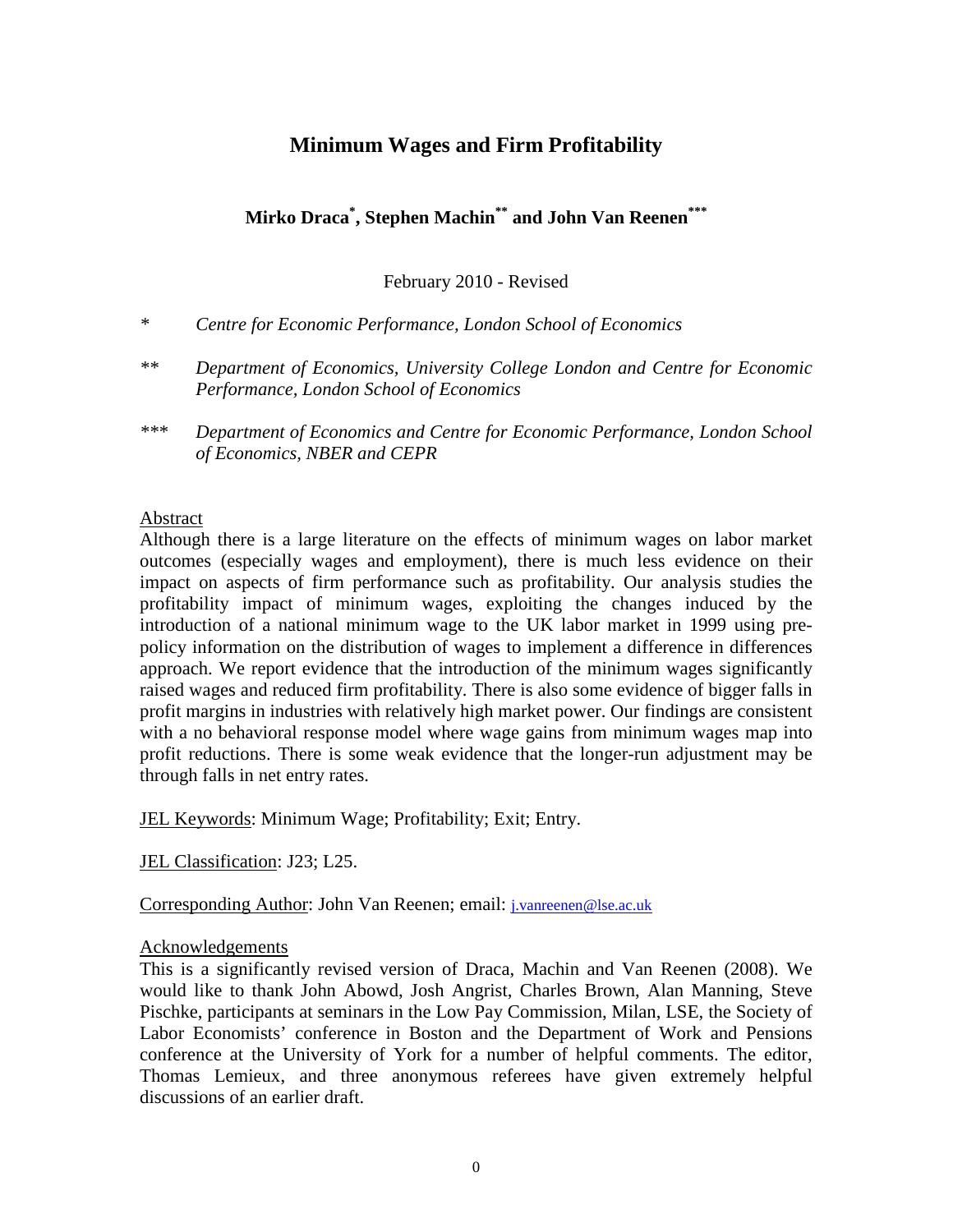# **Minimum Wages and Firm Profitability**

**Mirko Draca\* , Stephen Machin\*\* and John Van Reenen\*\*\***

February 2010 - Revised

- *\* Centre for Economic Performance, London School of Economics*
- *\*\* Department of Economics, University College London and Centre for Economic Performance, London School of Economics*
- *\*\*\* Department of Economics and Centre for Economic Performance, London School of Economics, NBER and CEPR*

## Abstract

Although there is a large literature on the effects of minimum wages on labor market outcomes (especially wages and employment), there is much less evidence on their impact on aspects of firm performance such as profitability. Our analysis studies the profitability impact of minimum wages, exploiting the changes induced by the introduction of a national minimum wage to the UK labor market in 1999 using prepolicy information on the distribution of wages to implement a difference in differences approach. We report evidence that the introduction of the minimum wages significantly raised wages and reduced firm profitability. There is also some evidence of bigger falls in profit margins in industries with relatively high market power. Our findings are consistent with a no behavioral response model where wage gains from minimum wages map into profit reductions. There is some weak evidence that the longer-run adjustment may be through falls in net entry rates.

JEL Keywords: Minimum Wage; Profitability; Exit; Entry.

JEL Classification: J23; L25.

Corresponding Author: John Van Reenen; email: *j.vanreenen@lse.ac.uk* 

## Acknowledgements

This is a significantly revised version of Draca, Machin and Van Reenen (2008). We would like to thank John Abowd, Josh Angrist, Charles Brown, Alan Manning, Steve Pischke, participants at seminars in the Low Pay Commission, Milan, LSE, the Society of Labor Economists' conference in Boston and the Department of Work and Pensions conference at the University of York for a number of helpful comments. The editor, Thomas Lemieux, and three anonymous referees have given extremely helpful discussions of an earlier draft.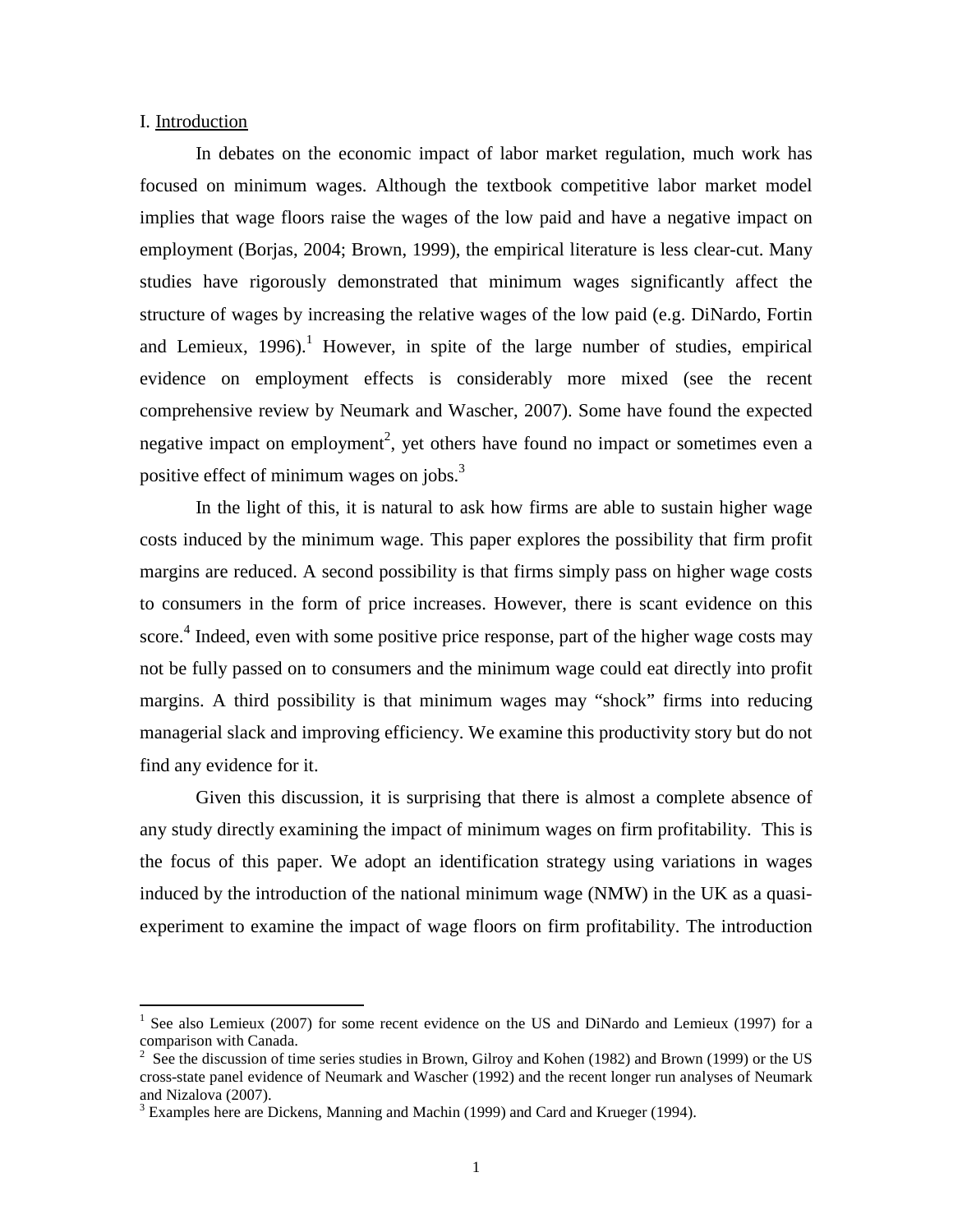#### I. Introduction

 $\overline{a}$ 

In debates on the economic impact of labor market regulation, much work has focused on minimum wages. Although the textbook competitive labor market model implies that wage floors raise the wages of the low paid and have a negative impact on employment (Borjas, 2004; Brown, 1999), the empirical literature is less clear-cut. Many studies have rigorously demonstrated that minimum wages significantly affect the structure of wages by increasing the relative wages of the low paid (e.g. DiNardo, Fortin and Lemieux,  $1996$ .<sup>1</sup> However, in spite of the large number of studies, empirical evidence on employment effects is considerably more mixed (see the recent comprehensive review by Neumark and Wascher, 2007). Some have found the expected negative impact on employment<sup>2</sup>, yet others have found no impact or sometimes even a positive effect of minimum wages on jobs. $3$ 

In the light of this, it is natural to ask how firms are able to sustain higher wage costs induced by the minimum wage. This paper explores the possibility that firm profit margins are reduced. A second possibility is that firms simply pass on higher wage costs to consumers in the form of price increases. However, there is scant evidence on this score.<sup>4</sup> Indeed, even with some positive price response, part of the higher wage costs may not be fully passed on to consumers and the minimum wage could eat directly into profit margins. A third possibility is that minimum wages may "shock" firms into reducing managerial slack and improving efficiency. We examine this productivity story but do not find any evidence for it.

Given this discussion, it is surprising that there is almost a complete absence of any study directly examining the impact of minimum wages on firm profitability. This is the focus of this paper. We adopt an identification strategy using variations in wages induced by the introduction of the national minimum wage (NMW) in the UK as a quasiexperiment to examine the impact of wage floors on firm profitability. The introduction

<sup>&</sup>lt;sup>1</sup> See also Lemieux (2007) for some recent evidence on the US and DiNardo and Lemieux (1997) for a comparison with Canada.

 $2^2$  See the discussion of time series studies in Brown, Gilroy and Kohen (1982) and Brown (1999) or the US cross-state panel evidence of Neumark and Wascher (1992) and the recent longer run analyses of Neumark and Nizalova (2007).

 $3$  Examples here are Dickens, Manning and Machin (1999) and Card and Krueger (1994).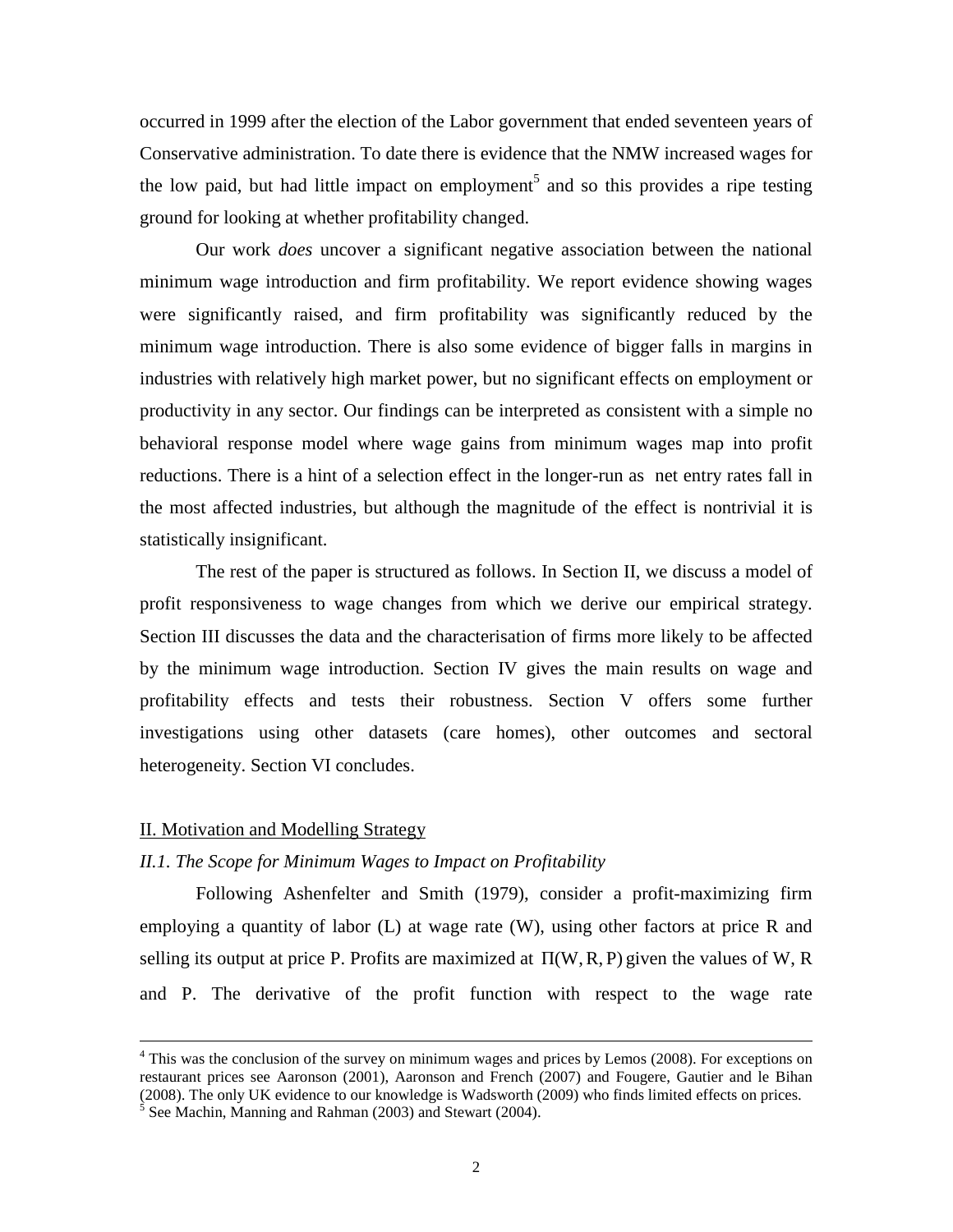occurred in 1999 after the election of the Labor government that ended seventeen years of Conservative administration. To date there is evidence that the NMW increased wages for the low paid, but had little impact on employment<sup>5</sup> and so this provides a ripe testing ground for looking at whether profitability changed.

Our work *does* uncover a significant negative association between the national minimum wage introduction and firm profitability. We report evidence showing wages were significantly raised, and firm profitability was significantly reduced by the minimum wage introduction. There is also some evidence of bigger falls in margins in industries with relatively high market power, but no significant effects on employment or productivity in any sector. Our findings can be interpreted as consistent with a simple no behavioral response model where wage gains from minimum wages map into profit reductions. There is a hint of a selection effect in the longer-run as net entry rates fall in the most affected industries, but although the magnitude of the effect is nontrivial it is statistically insignificant.

The rest of the paper is structured as follows. In Section II, we discuss a model of profit responsiveness to wage changes from which we derive our empirical strategy. Section III discusses the data and the characterisation of firms more likely to be affected by the minimum wage introduction. Section IV gives the main results on wage and profitability effects and tests their robustness. Section V offers some further investigations using other datasets (care homes), other outcomes and sectoral heterogeneity. Section VI concludes.

#### II. Motivation and Modelling Strategy

<u>.</u>

#### *II.1. The Scope for Minimum Wages to Impact on Profitability*

 Following Ashenfelter and Smith (1979), consider a profit-maximizing firm employing a quantity of labor  $(L)$  at wage rate  $(W)$ , using other factors at price R and selling its output at price P. Profits are maximized at  $\Pi(W, R, P)$  given the values of W, R and P. The derivative of the profit function with respect to the wage rate

<sup>&</sup>lt;sup>4</sup> This was the conclusion of the survey on minimum wages and prices by Lemos (2008). For exceptions on restaurant prices see Aaronson (2001), Aaronson and French (2007) and Fougere, Gautier and le Bihan (2008). The only UK evidence to our knowledge is Wadsworth (2009) who finds limited effects on prices.

 $<sup>5</sup>$  See Machin, Manning and Rahman (2003) and Stewart (2004).</sup>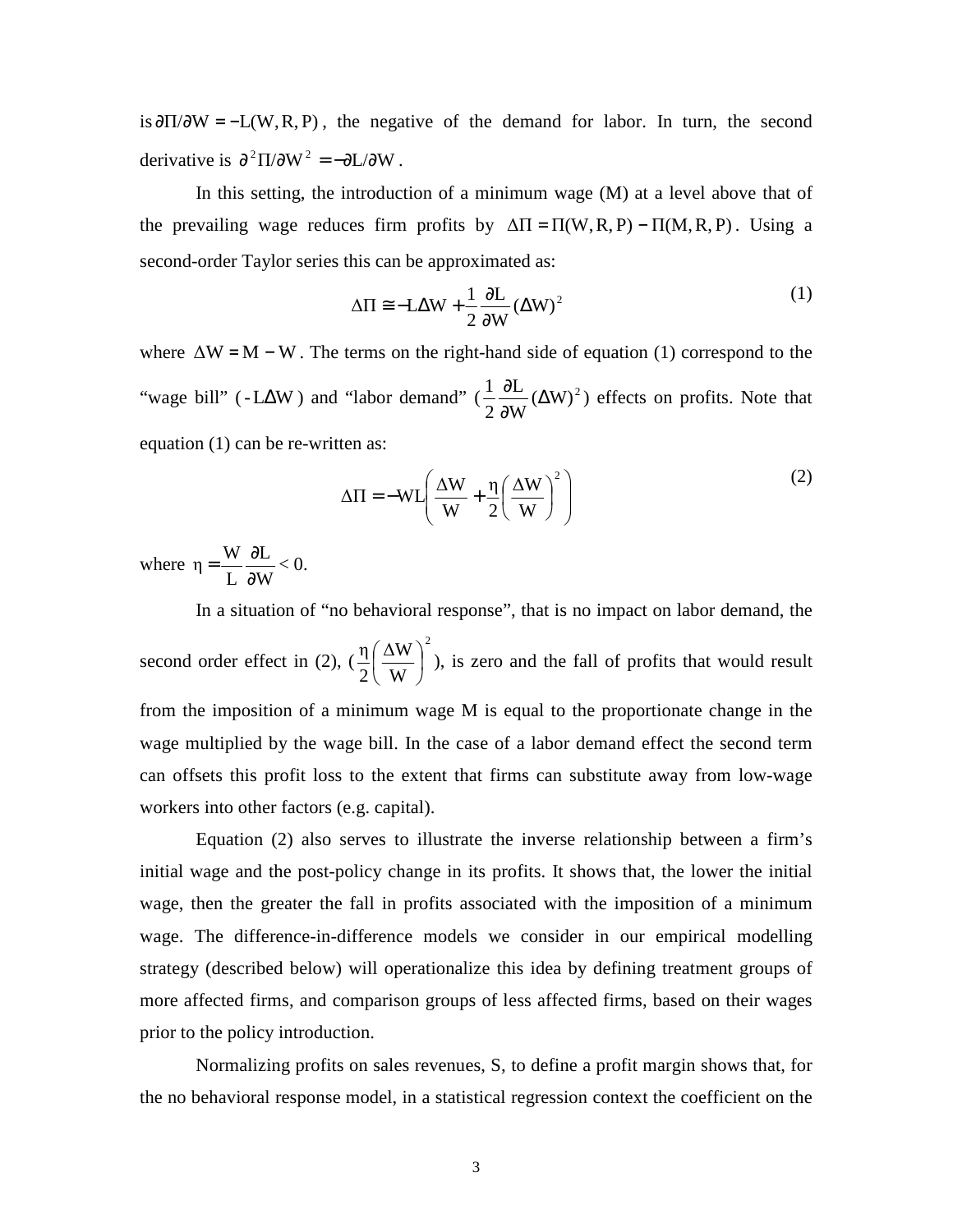is  $\frac{\partial \Pi}{\partial W} = -L(W, R, P)$ , the negative of the demand for labor. In turn, the second derivative is  $\partial^2 \Pi / \partial W^2 = -\partial L / \partial W$ .

In this setting, the introduction of a minimum wage (M) at a level above that of the prevailing wage reduces firm profits by  $\Delta \Pi = \Pi(W, R, P) - \Pi(M, R, P)$ . Using a second-order Taylor series this can be approximated as:

$$
\Delta \Pi \cong -L\Delta W + \frac{1}{2} \frac{\partial L}{\partial W} (\Delta W)^2
$$
 (1)

where  $\Delta W = M - W$ . The terms on the right-hand side of equation (1) correspond to the "wage bill" (-L∆W) and "labor demand" ( $\frac{1}{2} \frac{\partial L}{\partial w} (\Delta W)^2$ W L 2  $\frac{1}{2} \frac{\partial L}{\partial x^2} (\Delta$ ∂  $\frac{\partial L}{\partial x^2} (\Delta W)^2$  effects on profits. Note that equation (1) can be re-written as:

$$
\Delta \Pi = -WL \left( \frac{\Delta W}{W} + \frac{\eta}{2} \left( \frac{\Delta W}{W} \right)^2 \right)
$$
 (2)

where W L L  $\eta = \frac{W}{I}$ ∂  $=\frac{W}{I} \frac{\partial L}{\partial H} < 0.$ 

In a situation of "no behavioral response", that is no impact on labor demand, the second order effect in (2), ( 2 W ∆W 2  $\eta\left(\frac{\Delta W}{\sigma^2}\right)$ J  $\left(\frac{\Delta W}{\Delta L}\right)$ l  $\left(\frac{\Delta W}{W}\right)^2$ ), is zero and the fall of profits that would result from the imposition of a minimum wage M is equal to the proportionate change in the wage multiplied by the wage bill. In the case of a labor demand effect the second term can offsets this profit loss to the extent that firms can substitute away from low-wage workers into other factors (e.g. capital).

Equation (2) also serves to illustrate the inverse relationship between a firm's initial wage and the post-policy change in its profits. It shows that, the lower the initial wage, then the greater the fall in profits associated with the imposition of a minimum wage. The difference-in-difference models we consider in our empirical modelling strategy (described below) will operationalize this idea by defining treatment groups of more affected firms, and comparison groups of less affected firms, based on their wages prior to the policy introduction.

Normalizing profits on sales revenues, S, to define a profit margin shows that, for the no behavioral response model, in a statistical regression context the coefficient on the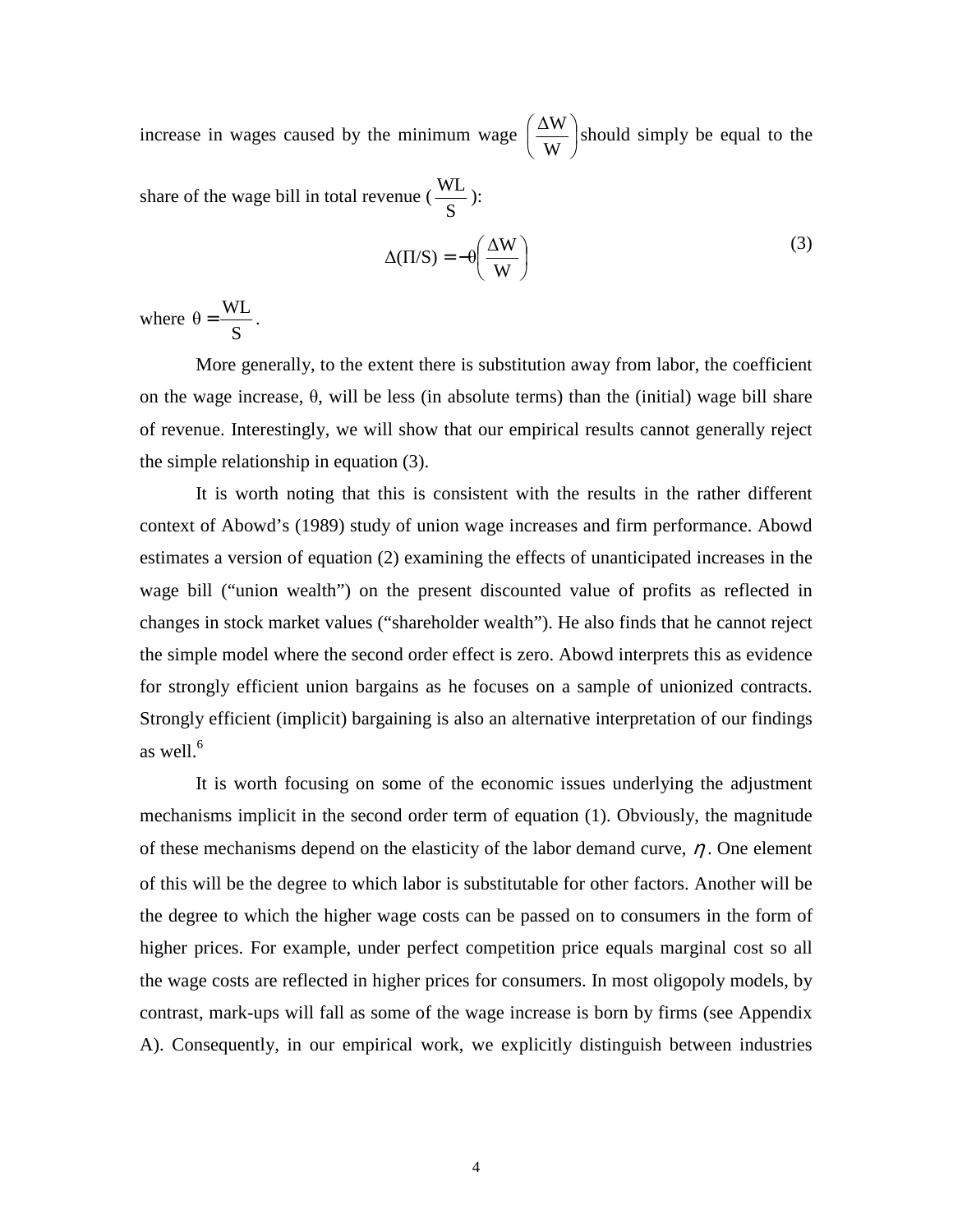increase in wages caused by the minimum wage  $\left|\frac{\Delta W}{\Delta x}\right|$ J  $\left(\frac{\Delta W}{\Delta L}\right)$ l ſ W  $\frac{\Delta W}{\Delta}$  should simply be equal to the share of the wage bill in total revenue ( S  $\frac{WL}{2}$  ):

$$
\Delta(\Pi/S) = -\theta \left(\frac{\Delta W}{W}\right)
$$
 (3)

where S  $heta = \frac{WL}{a}$ .

More generally, to the extent there is substitution away from labor, the coefficient on the wage increase, θ, will be less (in absolute terms) than the (initial) wage bill share of revenue. Interestingly, we will show that our empirical results cannot generally reject the simple relationship in equation (3).

It is worth noting that this is consistent with the results in the rather different context of Abowd's (1989) study of union wage increases and firm performance. Abowd estimates a version of equation (2) examining the effects of unanticipated increases in the wage bill ("union wealth") on the present discounted value of profits as reflected in changes in stock market values ("shareholder wealth"). He also finds that he cannot reject the simple model where the second order effect is zero. Abowd interprets this as evidence for strongly efficient union bargains as he focuses on a sample of unionized contracts. Strongly efficient (implicit) bargaining is also an alternative interpretation of our findings as well. $^6$ 

It is worth focusing on some of the economic issues underlying the adjustment mechanisms implicit in the second order term of equation (1). Obviously, the magnitude of these mechanisms depend on the elasticity of the labor demand curve,  $\eta$ . One element of this will be the degree to which labor is substitutable for other factors. Another will be the degree to which the higher wage costs can be passed on to consumers in the form of higher prices. For example, under perfect competition price equals marginal cost so all the wage costs are reflected in higher prices for consumers. In most oligopoly models, by contrast, mark-ups will fall as some of the wage increase is born by firms (see Appendix A). Consequently, in our empirical work, we explicitly distinguish between industries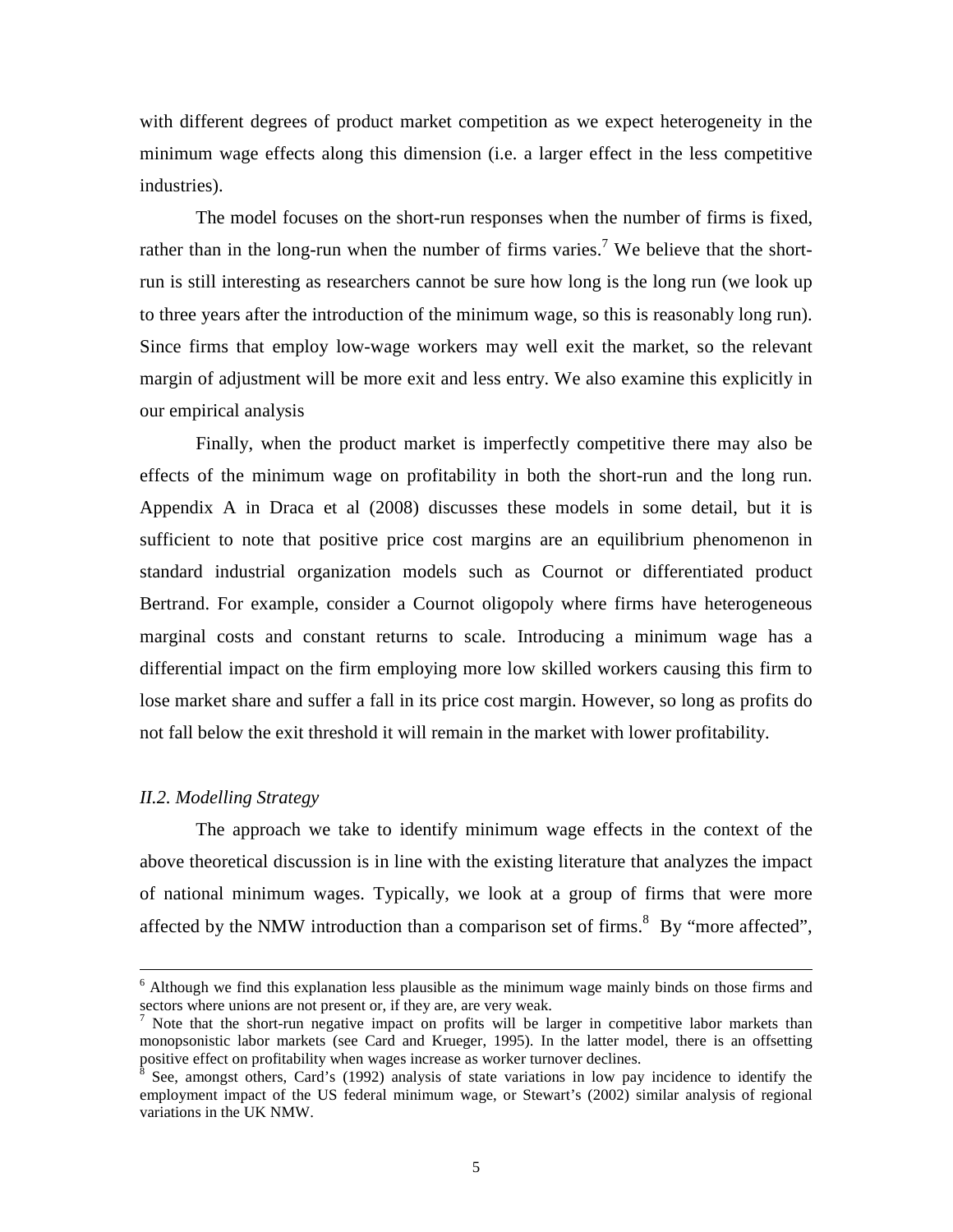with different degrees of product market competition as we expect heterogeneity in the minimum wage effects along this dimension (i.e. a larger effect in the less competitive industries).

The model focuses on the short-run responses when the number of firms is fixed, rather than in the long-run when the number of firms varies.<sup>7</sup> We believe that the shortrun is still interesting as researchers cannot be sure how long is the long run (we look up to three years after the introduction of the minimum wage, so this is reasonably long run). Since firms that employ low-wage workers may well exit the market, so the relevant margin of adjustment will be more exit and less entry. We also examine this explicitly in our empirical analysis

 Finally, when the product market is imperfectly competitive there may also be effects of the minimum wage on profitability in both the short-run and the long run. Appendix A in Draca et al (2008) discusses these models in some detail, but it is sufficient to note that positive price cost margins are an equilibrium phenomenon in standard industrial organization models such as Cournot or differentiated product Bertrand. For example, consider a Cournot oligopoly where firms have heterogeneous marginal costs and constant returns to scale. Introducing a minimum wage has a differential impact on the firm employing more low skilled workers causing this firm to lose market share and suffer a fall in its price cost margin. However, so long as profits do not fall below the exit threshold it will remain in the market with lower profitability.

#### *II.2. Modelling Strategy*

-

 The approach we take to identify minimum wage effects in the context of the above theoretical discussion is in line with the existing literature that analyzes the impact of national minimum wages. Typically, we look at a group of firms that were more affected by the NMW introduction than a comparison set of firms.<sup>8</sup> By "more affected",

<sup>&</sup>lt;sup>6</sup> Although we find this explanation less plausible as the minimum wage mainly binds on those firms and sectors where unions are not present or, if they are, are very weak.

<sup>&</sup>lt;sup>7</sup> Note that the short-run negative impact on profits will be larger in competitive labor markets than monopsonistic labor markets (see Card and Krueger, 1995). In the latter model, there is an offsetting positive effect on profitability when wages increase as worker turnover declines.<br><sup>8</sup> See, emenget ethers, Card's (1002) englysis of state veristions in low pay

See, amongst others, Card's (1992) analysis of state variations in low pay incidence to identify the employment impact of the US federal minimum wage, or Stewart's (2002) similar analysis of regional variations in the UK NMW.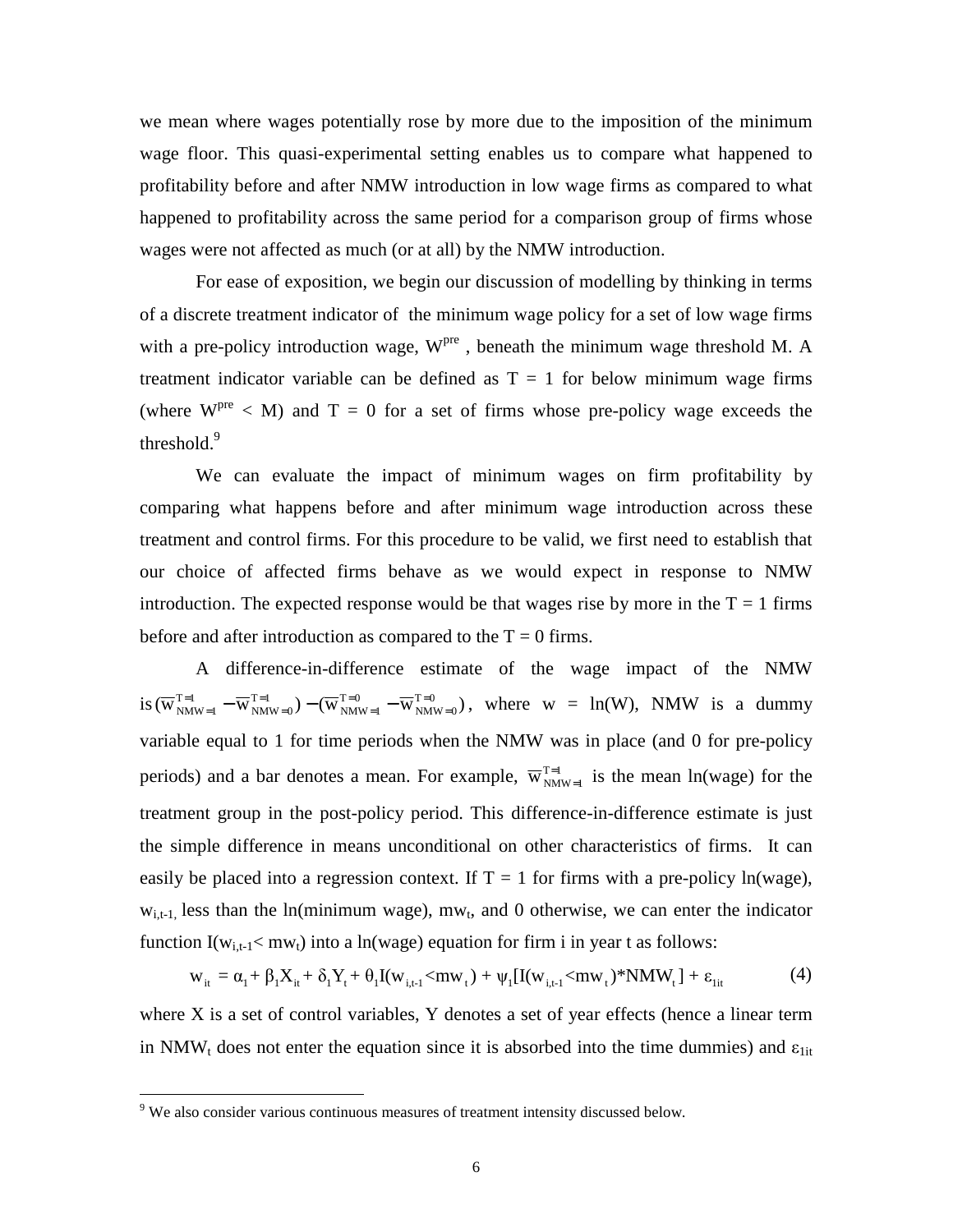we mean where wages potentially rose by more due to the imposition of the minimum wage floor. This quasi-experimental setting enables us to compare what happened to profitability before and after NMW introduction in low wage firms as compared to what happened to profitability across the same period for a comparison group of firms whose wages were not affected as much (or at all) by the NMW introduction.

 For ease of exposition, we begin our discussion of modelling by thinking in terms of a discrete treatment indicator of the minimum wage policy for a set of low wage firms with a pre-policy introduction wage,  $W<sup>pre</sup>$ , beneath the minimum wage threshold M. A treatment indicator variable can be defined as  $T = 1$  for below minimum wage firms (where  $W^{pre}$  < M) and  $T = 0$  for a set of firms whose pre-policy wage exceeds the threshold.<sup>9</sup>

We can evaluate the impact of minimum wages on firm profitability by comparing what happens before and after minimum wage introduction across these treatment and control firms. For this procedure to be valid, we first need to establish that our choice of affected firms behave as we would expect in response to NMW introduction. The expected response would be that wages rise by more in the  $T = 1$  firms before and after introduction as compared to the  $T = 0$  firms.

A difference-in-difference estimate of the wage impact of the NMW  $\sin(\overline{w}_{NMW=1}^{T=1} - \overline{w}_{NMW=0}^{T=1}) - (\overline{w}_{NMW=1}^{T=0} - \overline{w}_{NMW=0}^{T=0})$  $NMW = 0$  $T = 0$  $NMW = 1$  $T = 1$  $NMW = 0$  $T = 1$  $NMW = 1$ = = = = = =  $=$ <sup>1</sup> $_{MW=1}$  –  $\overline{W}^{T=1}_{NMW=0}$  –  $(\overline{W}^{T=0}_{NMW=1}$  –  $\overline{W}^{T=0}_{NMW=0})$ , where  $w = ln(W)$ , NMW is a dummy variable equal to 1 for time periods when the NMW was in place (and 0 for pre-policy periods) and a bar denotes a mean. For example,  $\overline{w}_{NMW=1}^{T=1}$  $_{=1}$  is the mean ln(wage) for the treatment group in the post-policy period. This difference-in-difference estimate is just the simple difference in means unconditional on other characteristics of firms. It can easily be placed into a regression context. If  $T = 1$  for firms with a pre-policy ln(wage),  $w_{i,t-1}$ , less than the ln(minimum wage), mw<sub>t</sub>, and 0 otherwise, we can enter the indicator function  $I(w_{i,t-1} < mw_t)$  into a ln(wage) equation for firm i in year t as follows:

$$
w_{it} = \alpha_1 + \beta_1 X_{it} + \delta_1 Y_t + \theta_1 I(w_{i,t-1} < mw_t) + \psi_1 [I(w_{i,t-1} < mw_t) * NMW_t] + \varepsilon_{lit}
$$
(4)

where X is a set of control variables, Y denotes a set of year effects (hence a linear term in NMW<sub>t</sub> does not enter the equation since it is absorbed into the time dummies) and  $\varepsilon_{\text{lit}}$ 

 $\overline{a}$ 

<sup>&</sup>lt;sup>9</sup> We also consider various continuous measures of treatment intensity discussed below.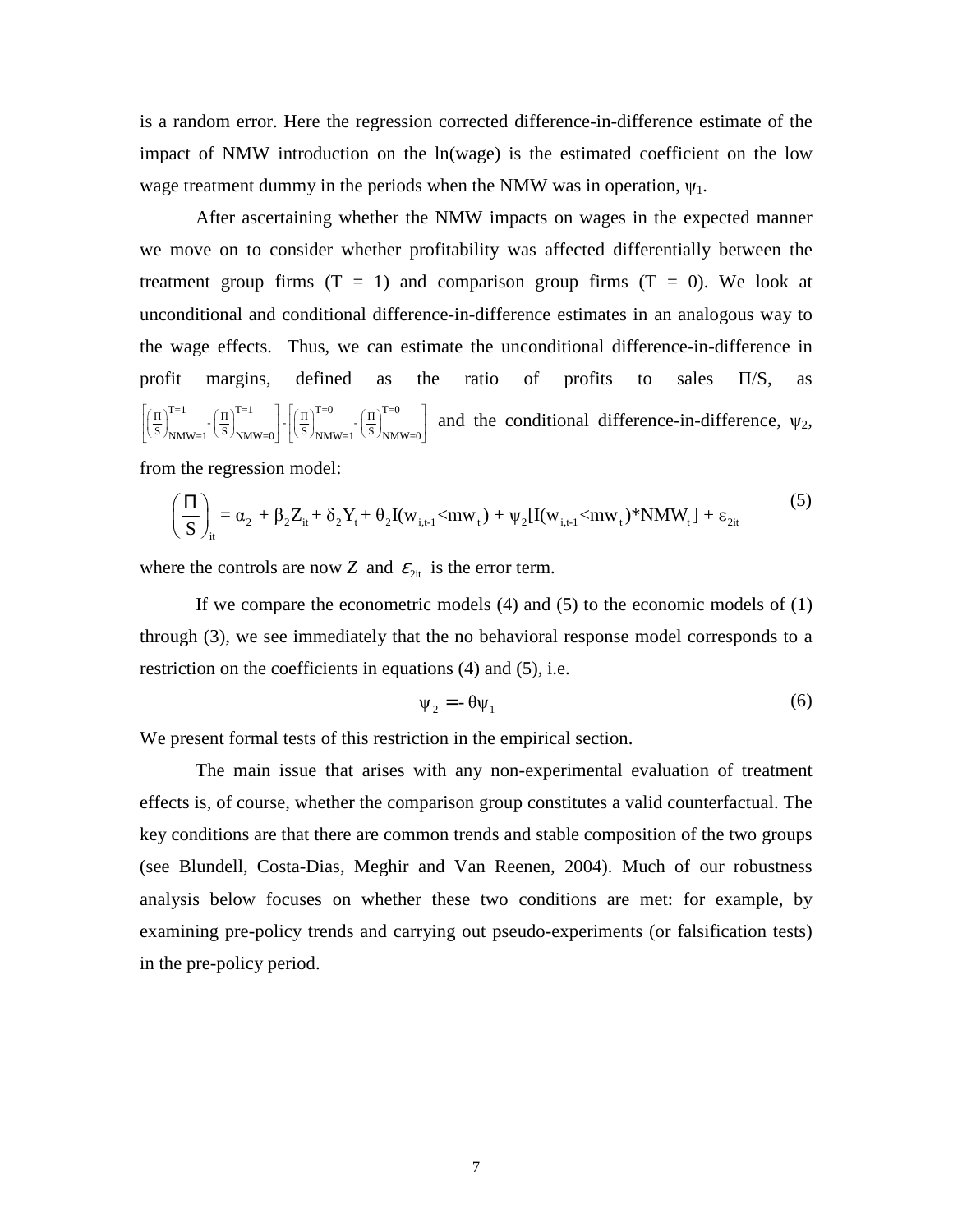is a random error. Here the regression corrected difference-in-difference estimate of the impact of NMW introduction on the ln(wage) is the estimated coefficient on the low wage treatment dummy in the periods when the NMW was in operation,  $\psi_1$ .

 After ascertaining whether the NMW impacts on wages in the expected manner we move on to consider whether profitability was affected differentially between the treatment group firms  $(T = 1)$  and comparison group firms  $(T = 0)$ . We look at unconditional and conditional difference-in-difference estimates in an analogous way to the wage effects. Thus, we can estimate the unconditional difference-in-difference in profit margins, defined as the ratio of profits to sales Π/S, as  $\left[\left(\frac{\overline{n}}{s}\right)_{\text{NMW}=1}^{\text{T}=1}\cdot\left(\frac{\overline{n}}{s}\right)_{\text{NMW}=0}^{\text{T}=0}\right]$  and the conditional difference-in-difference,  $\psi_2$ ,

from the regression model:

$$
\left(\frac{\Pi}{S}\right)_{it} = \alpha_2 + \beta_2 Z_{it} + \delta_2 Y_t + \theta_2 I(w_{i,t-1} < mw_t) + \psi_2 [I(w_{i,t-1} < mw_t) * NMW_t] + \varepsilon_{2it}
$$
\n(5)

where the controls are now *Z* and  $\varepsilon_{2it}$  is the error term.

If we compare the econometric models (4) and (5) to the economic models of (1) through (3), we see immediately that the no behavioral response model corresponds to a restriction on the coefficients in equations (4) and (5), i.e.

$$
\Psi_2 = -\theta \Psi_1 \tag{6}
$$

We present formal tests of this restriction in the empirical section.

The main issue that arises with any non-experimental evaluation of treatment effects is, of course, whether the comparison group constitutes a valid counterfactual. The key conditions are that there are common trends and stable composition of the two groups (see Blundell, Costa-Dias, Meghir and Van Reenen, 2004). Much of our robustness analysis below focuses on whether these two conditions are met: for example, by examining pre-policy trends and carrying out pseudo-experiments (or falsification tests) in the pre-policy period.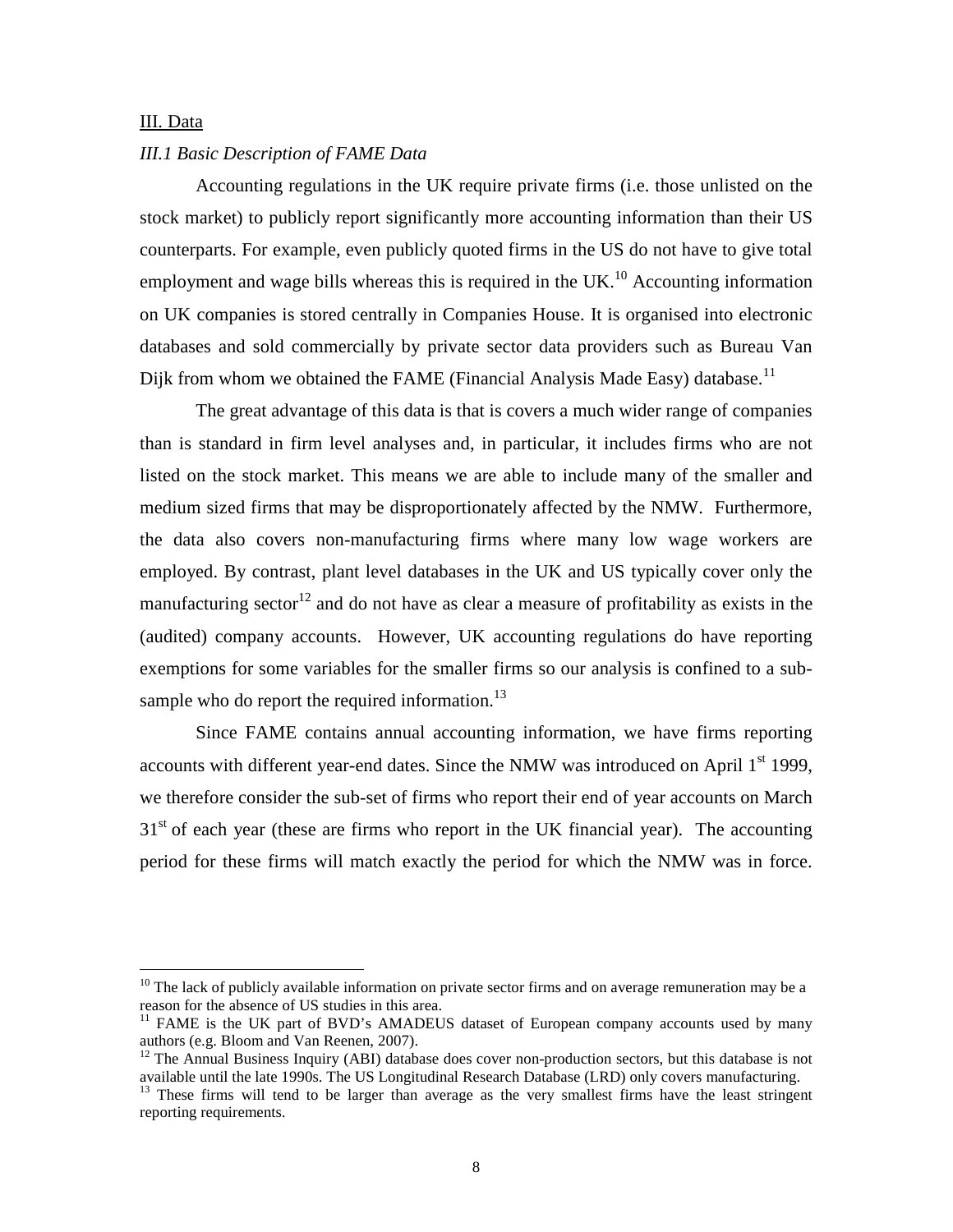#### III. Data

 $\overline{a}$ 

#### *III.1 Basic Description of FAME Data*

Accounting regulations in the UK require private firms (i.e. those unlisted on the stock market) to publicly report significantly more accounting information than their US counterparts. For example, even publicly quoted firms in the US do not have to give total employment and wage bills whereas this is required in the UK.<sup>10</sup> Accounting information on UK companies is stored centrally in Companies House. It is organised into electronic databases and sold commercially by private sector data providers such as Bureau Van Dijk from whom we obtained the FAME (Financial Analysis Made Easy) database.<sup>11</sup>

The great advantage of this data is that is covers a much wider range of companies than is standard in firm level analyses and, in particular, it includes firms who are not listed on the stock market. This means we are able to include many of the smaller and medium sized firms that may be disproportionately affected by the NMW. Furthermore, the data also covers non-manufacturing firms where many low wage workers are employed. By contrast, plant level databases in the UK and US typically cover only the manufacturing sector<sup>12</sup> and do not have as clear a measure of profitability as exists in the (audited) company accounts. However, UK accounting regulations do have reporting exemptions for some variables for the smaller firms so our analysis is confined to a subsample who do report the required information. $^{13}$ 

Since FAME contains annual accounting information, we have firms reporting accounts with different year-end dates. Since the NMW was introduced on April  $1<sup>st</sup>$  1999, we therefore consider the sub-set of firms who report their end of year accounts on March  $31<sup>st</sup>$  of each year (these are firms who report in the UK financial year). The accounting period for these firms will match exactly the period for which the NMW was in force.

 $10$  The lack of publicly available information on private sector firms and on average remuneration may be a reason for the absence of US studies in this area.

<sup>&</sup>lt;sup>11</sup> FAME is the UK part of BVD's AMADEUS dataset of European company accounts used by many authors (e.g. Bloom and Van Reenen, 2007).

<sup>&</sup>lt;sup>12</sup> The Annual Business Inquiry (ABI) database does cover non-production sectors, but this database is not available until the late 1990s. The US Longitudinal Research Database (LRD) only covers manufacturing.

<sup>&</sup>lt;sup>13</sup> These firms will tend to be larger than average as the very smallest firms have the least stringent reporting requirements.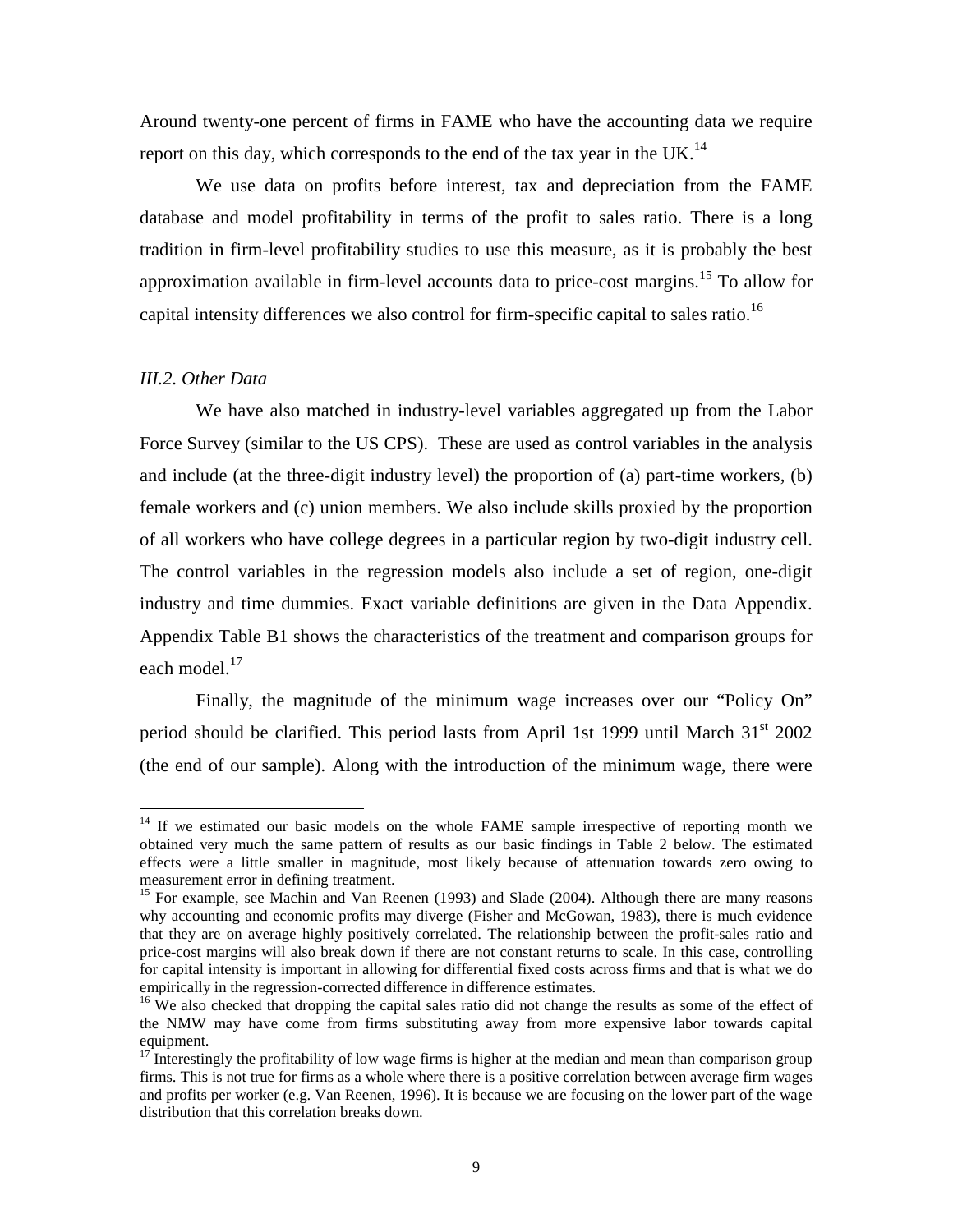Around twenty-one percent of firms in FAME who have the accounting data we require report on this day, which corresponds to the end of the tax year in the UK.<sup>14</sup>

We use data on profits before interest, tax and depreciation from the FAME database and model profitability in terms of the profit to sales ratio. There is a long tradition in firm-level profitability studies to use this measure, as it is probably the best approximation available in firm-level accounts data to price-cost margins.<sup>15</sup> To allow for capital intensity differences we also control for firm-specific capital to sales ratio.<sup>16</sup>

#### *III.2. Other Data*

 $\overline{a}$ 

We have also matched in industry-level variables aggregated up from the Labor Force Survey (similar to the US CPS). These are used as control variables in the analysis and include (at the three-digit industry level) the proportion of (a) part-time workers, (b) female workers and (c) union members. We also include skills proxied by the proportion of all workers who have college degrees in a particular region by two-digit industry cell. The control variables in the regression models also include a set of region, one-digit industry and time dummies. Exact variable definitions are given in the Data Appendix. Appendix Table B1 shows the characteristics of the treatment and comparison groups for each model.<sup>17</sup>

Finally, the magnitude of the minimum wage increases over our "Policy On" period should be clarified. This period lasts from April 1st 1999 until March  $31<sup>st</sup>$  2002 (the end of our sample). Along with the introduction of the minimum wage, there were

 $14$  If we estimated our basic models on the whole FAME sample irrespective of reporting month we obtained very much the same pattern of results as our basic findings in Table 2 below. The estimated effects were a little smaller in magnitude, most likely because of attenuation towards zero owing to measurement error in defining treatment.

<sup>&</sup>lt;sup>15</sup> For example, see Machin and Van Reenen (1993) and Slade (2004). Although there are many reasons why accounting and economic profits may diverge (Fisher and McGowan, 1983), there is much evidence that they are on average highly positively correlated. The relationship between the profit-sales ratio and price-cost margins will also break down if there are not constant returns to scale. In this case, controlling for capital intensity is important in allowing for differential fixed costs across firms and that is what we do empirically in the regression-corrected difference in difference estimates.

<sup>&</sup>lt;sup>16</sup> We also checked that dropping the capital sales ratio did not change the results as some of the effect of the NMW may have come from firms substituting away from more expensive labor towards capital equipment.

 $17$  Interestingly the profitability of low wage firms is higher at the median and mean than comparison group firms. This is not true for firms as a whole where there is a positive correlation between average firm wages and profits per worker (e.g. Van Reenen, 1996). It is because we are focusing on the lower part of the wage distribution that this correlation breaks down.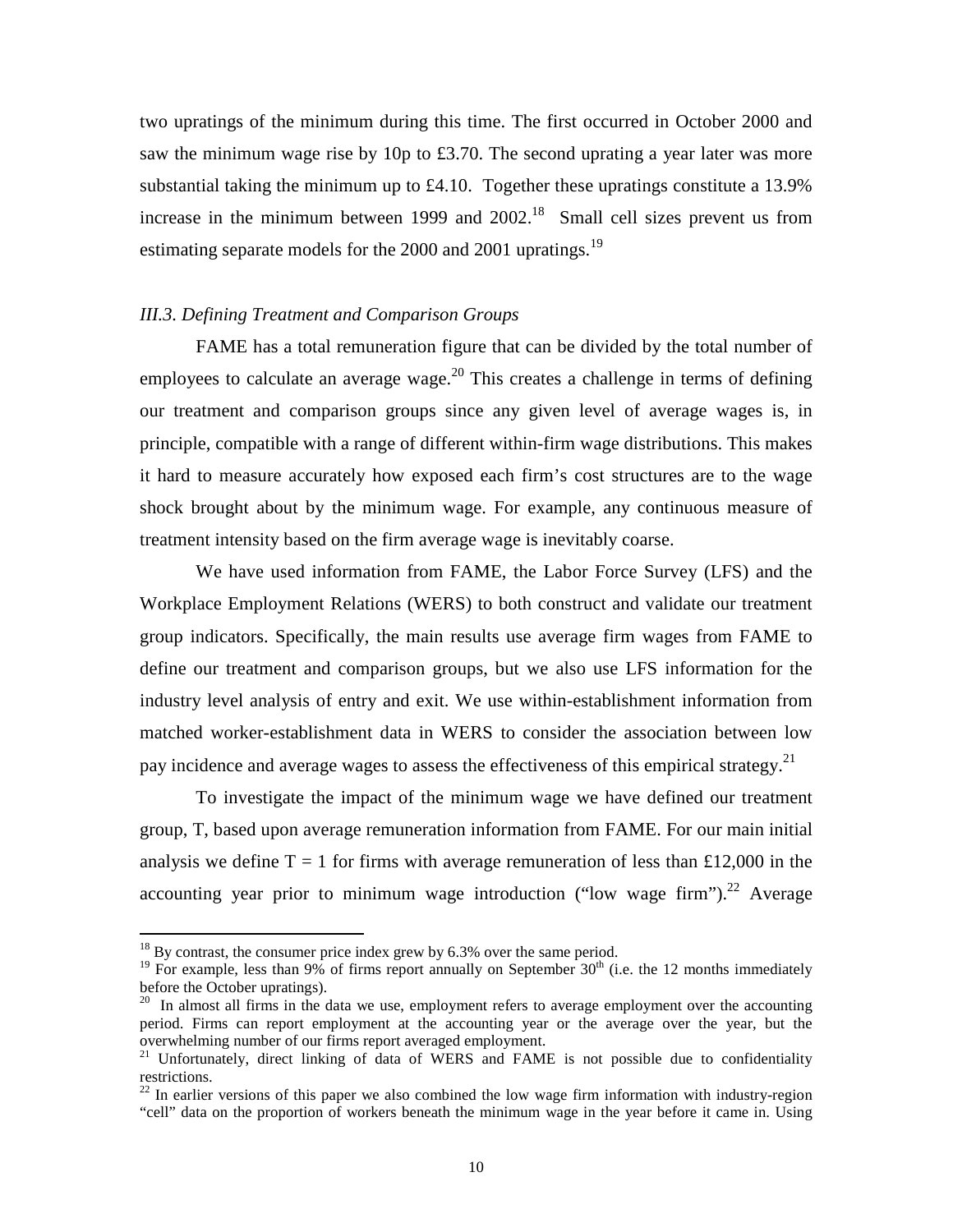two upratings of the minimum during this time. The first occurred in October 2000 and saw the minimum wage rise by 10p to £3.70. The second uprating a year later was more substantial taking the minimum up to £4.10. Together these upratings constitute a 13.9% increase in the minimum between 1999 and  $2002<sup>18</sup>$  Small cell sizes prevent us from estimating separate models for the 2000 and 2001 upratings.<sup>19</sup>

#### *III.3. Defining Treatment and Comparison Groups*

FAME has a total remuneration figure that can be divided by the total number of employees to calculate an average wage.<sup>20</sup> This creates a challenge in terms of defining our treatment and comparison groups since any given level of average wages is, in principle, compatible with a range of different within-firm wage distributions. This makes it hard to measure accurately how exposed each firm's cost structures are to the wage shock brought about by the minimum wage. For example, any continuous measure of treatment intensity based on the firm average wage is inevitably coarse.

We have used information from FAME, the Labor Force Survey (LFS) and the Workplace Employment Relations (WERS) to both construct and validate our treatment group indicators. Specifically, the main results use average firm wages from FAME to define our treatment and comparison groups, but we also use LFS information for the industry level analysis of entry and exit. We use within-establishment information from matched worker-establishment data in WERS to consider the association between low pay incidence and average wages to assess the effectiveness of this empirical strategy.<sup>21</sup>

To investigate the impact of the minimum wage we have defined our treatment group, T, based upon average remuneration information from FAME. For our main initial analysis we define  $T = 1$  for firms with average remuneration of less than £12,000 in the accounting year prior to minimum wage introduction ("low wage firm").<sup>22</sup> Average

 $\overline{a}$ 

 $18$  By contrast, the consumer price index grew by 6.3% over the same period.

<sup>&</sup>lt;sup>19</sup> For example, less than 9% of firms report annually on September  $30<sup>th</sup>$  (i.e. the 12 months immediately before the October upratings).

 $^{20}$  In almost all firms in the data we use, employment refers to average employment over the accounting period. Firms can report employment at the accounting year or the average over the year, but the overwhelming number of our firms report averaged employment.

<sup>&</sup>lt;sup>21</sup> Unfortunately, direct linking of data of WERS and FAME is not possible due to confidentiality restrictions.

 $22$  In earlier versions of this paper we also combined the low wage firm information with industry-region "cell" data on the proportion of workers beneath the minimum wage in the year before it came in. Using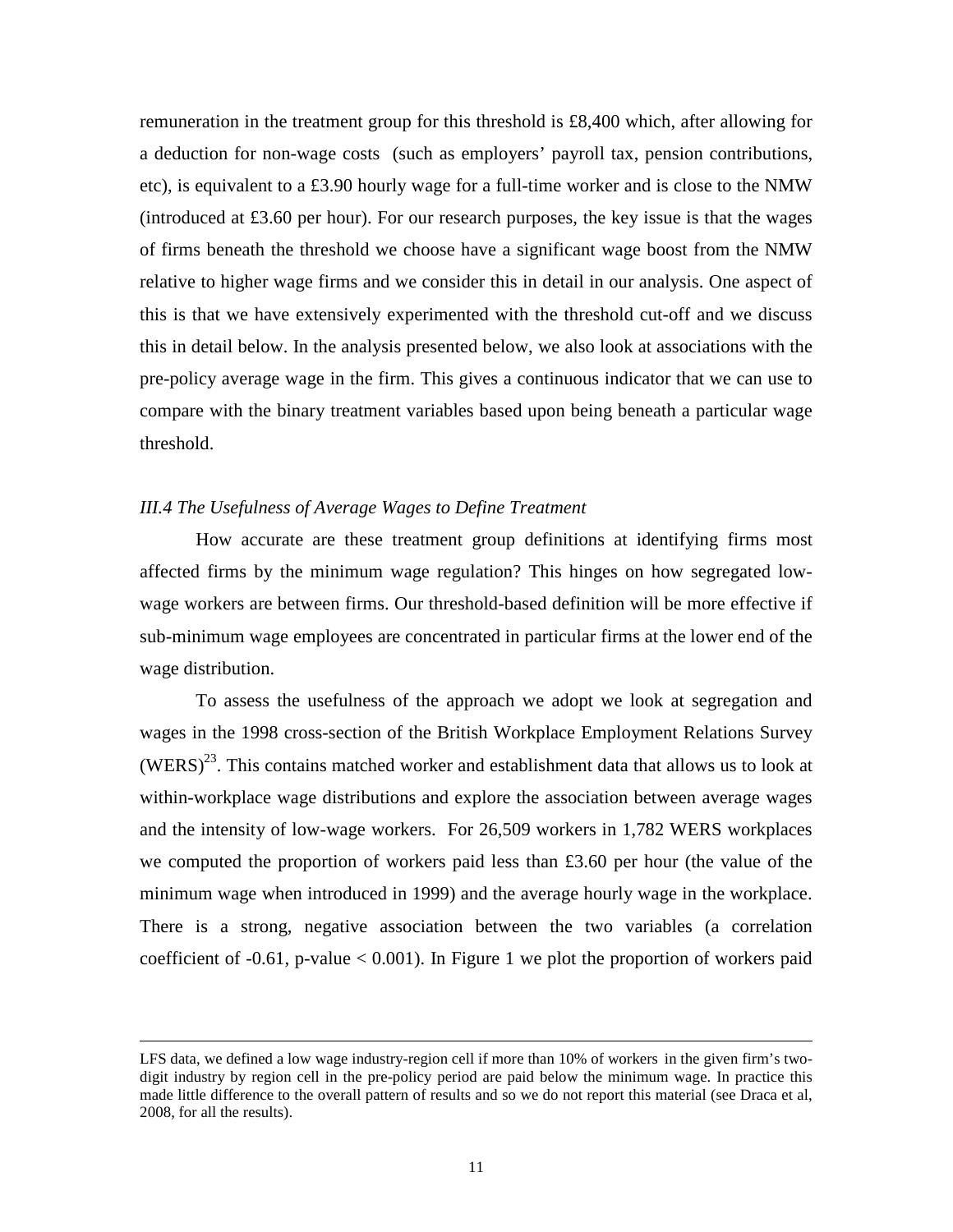remuneration in the treatment group for this threshold is £8,400 which, after allowing for a deduction for non-wage costs (such as employers' payroll tax, pension contributions, etc), is equivalent to a £3.90 hourly wage for a full-time worker and is close to the NMW (introduced at £3.60 per hour). For our research purposes, the key issue is that the wages of firms beneath the threshold we choose have a significant wage boost from the NMW relative to higher wage firms and we consider this in detail in our analysis. One aspect of this is that we have extensively experimented with the threshold cut-off and we discuss this in detail below. In the analysis presented below, we also look at associations with the pre-policy average wage in the firm. This gives a continuous indicator that we can use to compare with the binary treatment variables based upon being beneath a particular wage threshold.

#### *III.4 The Usefulness of Average Wages to Define Treatment*

<u>.</u>

How accurate are these treatment group definitions at identifying firms most affected firms by the minimum wage regulation? This hinges on how segregated lowwage workers are between firms. Our threshold-based definition will be more effective if sub-minimum wage employees are concentrated in particular firms at the lower end of the wage distribution.

To assess the usefulness of the approach we adopt we look at segregation and wages in the 1998 cross-section of the British Workplace Employment Relations Survey  $(WERS)^{23}$ . This contains matched worker and establishment data that allows us to look at within-workplace wage distributions and explore the association between average wages and the intensity of low-wage workers. For 26,509 workers in 1,782 WERS workplaces we computed the proportion of workers paid less than  $£3.60$  per hour (the value of the minimum wage when introduced in 1999) and the average hourly wage in the workplace. There is a strong, negative association between the two variables (a correlation coefficient of  $-0.61$ , p-value  $< 0.001$ ). In Figure 1 we plot the proportion of workers paid

LFS data, we defined a low wage industry-region cell if more than 10% of workers in the given firm's twodigit industry by region cell in the pre-policy period are paid below the minimum wage. In practice this made little difference to the overall pattern of results and so we do not report this material (see Draca et al, 2008, for all the results).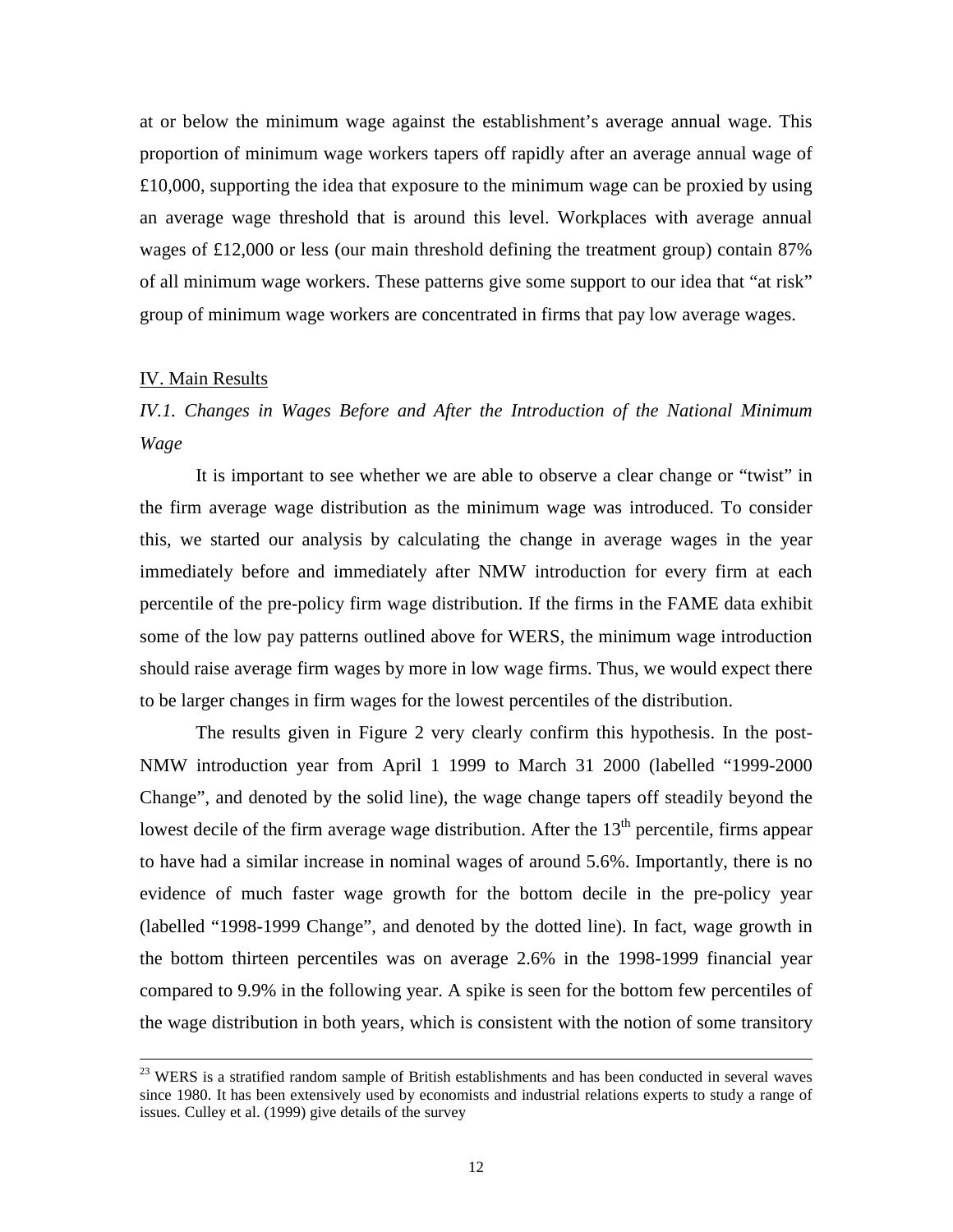at or below the minimum wage against the establishment's average annual wage. This proportion of minimum wage workers tapers off rapidly after an average annual wage of £10,000, supporting the idea that exposure to the minimum wage can be proxied by using an average wage threshold that is around this level. Workplaces with average annual wages of £12,000 or less (our main threshold defining the treatment group) contain 87% of all minimum wage workers. These patterns give some support to our idea that "at risk" group of minimum wage workers are concentrated in firms that pay low average wages.

#### IV. Main Results

<u>.</u>

*IV.1. Changes in Wages Before and After the Introduction of the National Minimum Wage* 

It is important to see whether we are able to observe a clear change or "twist" in the firm average wage distribution as the minimum wage was introduced. To consider this, we started our analysis by calculating the change in average wages in the year immediately before and immediately after NMW introduction for every firm at each percentile of the pre-policy firm wage distribution. If the firms in the FAME data exhibit some of the low pay patterns outlined above for WERS, the minimum wage introduction should raise average firm wages by more in low wage firms. Thus, we would expect there to be larger changes in firm wages for the lowest percentiles of the distribution.

The results given in Figure 2 very clearly confirm this hypothesis. In the post-NMW introduction year from April 1 1999 to March 31 2000 (labelled "1999-2000 Change", and denoted by the solid line), the wage change tapers off steadily beyond the lowest decile of the firm average wage distribution. After the  $13<sup>th</sup>$  percentile, firms appear to have had a similar increase in nominal wages of around 5.6%. Importantly, there is no evidence of much faster wage growth for the bottom decile in the pre-policy year (labelled "1998-1999 Change", and denoted by the dotted line). In fact, wage growth in the bottom thirteen percentiles was on average 2.6% in the 1998-1999 financial year compared to 9.9% in the following year. A spike is seen for the bottom few percentiles of the wage distribution in both years, which is consistent with the notion of some transitory

 $23$  WERS is a stratified random sample of British establishments and has been conducted in several waves since 1980. It has been extensively used by economists and industrial relations experts to study a range of issues. Culley et al. (1999) give details of the survey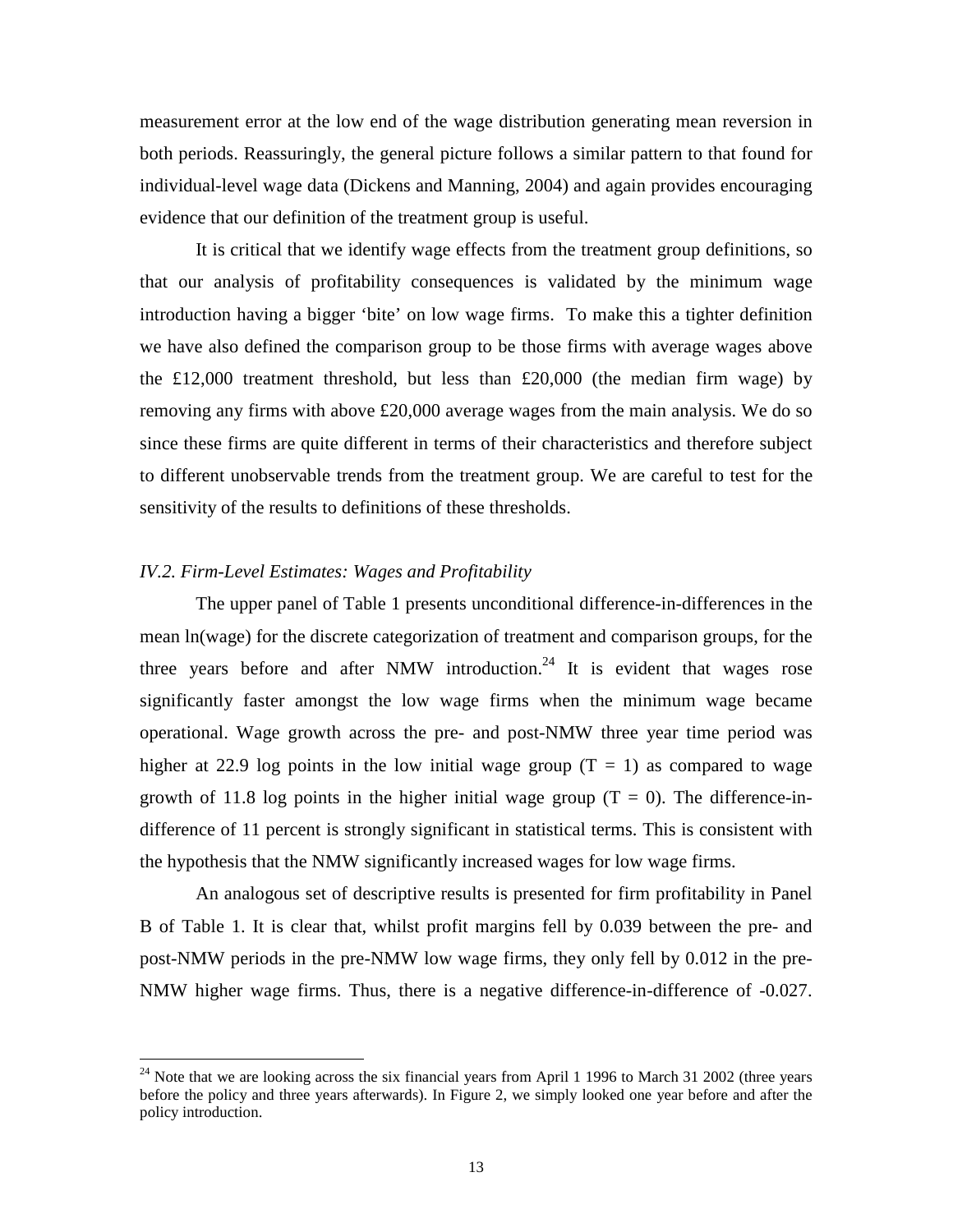measurement error at the low end of the wage distribution generating mean reversion in both periods. Reassuringly, the general picture follows a similar pattern to that found for individual-level wage data (Dickens and Manning, 2004) and again provides encouraging evidence that our definition of the treatment group is useful.

It is critical that we identify wage effects from the treatment group definitions, so that our analysis of profitability consequences is validated by the minimum wage introduction having a bigger 'bite' on low wage firms. To make this a tighter definition we have also defined the comparison group to be those firms with average wages above the  $£12,000$  treatment threshold, but less than  $£20,000$  (the median firm wage) by removing any firms with above £20,000 average wages from the main analysis. We do so since these firms are quite different in terms of their characteristics and therefore subject to different unobservable trends from the treatment group. We are careful to test for the sensitivity of the results to definitions of these thresholds.

#### *IV.2. Firm-Level Estimates: Wages and Profitability*

 $\overline{a}$ 

 The upper panel of Table 1 presents unconditional difference-in-differences in the mean ln(wage) for the discrete categorization of treatment and comparison groups, for the three years before and after NMW introduction.<sup>24</sup> It is evident that wages rose significantly faster amongst the low wage firms when the minimum wage became operational. Wage growth across the pre- and post-NMW three year time period was higher at 22.9 log points in the low initial wage group  $(T = 1)$  as compared to wage growth of 11.8 log points in the higher initial wage group  $(T = 0)$ . The difference-indifference of 11 percent is strongly significant in statistical terms. This is consistent with the hypothesis that the NMW significantly increased wages for low wage firms.

 An analogous set of descriptive results is presented for firm profitability in Panel B of Table 1. It is clear that, whilst profit margins fell by 0.039 between the pre- and post-NMW periods in the pre-NMW low wage firms, they only fell by 0.012 in the pre-NMW higher wage firms. Thus, there is a negative difference-in-difference of -0.027.

 $24$  Note that we are looking across the six financial years from April 1 1996 to March 31 2002 (three years before the policy and three years afterwards). In Figure 2, we simply looked one year before and after the policy introduction.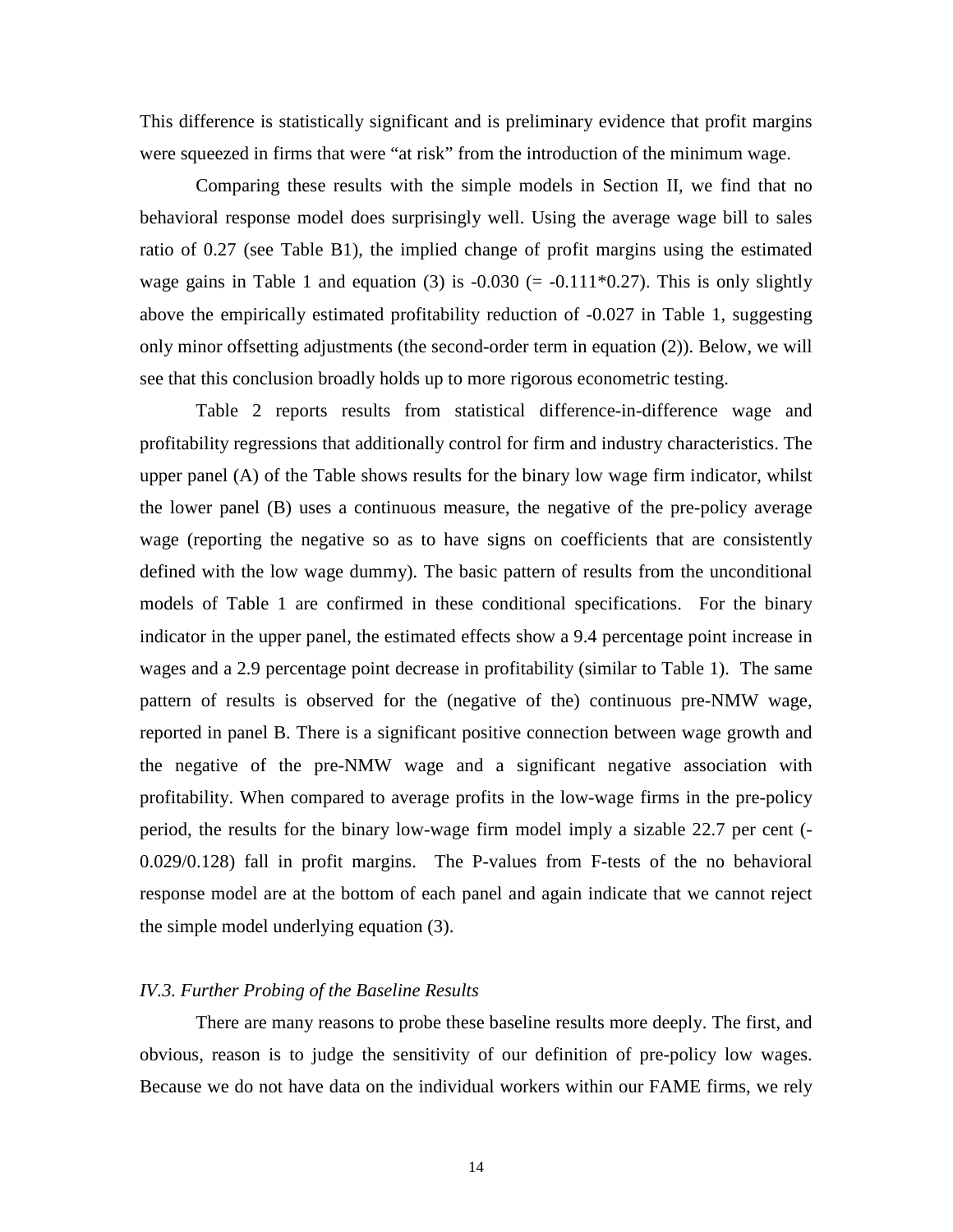This difference is statistically significant and is preliminary evidence that profit margins were squeezed in firms that were "at risk" from the introduction of the minimum wage.

 Comparing these results with the simple models in Section II, we find that no behavioral response model does surprisingly well. Using the average wage bill to sales ratio of 0.27 (see Table B1), the implied change of profit margins using the estimated wage gains in Table 1 and equation (3) is  $-0.030$  (=  $-0.111*0.27$ ). This is only slightly above the empirically estimated profitability reduction of -0.027 in Table 1, suggesting only minor offsetting adjustments (the second-order term in equation (2)). Below, we will see that this conclusion broadly holds up to more rigorous econometric testing.

Table 2 reports results from statistical difference-in-difference wage and profitability regressions that additionally control for firm and industry characteristics. The upper panel (A) of the Table shows results for the binary low wage firm indicator, whilst the lower panel (B) uses a continuous measure, the negative of the pre-policy average wage (reporting the negative so as to have signs on coefficients that are consistently defined with the low wage dummy). The basic pattern of results from the unconditional models of Table 1 are confirmed in these conditional specifications. For the binary indicator in the upper panel, the estimated effects show a 9.4 percentage point increase in wages and a 2.9 percentage point decrease in profitability (similar to Table 1). The same pattern of results is observed for the (negative of the) continuous pre-NMW wage, reported in panel B. There is a significant positive connection between wage growth and the negative of the pre-NMW wage and a significant negative association with profitability. When compared to average profits in the low-wage firms in the pre-policy period, the results for the binary low-wage firm model imply a sizable 22.7 per cent (- 0.029/0.128) fall in profit margins. The P-values from F-tests of the no behavioral response model are at the bottom of each panel and again indicate that we cannot reject the simple model underlying equation (3).

#### *IV.3. Further Probing of the Baseline Results*

 There are many reasons to probe these baseline results more deeply. The first, and obvious, reason is to judge the sensitivity of our definition of pre-policy low wages. Because we do not have data on the individual workers within our FAME firms, we rely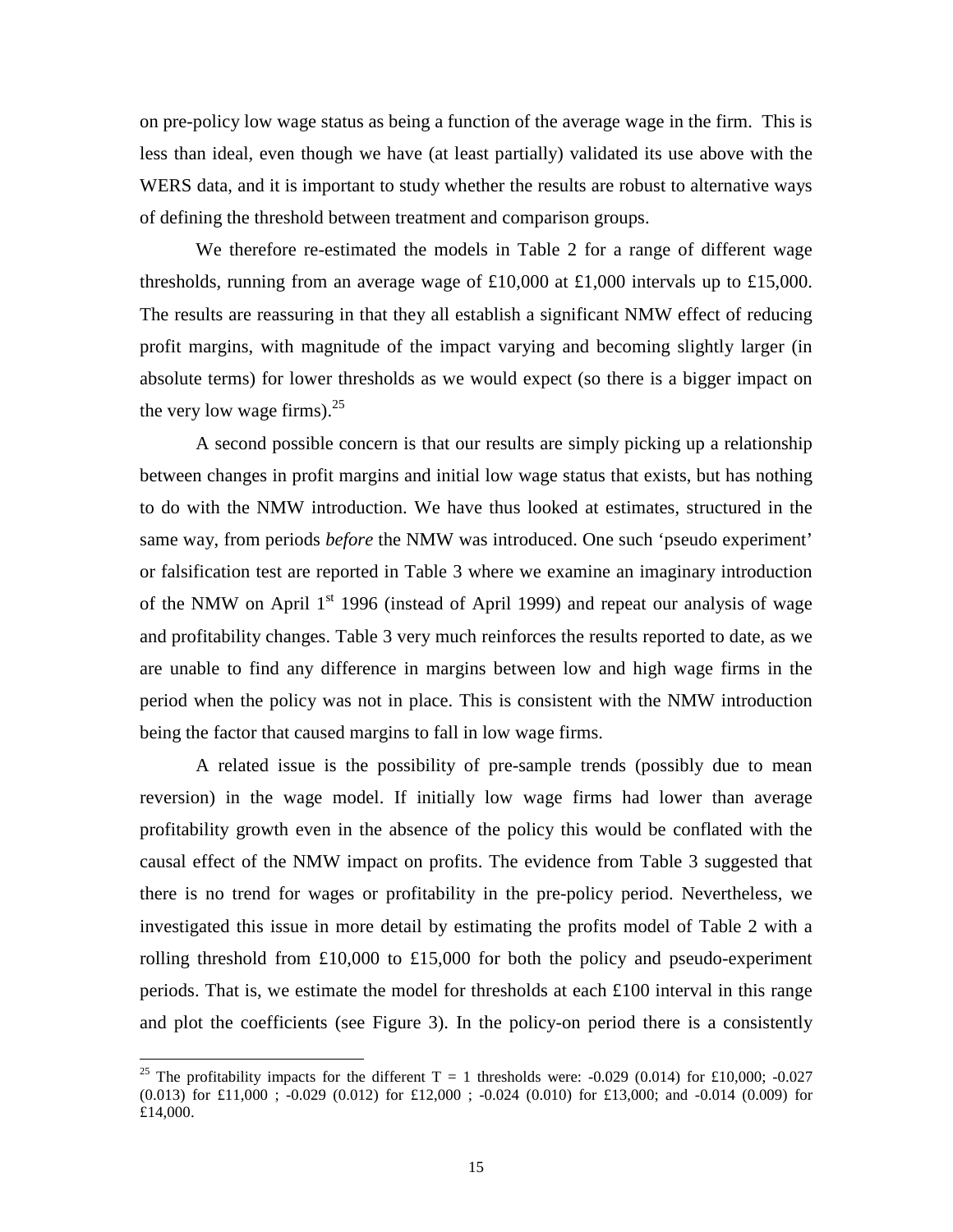on pre-policy low wage status as being a function of the average wage in the firm. This is less than ideal, even though we have (at least partially) validated its use above with the WERS data, and it is important to study whether the results are robust to alternative ways of defining the threshold between treatment and comparison groups.

 We therefore re-estimated the models in Table 2 for a range of different wage thresholds, running from an average wage of  $£10,000$  at  $£1,000$  intervals up to £15,000. The results are reassuring in that they all establish a significant NMW effect of reducing profit margins, with magnitude of the impact varying and becoming slightly larger (in absolute terms) for lower thresholds as we would expect (so there is a bigger impact on the very low wage firms).  $25$ 

 A second possible concern is that our results are simply picking up a relationship between changes in profit margins and initial low wage status that exists, but has nothing to do with the NMW introduction. We have thus looked at estimates, structured in the same way, from periods *before* the NMW was introduced. One such 'pseudo experiment' or falsification test are reported in Table 3 where we examine an imaginary introduction of the NMW on April  $1<sup>st</sup>$  1996 (instead of April 1999) and repeat our analysis of wage and profitability changes. Table 3 very much reinforces the results reported to date, as we are unable to find any difference in margins between low and high wage firms in the period when the policy was not in place. This is consistent with the NMW introduction being the factor that caused margins to fall in low wage firms.

A related issue is the possibility of pre-sample trends (possibly due to mean reversion) in the wage model. If initially low wage firms had lower than average profitability growth even in the absence of the policy this would be conflated with the causal effect of the NMW impact on profits. The evidence from Table 3 suggested that there is no trend for wages or profitability in the pre-policy period. Nevertheless, we investigated this issue in more detail by estimating the profits model of Table 2 with a rolling threshold from £10,000 to £15,000 for both the policy and pseudo-experiment periods. That is, we estimate the model for thresholds at each  $\pounds 100$  interval in this range and plot the coefficients (see Figure 3). In the policy-on period there is a consistently

 $\overline{a}$ 

<sup>&</sup>lt;sup>25</sup> The profitability impacts for the different  $T = 1$  thresholds were: -0.029 (0.014) for £10,000; -0.027  $(0.013)$  for £11,000 ; -0.029 (0.012) for £12,000 ; -0.024 (0.010) for £13,000; and -0.014 (0.009) for £14,000.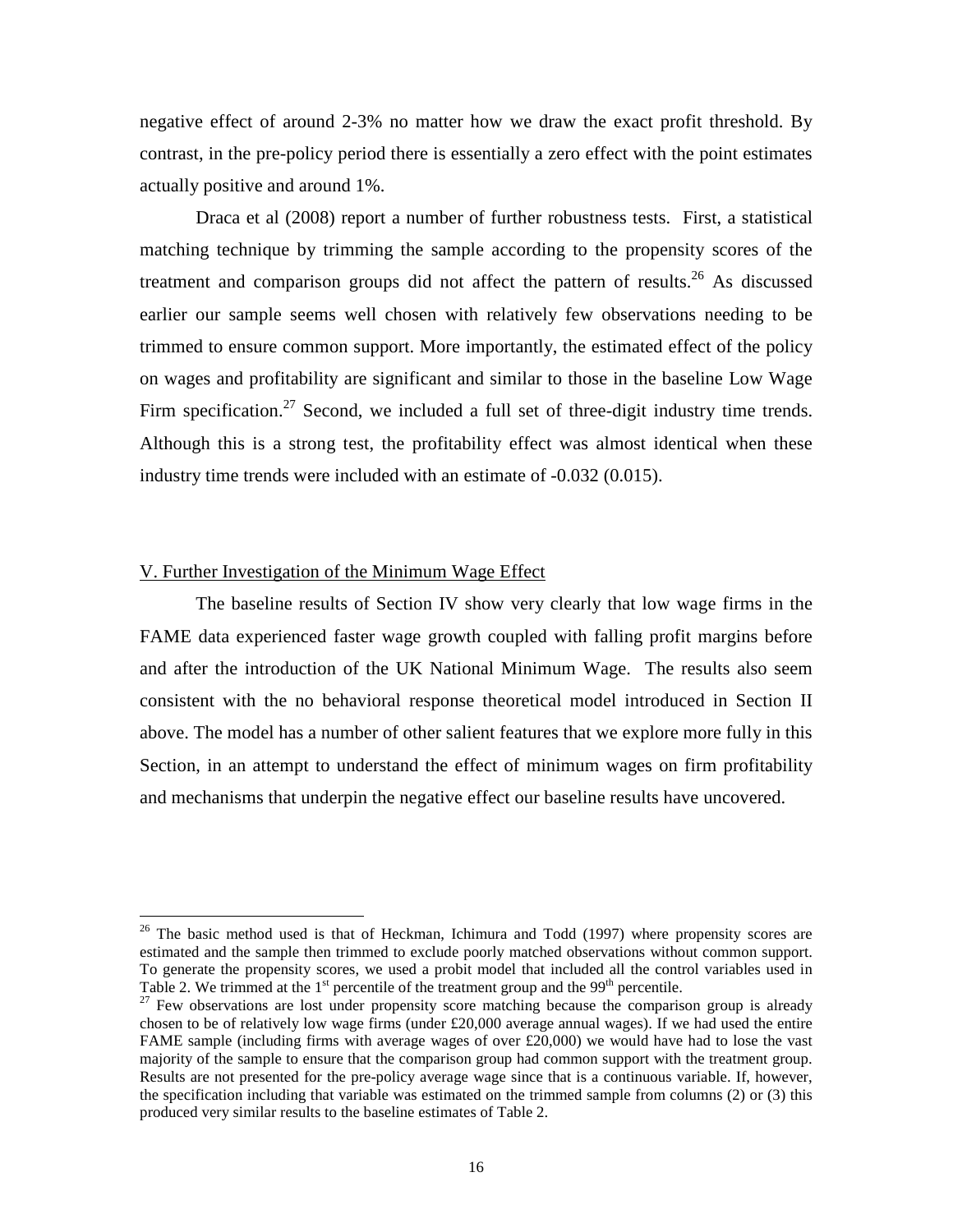negative effect of around 2-3% no matter how we draw the exact profit threshold. By contrast, in the pre-policy period there is essentially a zero effect with the point estimates actually positive and around 1%.

Draca et al (2008) report a number of further robustness tests. First, a statistical matching technique by trimming the sample according to the propensity scores of the treatment and comparison groups did not affect the pattern of results.<sup>26</sup> As discussed earlier our sample seems well chosen with relatively few observations needing to be trimmed to ensure common support. More importantly, the estimated effect of the policy on wages and profitability are significant and similar to those in the baseline Low Wage Firm specification.<sup>27</sup> Second, we included a full set of three-digit industry time trends. Although this is a strong test, the profitability effect was almost identical when these industry time trends were included with an estimate of -0.032 (0.015).

#### V. Further Investigation of the Minimum Wage Effect

 $\overline{a}$ 

The baseline results of Section IV show very clearly that low wage firms in the FAME data experienced faster wage growth coupled with falling profit margins before and after the introduction of the UK National Minimum Wage. The results also seem consistent with the no behavioral response theoretical model introduced in Section II above. The model has a number of other salient features that we explore more fully in this Section, in an attempt to understand the effect of minimum wages on firm profitability and mechanisms that underpin the negative effect our baseline results have uncovered.

 $26$  The basic method used is that of Heckman, Ichimura and Todd (1997) where propensity scores are estimated and the sample then trimmed to exclude poorly matched observations without common support. To generate the propensity scores, we used a probit model that included all the control variables used in Table 2. We trimmed at the  $1<sup>st</sup>$  percentile of the treatment group and the 99<sup>th</sup> percentile.

 $27$  Few observations are lost under propensity score matching because the comparison group is already chosen to be of relatively low wage firms (under  $\text{\pounds}20,000$  average annual wages). If we had used the entire FAME sample (including firms with average wages of over £20,000) we would have had to lose the vast majority of the sample to ensure that the comparison group had common support with the treatment group. Results are not presented for the pre-policy average wage since that is a continuous variable. If, however, the specification including that variable was estimated on the trimmed sample from columns (2) or (3) this produced very similar results to the baseline estimates of Table 2.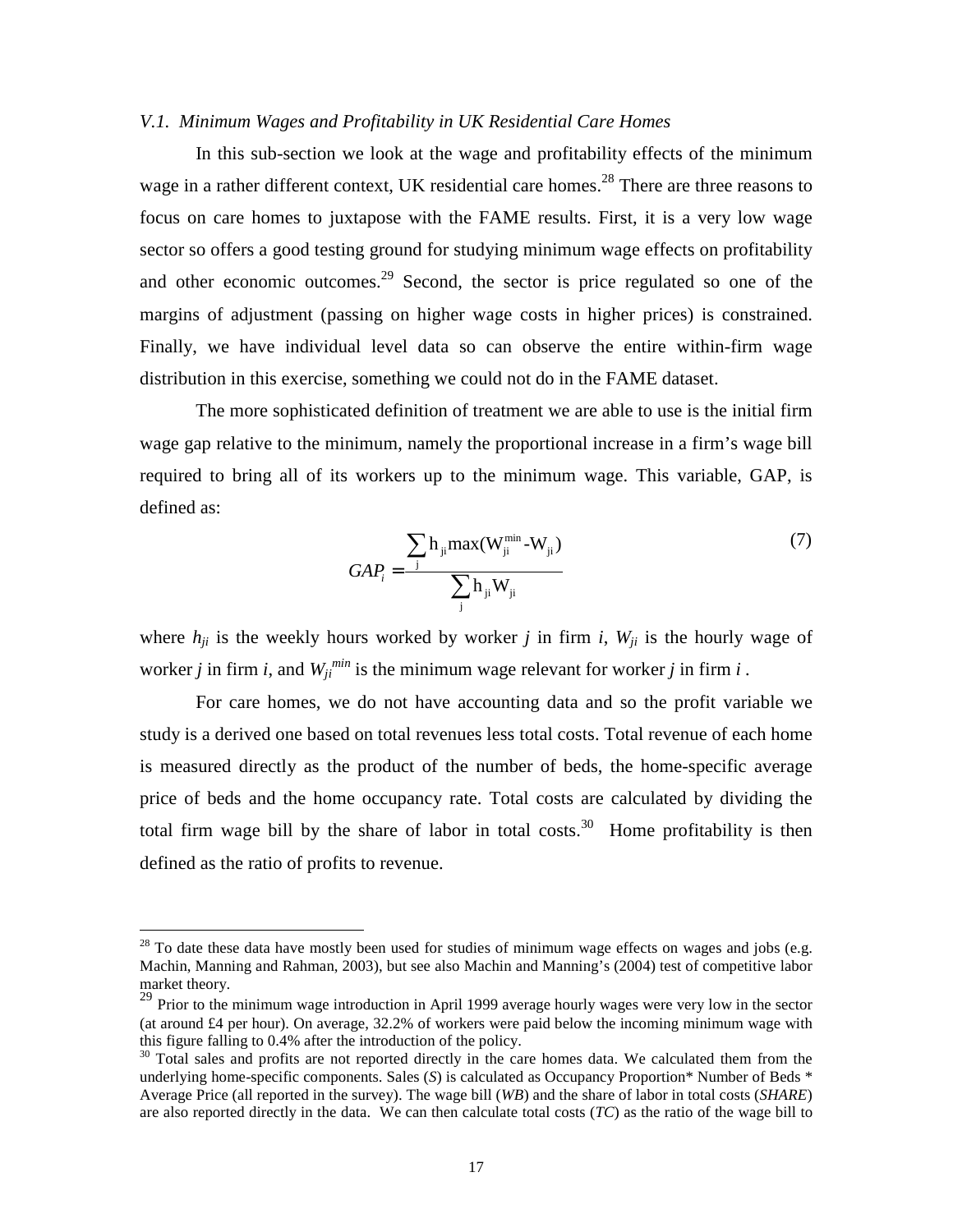#### *V.1. Minimum Wages and Profitability in UK Residential Care Homes*

In this sub-section we look at the wage and profitability effects of the minimum wage in a rather different context, UK residential care homes.<sup>28</sup> There are three reasons to focus on care homes to juxtapose with the FAME results. First, it is a very low wage sector so offers a good testing ground for studying minimum wage effects on profitability and other economic outcomes.<sup>29</sup> Second, the sector is price regulated so one of the margins of adjustment (passing on higher wage costs in higher prices) is constrained. Finally, we have individual level data so can observe the entire within-firm wage distribution in this exercise, something we could not do in the FAME dataset.

The more sophisticated definition of treatment we are able to use is the initial firm wage gap relative to the minimum, namely the proportional increase in a firm's wage bill required to bring all of its workers up to the minimum wage. This variable, GAP, is defined as:

$$
GAP_i = \frac{\sum_{j} h_{ji} \max(W_{ji}^{\min} - W_{ji})}{\sum_{j} h_{ji} W_{ji}}
$$
\n(7)

where  $h_{ii}$  is the weekly hours worked by worker *j* in firm *i*,  $W_{ii}$  is the hourly wage of worker *j* in firm *i*, and  $W_{ji}^{min}$  is the minimum wage relevant for worker *j* in firm *i*.

For care homes, we do not have accounting data and so the profit variable we study is a derived one based on total revenues less total costs. Total revenue of each home is measured directly as the product of the number of beds, the home-specific average price of beds and the home occupancy rate. Total costs are calculated by dividing the total firm wage bill by the share of labor in total costs.<sup>30</sup> Home profitability is then defined as the ratio of profits to revenue.

 $\overline{a}$ 

 $28$  To date these data have mostly been used for studies of minimum wage effects on wages and jobs (e.g. Machin, Manning and Rahman, 2003), but see also Machin and Manning's (2004) test of competitive labor market theory.

<sup>&</sup>lt;sup>29</sup> Prior to the minimum wage introduction in April 1999 average hourly wages were very low in the sector (at around £4 per hour). On average, 32.2% of workers were paid below the incoming minimum wage with this figure falling to 0.4% after the introduction of the policy.

<sup>&</sup>lt;sup>30</sup> Total sales and profits are not reported directly in the care homes data. We calculated them from the underlying home-specific components. Sales (*S*) is calculated as Occupancy Proportion\* Number of Beds \* Average Price (all reported in the survey). The wage bill (*WB*) and the share of labor in total costs (*SHARE*) are also reported directly in the data. We can then calculate total costs (*TC*) as the ratio of the wage bill to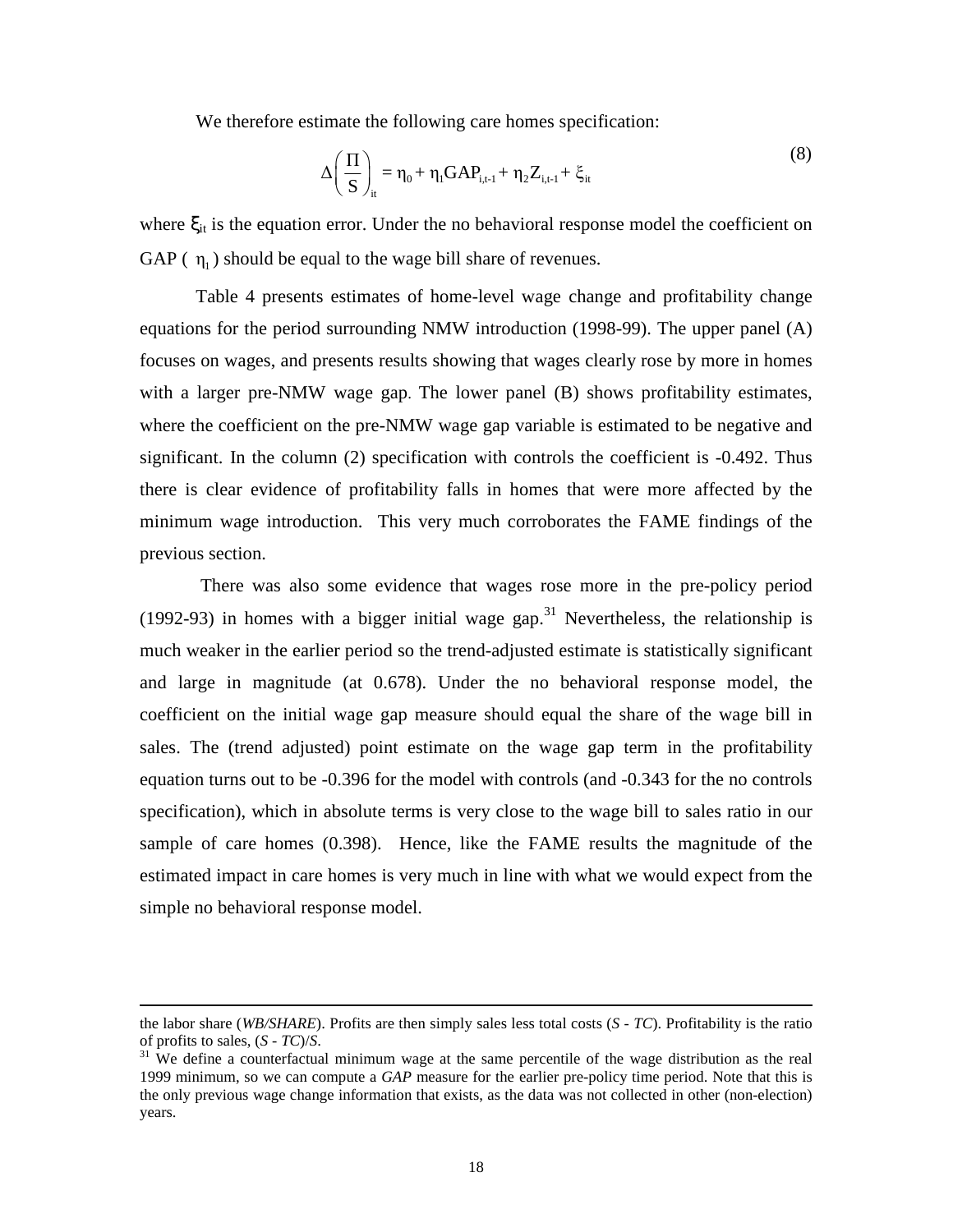We therefore estimate the following care homes specification:

$$
\Delta \left( \frac{\Pi}{S} \right)_{it} = \eta_0 + \eta_1 GAP_{i,t-1} + \eta_2 Z_{i,t-1} + \xi_{it}
$$
\n(8)

where  $\xi_{it}$  is the equation error. Under the no behavioral response model the coefficient on GAP  $(\eta_1)$  should be equal to the wage bill share of revenues.

Table 4 presents estimates of home-level wage change and profitability change equations for the period surrounding NMW introduction (1998-99). The upper panel (A) focuses on wages, and presents results showing that wages clearly rose by more in homes with a larger pre-NMW wage gap. The lower panel (B) shows profitability estimates, where the coefficient on the pre-NMW wage gap variable is estimated to be negative and significant. In the column (2) specification with controls the coefficient is -0.492. Thus there is clear evidence of profitability falls in homes that were more affected by the minimum wage introduction. This very much corroborates the FAME findings of the previous section.

 There was also some evidence that wages rose more in the pre-policy period (1992-93) in homes with a bigger initial wage gap.<sup>31</sup> Nevertheless, the relationship is much weaker in the earlier period so the trend-adjusted estimate is statistically significant and large in magnitude (at 0.678). Under the no behavioral response model, the coefficient on the initial wage gap measure should equal the share of the wage bill in sales. The (trend adjusted) point estimate on the wage gap term in the profitability equation turns out to be -0.396 for the model with controls (and -0.343 for the no controls specification), which in absolute terms is very close to the wage bill to sales ratio in our sample of care homes (0.398). Hence, like the FAME results the magnitude of the estimated impact in care homes is very much in line with what we would expect from the simple no behavioral response model.

-

the labor share (*WB/SHARE*). Profits are then simply sales less total costs (*S - TC*). Profitability is the ratio of profits to sales, (*S - TC*)/*S*.

 $31$  We define a counterfactual minimum wage at the same percentile of the wage distribution as the real 1999 minimum, so we can compute a *GAP* measure for the earlier pre-policy time period. Note that this is the only previous wage change information that exists, as the data was not collected in other (non-election) years.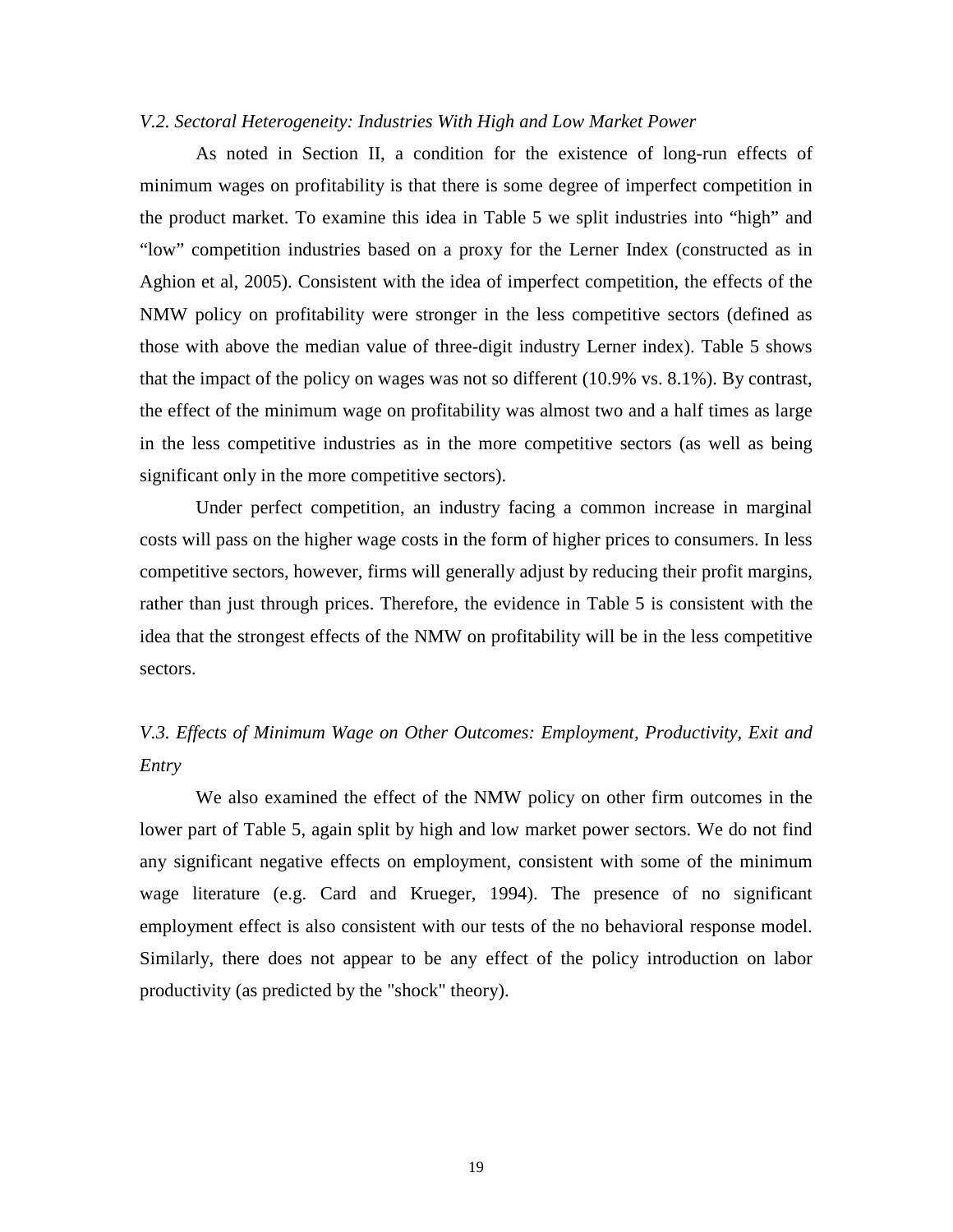#### *V.2. Sectoral Heterogeneity: Industries With High and Low Market Power*

As noted in Section II, a condition for the existence of long-run effects of minimum wages on profitability is that there is some degree of imperfect competition in the product market. To examine this idea in Table 5 we split industries into "high" and "low" competition industries based on a proxy for the Lerner Index (constructed as in Aghion et al, 2005). Consistent with the idea of imperfect competition, the effects of the NMW policy on profitability were stronger in the less competitive sectors (defined as those with above the median value of three-digit industry Lerner index). Table 5 shows that the impact of the policy on wages was not so different (10.9% vs. 8.1%). By contrast, the effect of the minimum wage on profitability was almost two and a half times as large in the less competitive industries as in the more competitive sectors (as well as being significant only in the more competitive sectors).

Under perfect competition, an industry facing a common increase in marginal costs will pass on the higher wage costs in the form of higher prices to consumers. In less competitive sectors, however, firms will generally adjust by reducing their profit margins, rather than just through prices. Therefore, the evidence in Table 5 is consistent with the idea that the strongest effects of the NMW on profitability will be in the less competitive sectors.

# *V.3. Effects of Minimum Wage on Other Outcomes: Employment, Productivity, Exit and Entry*

We also examined the effect of the NMW policy on other firm outcomes in the lower part of Table 5, again split by high and low market power sectors. We do not find any significant negative effects on employment, consistent with some of the minimum wage literature (e.g. Card and Krueger, 1994). The presence of no significant employment effect is also consistent with our tests of the no behavioral response model. Similarly, there does not appear to be any effect of the policy introduction on labor productivity (as predicted by the "shock" theory).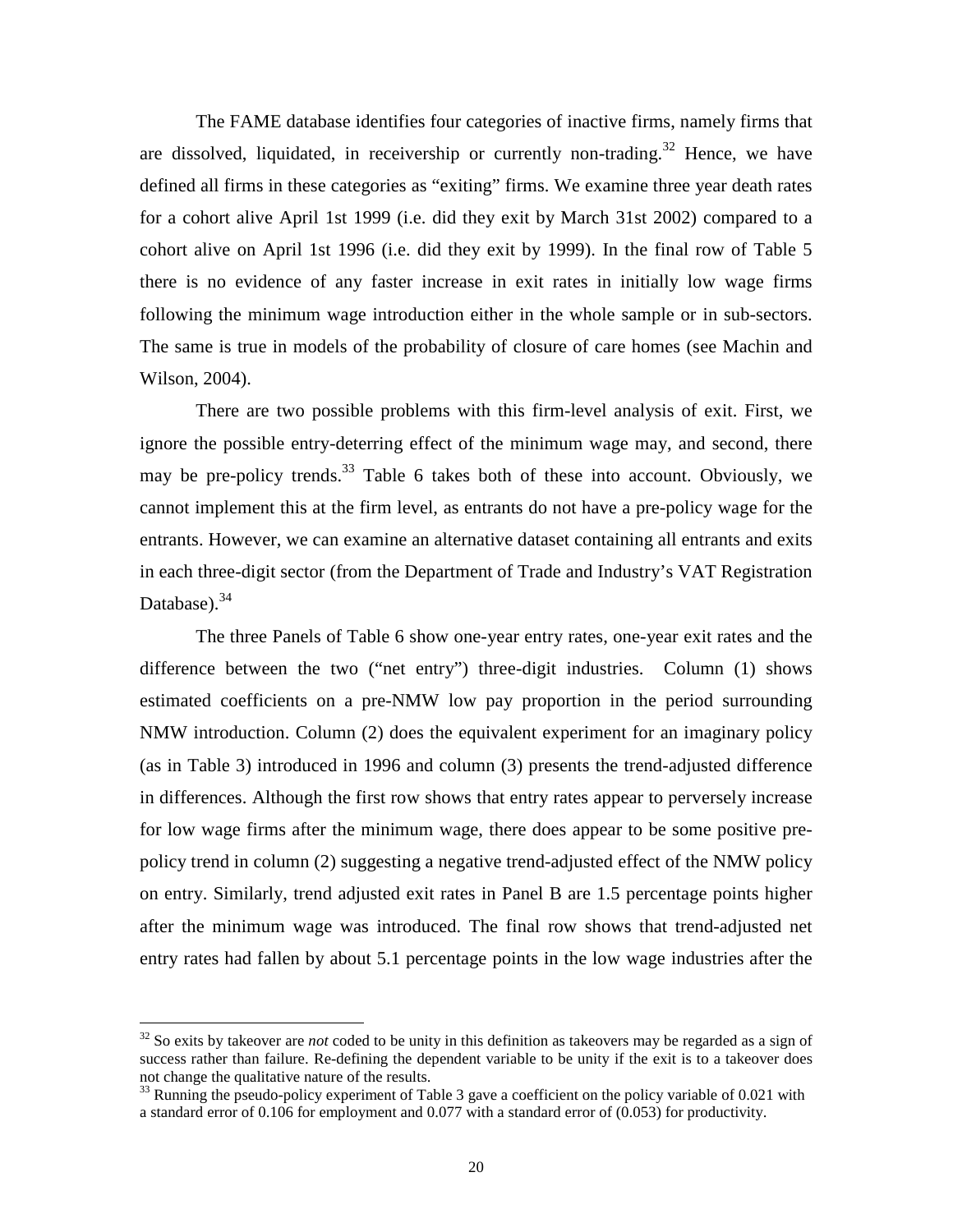The FAME database identifies four categories of inactive firms, namely firms that are dissolved, liquidated, in receivership or currently non-trading.<sup>32</sup> Hence, we have defined all firms in these categories as "exiting" firms. We examine three year death rates for a cohort alive April 1st 1999 (i.e. did they exit by March 31st 2002) compared to a cohort alive on April 1st 1996 (i.e. did they exit by 1999). In the final row of Table 5 there is no evidence of any faster increase in exit rates in initially low wage firms following the minimum wage introduction either in the whole sample or in sub-sectors. The same is true in models of the probability of closure of care homes (see Machin and Wilson, 2004).

There are two possible problems with this firm-level analysis of exit. First, we ignore the possible entry-deterring effect of the minimum wage may, and second, there may be pre-policy trends.<sup>33</sup> Table 6 takes both of these into account. Obviously, we cannot implement this at the firm level, as entrants do not have a pre-policy wage for the entrants. However, we can examine an alternative dataset containing all entrants and exits in each three-digit sector (from the Department of Trade and Industry's VAT Registration Database). $34$ 

The three Panels of Table 6 show one-year entry rates, one-year exit rates and the difference between the two ("net entry") three-digit industries. Column (1) shows estimated coefficients on a pre-NMW low pay proportion in the period surrounding NMW introduction. Column (2) does the equivalent experiment for an imaginary policy (as in Table 3) introduced in 1996 and column (3) presents the trend-adjusted difference in differences. Although the first row shows that entry rates appear to perversely increase for low wage firms after the minimum wage, there does appear to be some positive prepolicy trend in column (2) suggesting a negative trend-adjusted effect of the NMW policy on entry. Similarly, trend adjusted exit rates in Panel B are 1.5 percentage points higher after the minimum wage was introduced. The final row shows that trend-adjusted net entry rates had fallen by about 5.1 percentage points in the low wage industries after the

 $\overline{a}$ 

<sup>&</sup>lt;sup>32</sup> So exits by takeover are *not* coded to be unity in this definition as takeovers may be regarded as a sign of success rather than failure. Re-defining the dependent variable to be unity if the exit is to a takeover does not change the qualitative nature of the results.

 $33$  Running the pseudo-policy experiment of Table 3 gave a coefficient on the policy variable of 0.021 with a standard error of 0.106 for employment and 0.077 with a standard error of (0.053) for productivity.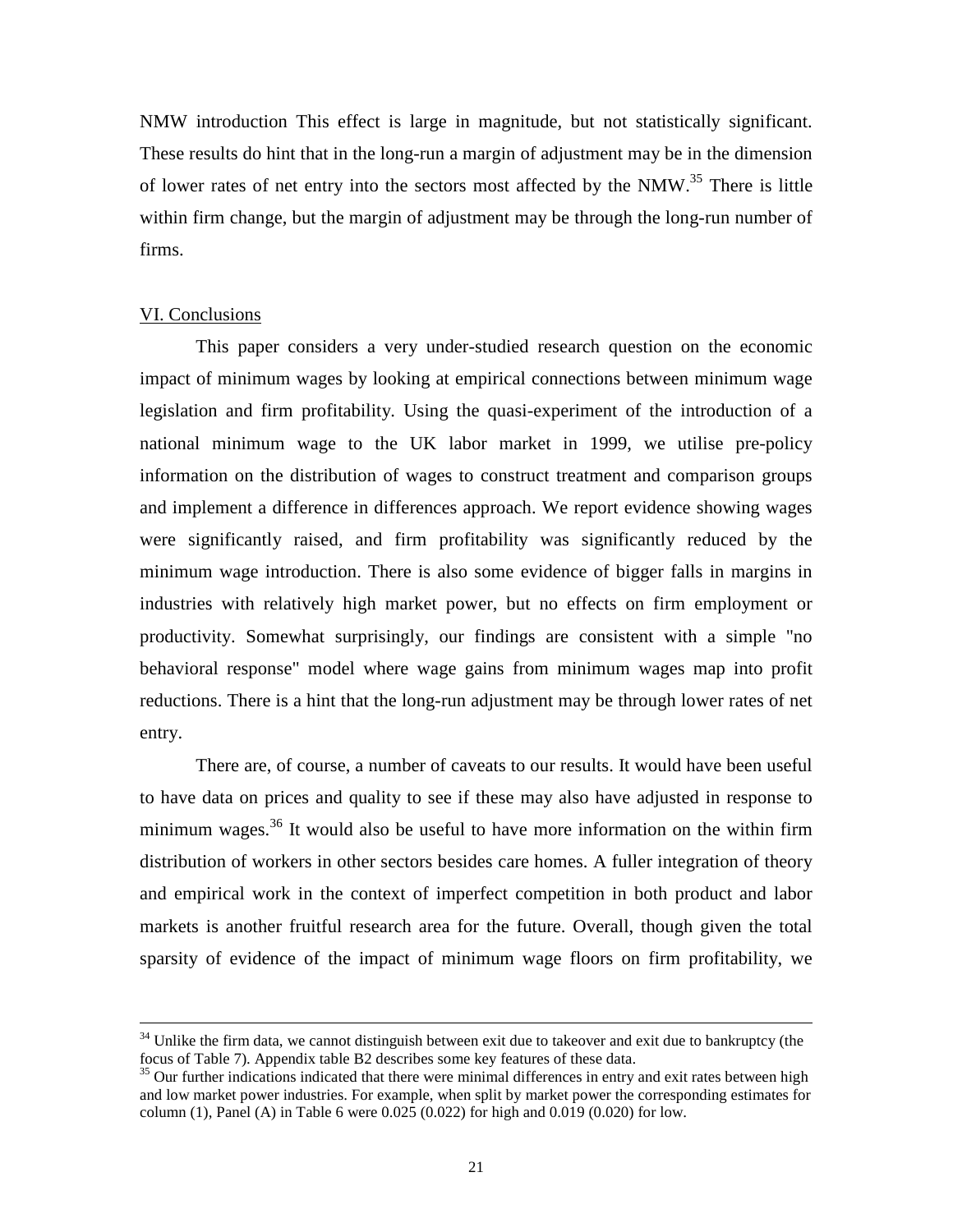NMW introduction This effect is large in magnitude, but not statistically significant. These results do hint that in the long-run a margin of adjustment may be in the dimension of lower rates of net entry into the sectors most affected by the NMW.<sup>35</sup> There is little within firm change, but the margin of adjustment may be through the long-run number of firms.

#### VI. Conclusions

<u>.</u>

This paper considers a very under-studied research question on the economic impact of minimum wages by looking at empirical connections between minimum wage legislation and firm profitability. Using the quasi-experiment of the introduction of a national minimum wage to the UK labor market in 1999, we utilise pre-policy information on the distribution of wages to construct treatment and comparison groups and implement a difference in differences approach. We report evidence showing wages were significantly raised, and firm profitability was significantly reduced by the minimum wage introduction. There is also some evidence of bigger falls in margins in industries with relatively high market power, but no effects on firm employment or productivity. Somewhat surprisingly, our findings are consistent with a simple "no behavioral response" model where wage gains from minimum wages map into profit reductions. There is a hint that the long-run adjustment may be through lower rates of net entry.

There are, of course, a number of caveats to our results. It would have been useful to have data on prices and quality to see if these may also have adjusted in response to minimum wages.<sup>36</sup> It would also be useful to have more information on the within firm distribution of workers in other sectors besides care homes. A fuller integration of theory and empirical work in the context of imperfect competition in both product and labor markets is another fruitful research area for the future. Overall, though given the total sparsity of evidence of the impact of minimum wage floors on firm profitability, we

 $34$  Unlike the firm data, we cannot distinguish between exit due to takeover and exit due to bankruptcy (the focus of Table 7). Appendix table B2 describes some key features of these data.

<sup>&</sup>lt;sup>35</sup> Our further indications indicated that there were minimal differences in entry and exit rates between high and low market power industries. For example, when split by market power the corresponding estimates for column (1), Panel (A) in Table 6 were  $0.025(0.022)$  for high and  $0.019(0.020)$  for low.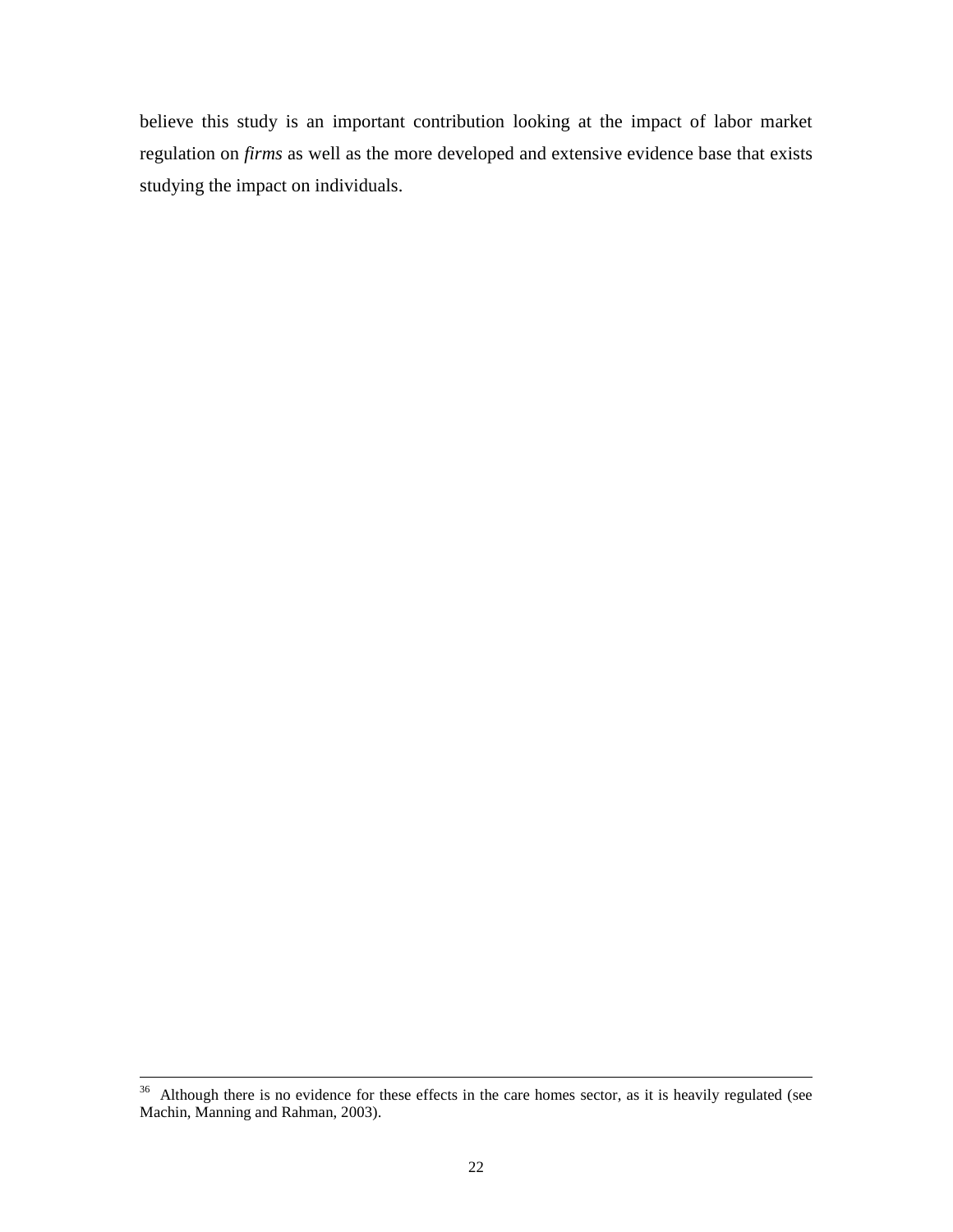believe this study is an important contribution looking at the impact of labor market regulation on *firms* as well as the more developed and extensive evidence base that exists studying the impact on individuals.

<u>.</u>

 $36$  Although there is no evidence for these effects in the care homes sector, as it is heavily regulated (see Machin, Manning and Rahman, 2003).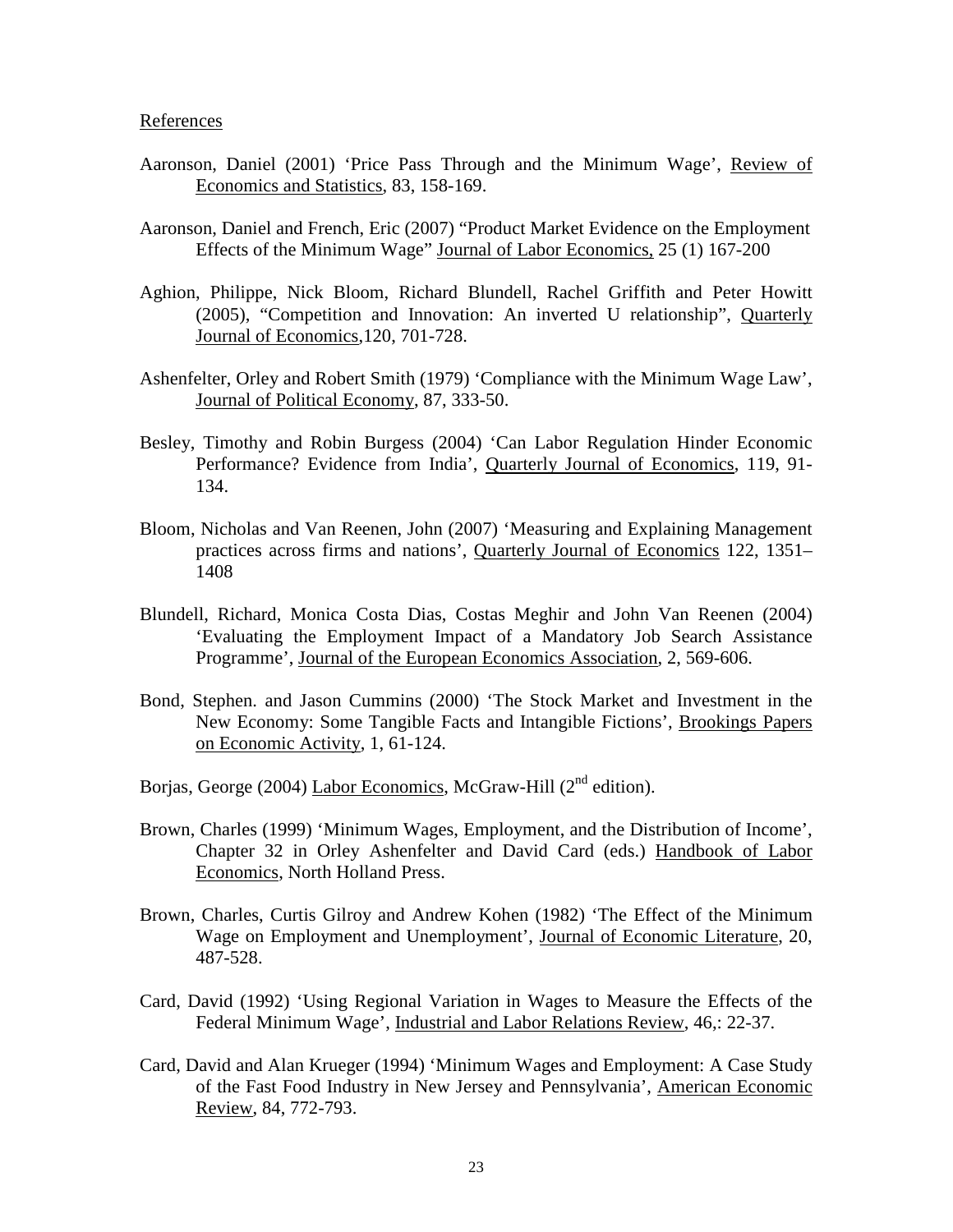#### References

- Aaronson, Daniel (2001) 'Price Pass Through and the Minimum Wage', Review of Economics and Statistics, 83, 158-169.
- Aaronson, Daniel and French, Eric (2007) "Product Market Evidence on the Employment Effects of the Minimum Wage" Journal of Labor Economics, 25 (1) 167-200
- Aghion, Philippe, Nick Bloom, Richard Blundell, Rachel Griffith and Peter Howitt (2005), "Competition and Innovation: An inverted U relationship", Quarterly Journal of Economics,120, 701-728.
- Ashenfelter, Orley and Robert Smith (1979) 'Compliance with the Minimum Wage Law', Journal of Political Economy, 87, 333-50.
- Besley, Timothy and Robin Burgess (2004) 'Can Labor Regulation Hinder Economic Performance? Evidence from India', Quarterly Journal of Economics, 119, 91- 134.
- Bloom, Nicholas and Van Reenen, John (2007) 'Measuring and Explaining Management practices across firms and nations', Quarterly Journal of Economics 122, 1351– 1408
- Blundell, Richard, Monica Costa Dias, Costas Meghir and John Van Reenen (2004) 'Evaluating the Employment Impact of a Mandatory Job Search Assistance Programme', Journal of the European Economics Association, 2, 569-606.
- Bond, Stephen. and Jason Cummins (2000) 'The Stock Market and Investment in the New Economy: Some Tangible Facts and Intangible Fictions', Brookings Papers on Economic Activity, 1, 61-124.
- Borjas, George (2004) Labor Economics, McGraw-Hill (2<sup>nd</sup> edition).
- Brown, Charles (1999) 'Minimum Wages, Employment, and the Distribution of Income', Chapter 32 in Orley Ashenfelter and David Card (eds.) Handbook of Labor Economics, North Holland Press.
- Brown, Charles, Curtis Gilroy and Andrew Kohen (1982) 'The Effect of the Minimum Wage on Employment and Unemployment', Journal of Economic Literature, 20, 487-528.
- Card, David (1992) 'Using Regional Variation in Wages to Measure the Effects of the Federal Minimum Wage', Industrial and Labor Relations Review, 46,: 22-37.
- Card, David and Alan Krueger (1994) 'Minimum Wages and Employment: A Case Study of the Fast Food Industry in New Jersey and Pennsylvania', American Economic Review, 84, 772-793.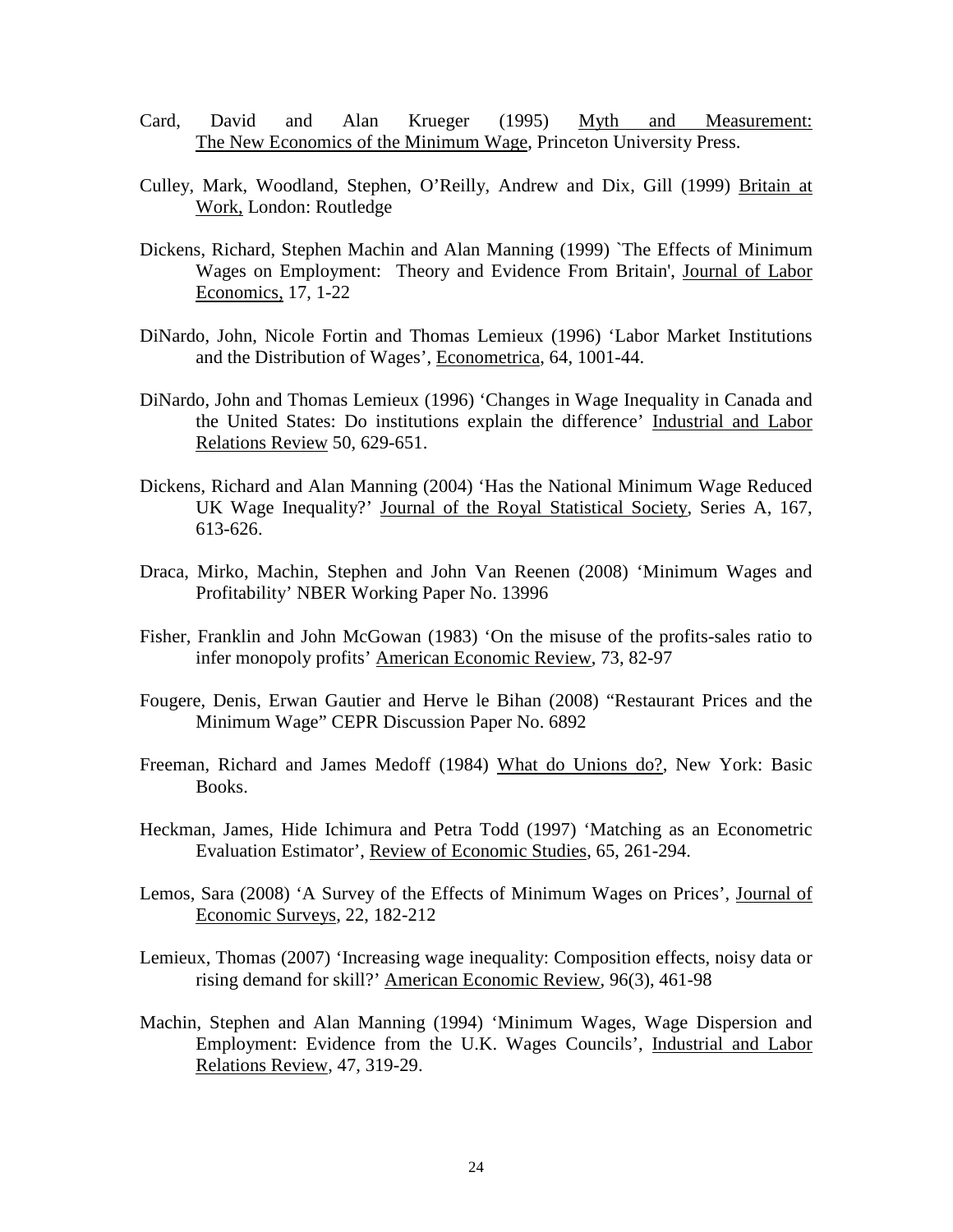- Card, David and Alan Krueger (1995) Myth and Measurement: The New Economics of the Minimum Wage, Princeton University Press.
- Culley, Mark, Woodland, Stephen, O'Reilly, Andrew and Dix, Gill (1999) Britain at Work, London: Routledge
- Dickens, Richard, Stephen Machin and Alan Manning (1999) `The Effects of Minimum Wages on Employment: Theory and Evidence From Britain', Journal of Labor Economics, 17, 1-22
- DiNardo, John, Nicole Fortin and Thomas Lemieux (1996) 'Labor Market Institutions and the Distribution of Wages', Econometrica, 64, 1001-44.
- DiNardo, John and Thomas Lemieux (1996) 'Changes in Wage Inequality in Canada and the United States: Do institutions explain the difference' Industrial and Labor Relations Review 50, 629-651.
- Dickens, Richard and Alan Manning (2004) 'Has the National Minimum Wage Reduced UK Wage Inequality?' Journal of the Royal Statistical Society, Series A, 167, 613-626.
- Draca, Mirko, Machin, Stephen and John Van Reenen (2008) 'Minimum Wages and Profitability' NBER Working Paper No. 13996
- Fisher, Franklin and John McGowan (1983) 'On the misuse of the profits-sales ratio to infer monopoly profits' American Economic Review, 73, 82-97
- Fougere, Denis, Erwan Gautier and Herve le Bihan (2008) "Restaurant Prices and the Minimum Wage" CEPR Discussion Paper No. 6892
- Freeman, Richard and James Medoff (1984) What do Unions do?, New York: Basic Books.
- Heckman, James, Hide Ichimura and Petra Todd (1997) 'Matching as an Econometric Evaluation Estimator', Review of Economic Studies, 65, 261-294.
- Lemos, Sara (2008) 'A Survey of the Effects of Minimum Wages on Prices', Journal of Economic Surveys, 22, 182-212
- Lemieux, Thomas (2007) 'Increasing wage inequality: Composition effects, noisy data or rising demand for skill?' American Economic Review, 96(3), 461-98
- Machin, Stephen and Alan Manning (1994) 'Minimum Wages, Wage Dispersion and Employment: Evidence from the U.K. Wages Councils', Industrial and Labor Relations Review, 47, 319-29.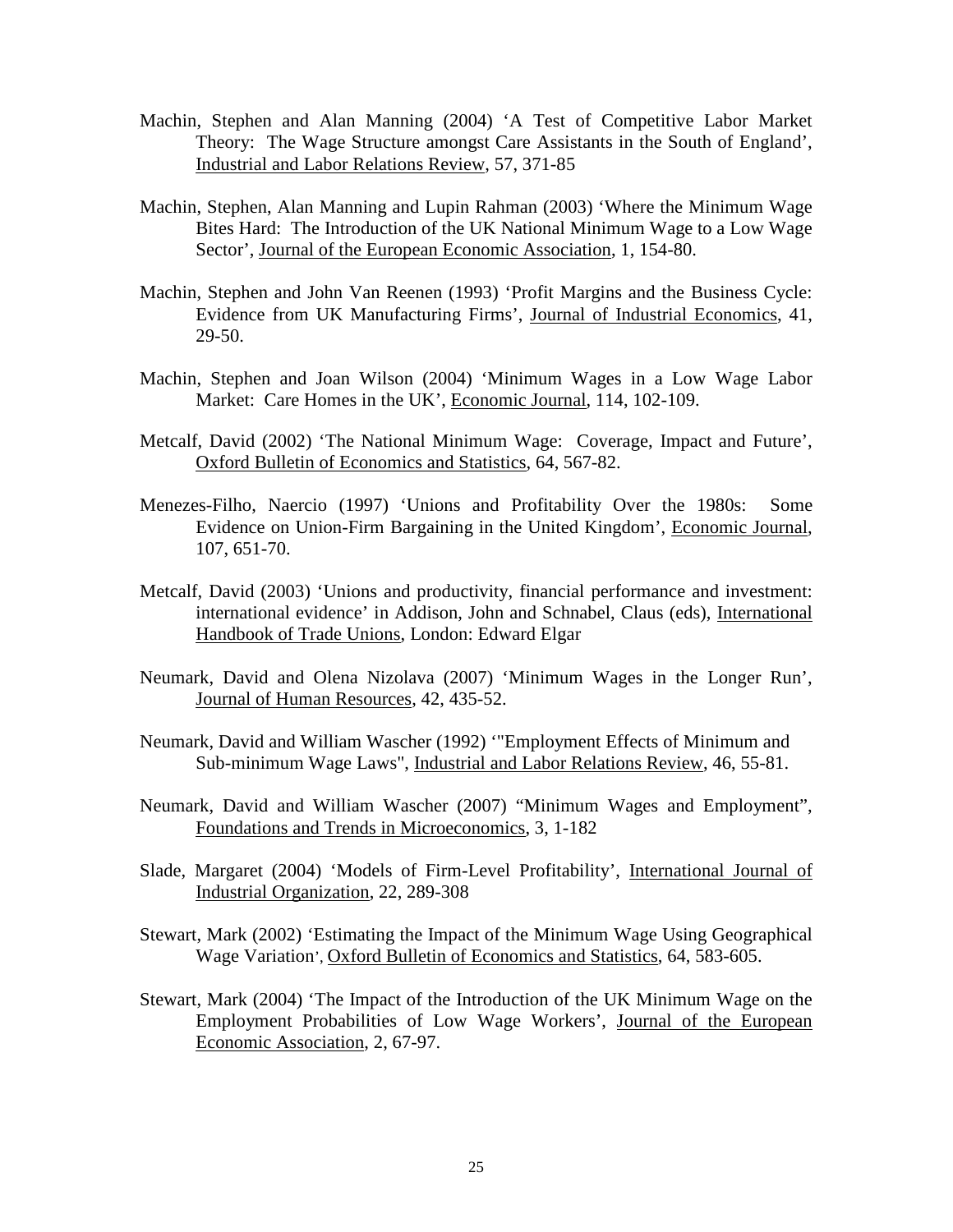- Machin, Stephen and Alan Manning (2004) 'A Test of Competitive Labor Market Theory: The Wage Structure amongst Care Assistants in the South of England', Industrial and Labor Relations Review, 57, 371-85
- Machin, Stephen, Alan Manning and Lupin Rahman (2003) 'Where the Minimum Wage Bites Hard: The Introduction of the UK National Minimum Wage to a Low Wage Sector', Journal of the European Economic Association, 1, 154-80.
- Machin, Stephen and John Van Reenen (1993) 'Profit Margins and the Business Cycle: Evidence from UK Manufacturing Firms', Journal of Industrial Economics, 41, 29-50.
- Machin, Stephen and Joan Wilson (2004) 'Minimum Wages in a Low Wage Labor Market: Care Homes in the UK', Economic Journal, 114, 102-109.
- Metcalf, David (2002) 'The National Minimum Wage: Coverage, Impact and Future', Oxford Bulletin of Economics and Statistics, 64, 567-82.
- Menezes-Filho, Naercio (1997) 'Unions and Profitability Over the 1980s: Some Evidence on Union-Firm Bargaining in the United Kingdom', Economic Journal, 107, 651-70.
- Metcalf, David (2003) 'Unions and productivity, financial performance and investment: international evidence' in Addison, John and Schnabel, Claus (eds), International Handbook of Trade Unions, London: Edward Elgar
- Neumark, David and Olena Nizolava (2007) 'Minimum Wages in the Longer Run', Journal of Human Resources, 42, 435-52.
- Neumark, David and William Wascher (1992) '"Employment Effects of Minimum and Sub-minimum Wage Laws", Industrial and Labor Relations Review, 46, 55-81.
- Neumark, David and William Wascher (2007) "Minimum Wages and Employment", Foundations and Trends in Microeconomics, 3, 1-182
- Slade, Margaret (2004) 'Models of Firm-Level Profitability', International Journal of Industrial Organization, 22, 289-308
- Stewart, Mark (2002) 'Estimating the Impact of the Minimum Wage Using Geographical Wage Variation', Oxford Bulletin of Economics and Statistics, 64, 583-605.
- Stewart, Mark (2004) 'The Impact of the Introduction of the UK Minimum Wage on the Employment Probabilities of Low Wage Workers', Journal of the European Economic Association, 2, 67-97.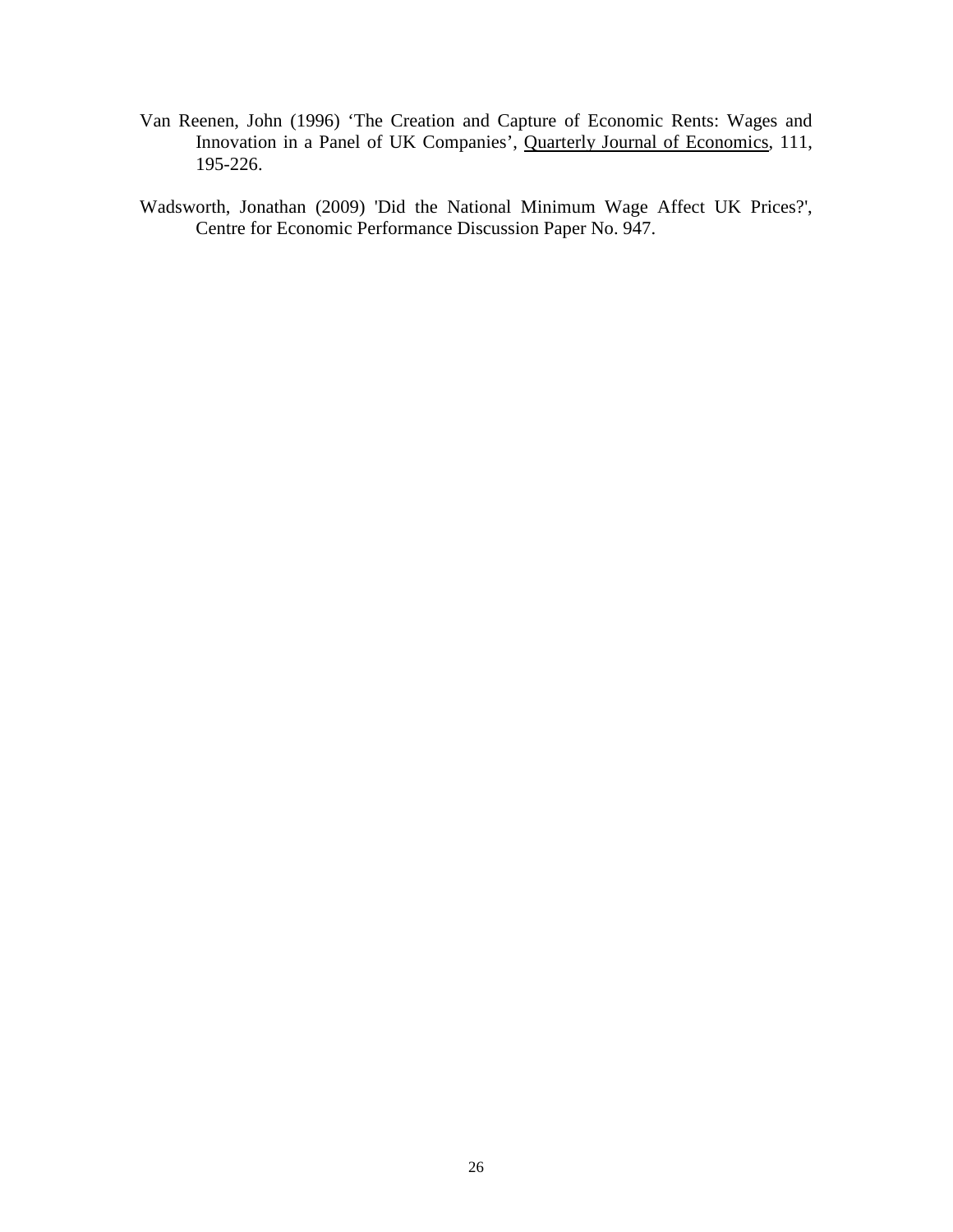- Van Reenen, John (1996) 'The Creation and Capture of Economic Rents: Wages and Innovation in a Panel of UK Companies', Quarterly Journal of Economics, 111, 195-226.
- Wadsworth, Jonathan (2009) 'Did the National Minimum Wage Affect UK Prices?', Centre for Economic Performance Discussion Paper No. 947.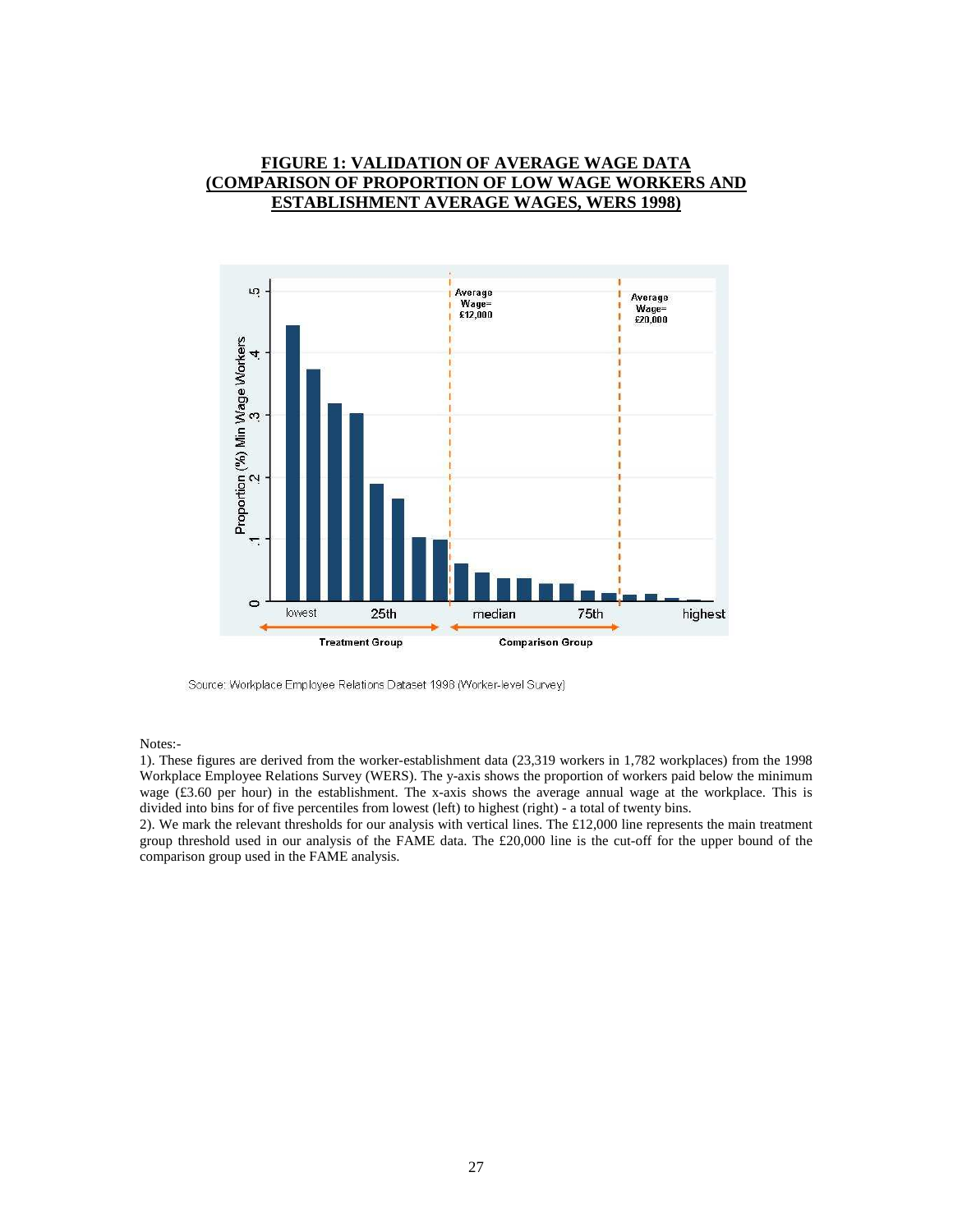#### **FIGURE 1: VALIDATION OF AVERAGE WAGE DATA (COMPARISON OF PROPORTION OF LOW WAGE WORKERS AND ESTABLISHMENT AVERAGE WAGES, WERS 1998)**



Source: Workplace Employee Relations Dataset 1998 (Worker-level Survey)

Notes:-

1). These figures are derived from the worker-establishment data (23,319 workers in 1,782 workplaces) from the 1998 Workplace Employee Relations Survey (WERS). The y-axis shows the proportion of workers paid below the minimum wage (£3.60 per hour) in the establishment. The x-axis shows the average annual wage at the workplace. This is divided into bins for of five percentiles from lowest (left) to highest (right) - a total of twenty bins.

2). We mark the relevant thresholds for our analysis with vertical lines. The £12,000 line represents the main treatment group threshold used in our analysis of the FAME data. The £20,000 line is the cut-off for the upper bound of the comparison group used in the FAME analysis.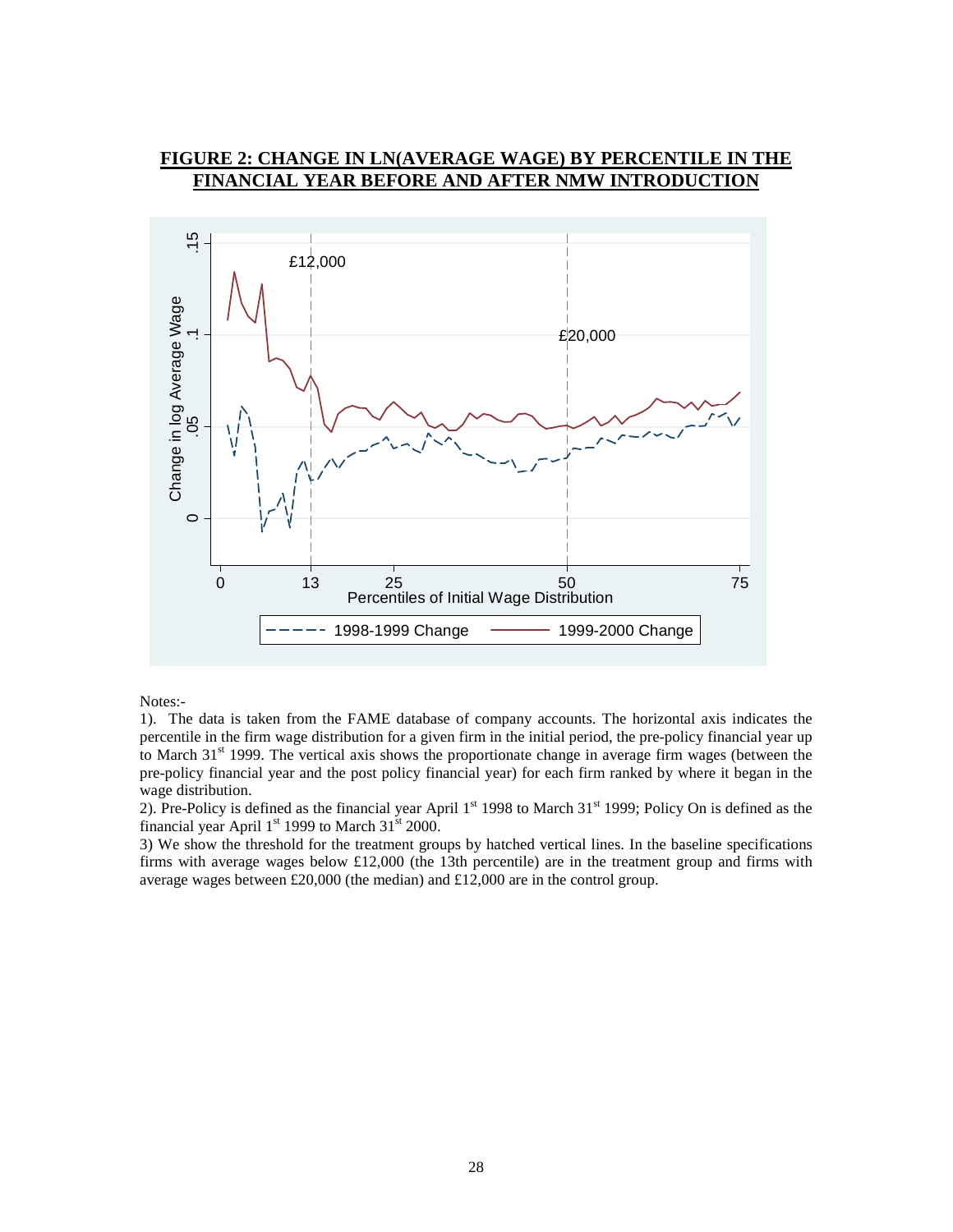## **FIGURE 2: CHANGE IN LN(AVERAGE WAGE) BY PERCENTILE IN THE FINANCIAL YEAR BEFORE AND AFTER NMW INTRODUC**



Notes:-

1). The data is taken from the FAME database of company accounts. The horizontal axis indicates the percentile in the firm wage distribution for a given firm in the initial period, the pre-policy financial year up to March  $31<sup>st</sup>$  1999. The vertical axis shows the proportionate change in average firm wages (between the pre-policy financial year and the post policy financial year) for each firm ranked by where it began in the wage distribution.

2). Pre-Policy is defined as the financial year April  $1<sup>st</sup>$  1998 to March 31 $<sup>st</sup>$  1999; Policy On is defined as the</sup> financial year April  $1<sup>st</sup>$  1999 to March 31 $<sup>st</sup>$  2000.</sup>

3) We show the threshold for the treatment groups by hatched vertical lines. In the baseline specifications firms with average wages below £12,000 (the 13th percentile) are in the treatment group and firms with average wages between £20,000 (the median) and £12,000 are in the control group.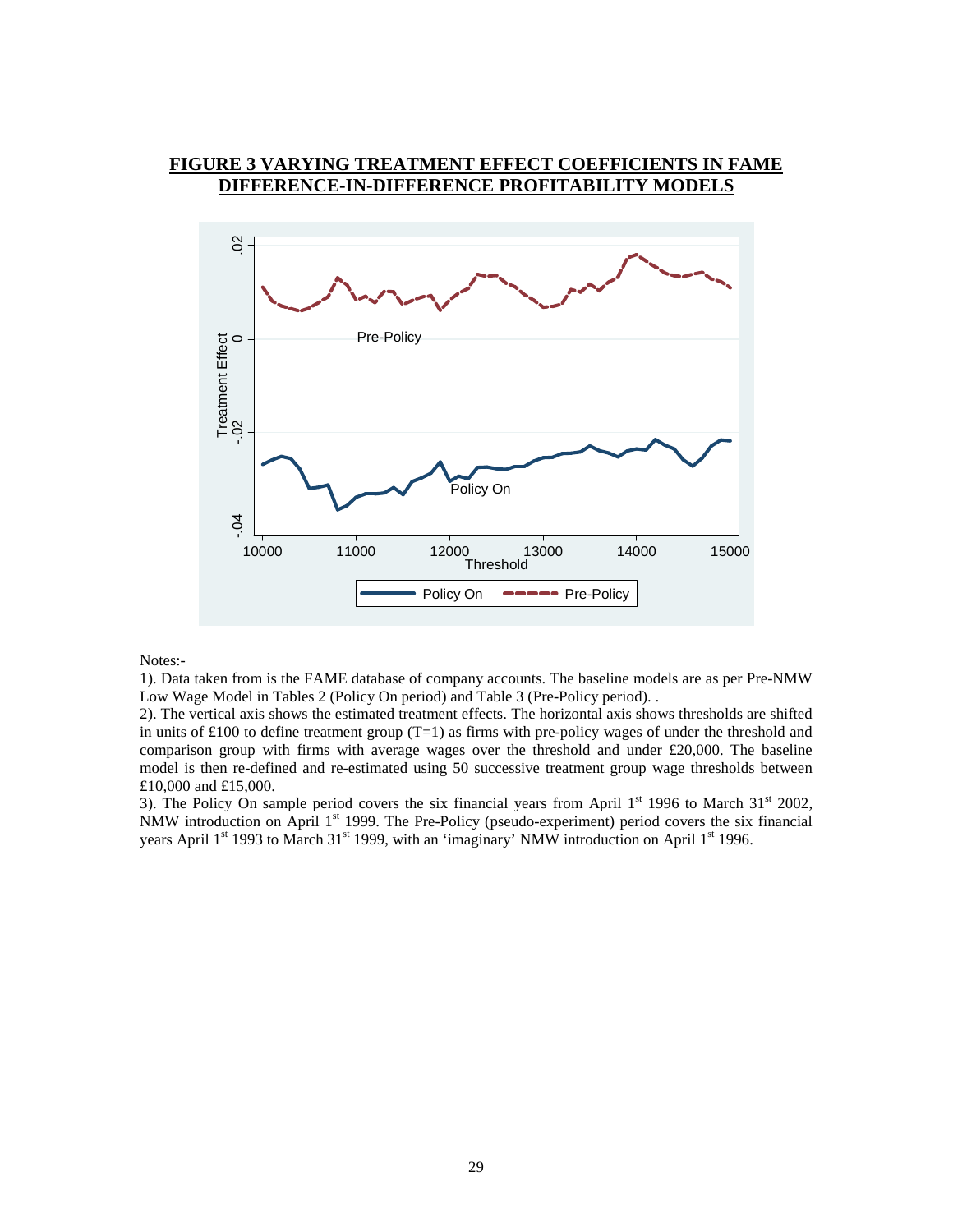#### **FIGURE 3 VARYING TREATMENT EFFECT COEFFICIENTS IN FAME DIFFERENCE-IN-DIFFERENCE PROFITABILITY MODELS**



Notes:-

1). Data taken from is the FAME database of company accounts. The baseline models are as per Pre-NMW Low Wage Model in Tables 2 (Policy On period) and Table 3 (Pre-Policy period). .

2). The vertical axis shows the estimated treatment effects. The horizontal axis shows thresholds are shifted in units of £100 to define treatment group  $(T=1)$  as firms with pre-policy wages of under the threshold and comparison group with firms with average wages over the threshold and under £20,000. The baseline model is then re-defined and re-estimated using 50 successive treatment group wage thresholds between £10,000 and £15,000.

3). The Policy On sample period covers the six financial years from April  $1<sup>st</sup>$  1996 to March  $31<sup>st</sup>$  2002, NMW introduction on April 1<sup>st</sup> 1999. The Pre-Policy (pseudo-experiment) period covers the six financial years April 1<sup>st</sup> 1993 to March 31<sup>st</sup> 1999, with an 'imaginary' NMW introduction on April 1<sup>st</sup> 1996.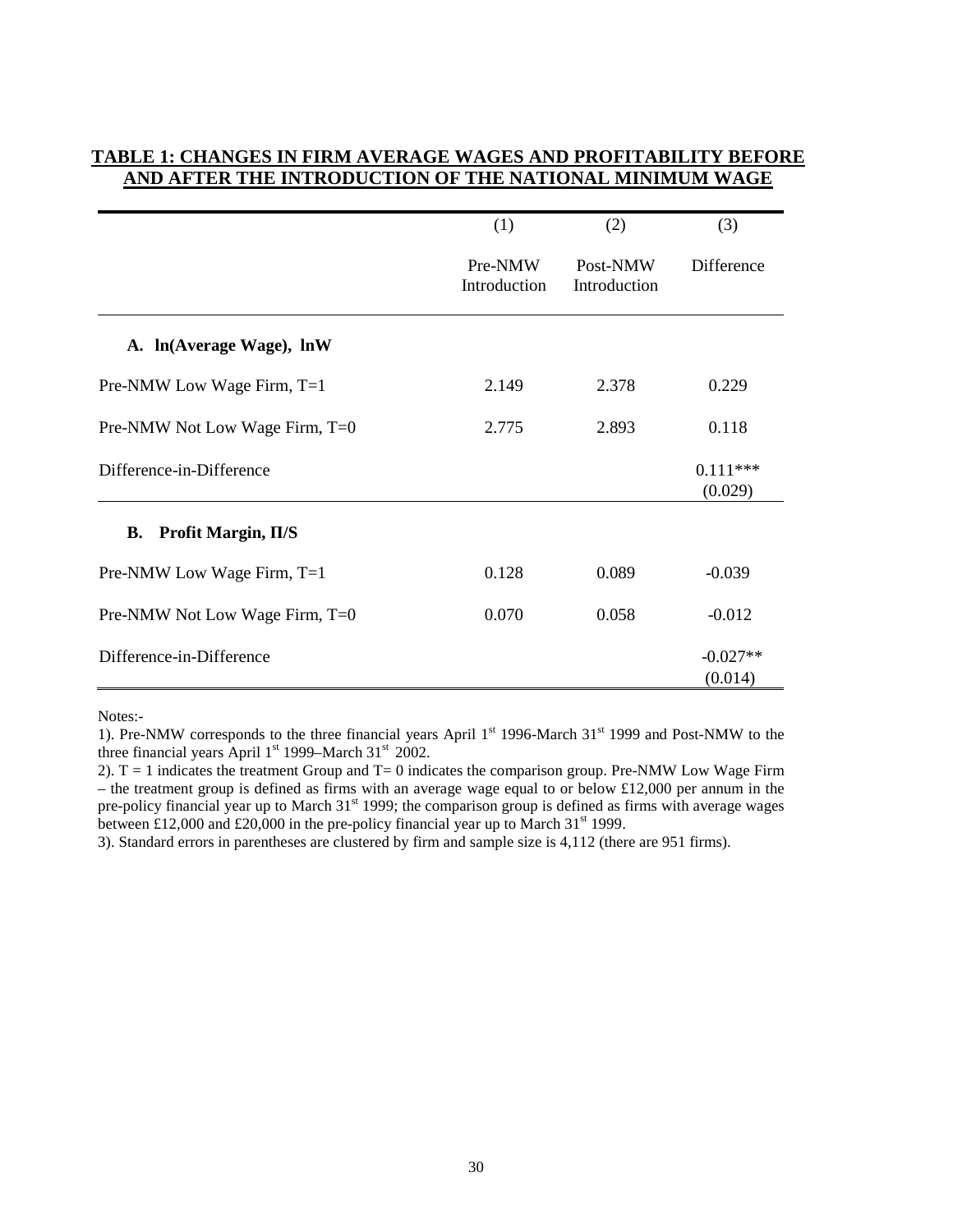|                                | (1)                     | (2)                      | (3)                   |
|--------------------------------|-------------------------|--------------------------|-----------------------|
|                                | Pre-NMW<br>Introduction | Post-NMW<br>Introduction | Difference            |
| A. ln(Average Wage), lnW       |                         |                          |                       |
| Pre-NMW Low Wage Firm, T=1     | 2.149                   | 2.378                    | 0.229                 |
| Pre-NMW Not Low Wage Firm, T=0 | 2.775                   | 2.893                    | 0.118                 |
| Difference-in-Difference       |                         |                          | $0.111***$<br>(0.029) |
| B. Profit Margin, II/S         |                         |                          |                       |
| Pre-NMW Low Wage Firm, T=1     | 0.128                   | 0.089                    | $-0.039$              |
| Pre-NMW Not Low Wage Firm, T=0 | 0.070                   | 0.058                    | $-0.012$              |
| Difference-in-Difference       |                         |                          | $-0.027**$<br>(0.014) |

#### **TABLE 1: CHANGES IN FIRM AVERAGE WAGES AND PROFITABILITY BEFORE AND AFTER THE INTRODUCTION OF THE NATIONAL MINIMUM WAGE**

Notes:-

1). Pre-NMW corresponds to the three financial years April 1<sup>st</sup> 1996-March 31<sup>st</sup> 1999 and Post-NMW to the three financial years April  $1<sup>st</sup>$  1999–March 31 $<sup>st</sup>$  2002.</sup>

2).  $T = 1$  indicates the treatment Group and  $T = 0$  indicates the comparison group. Pre-NMW Low Wage Firm – the treatment group is defined as firms with an average wage equal to or below £12,000 per annum in the pre-policy financial year up to March 31<sup>st</sup> 1999; the comparison group is defined as firms with average wages between £12,000 and £20,000 in the pre-policy financial year up to March 31<sup>st</sup> 1999.

3). Standard errors in parentheses are clustered by firm and sample size is 4,112 (there are 951 firms).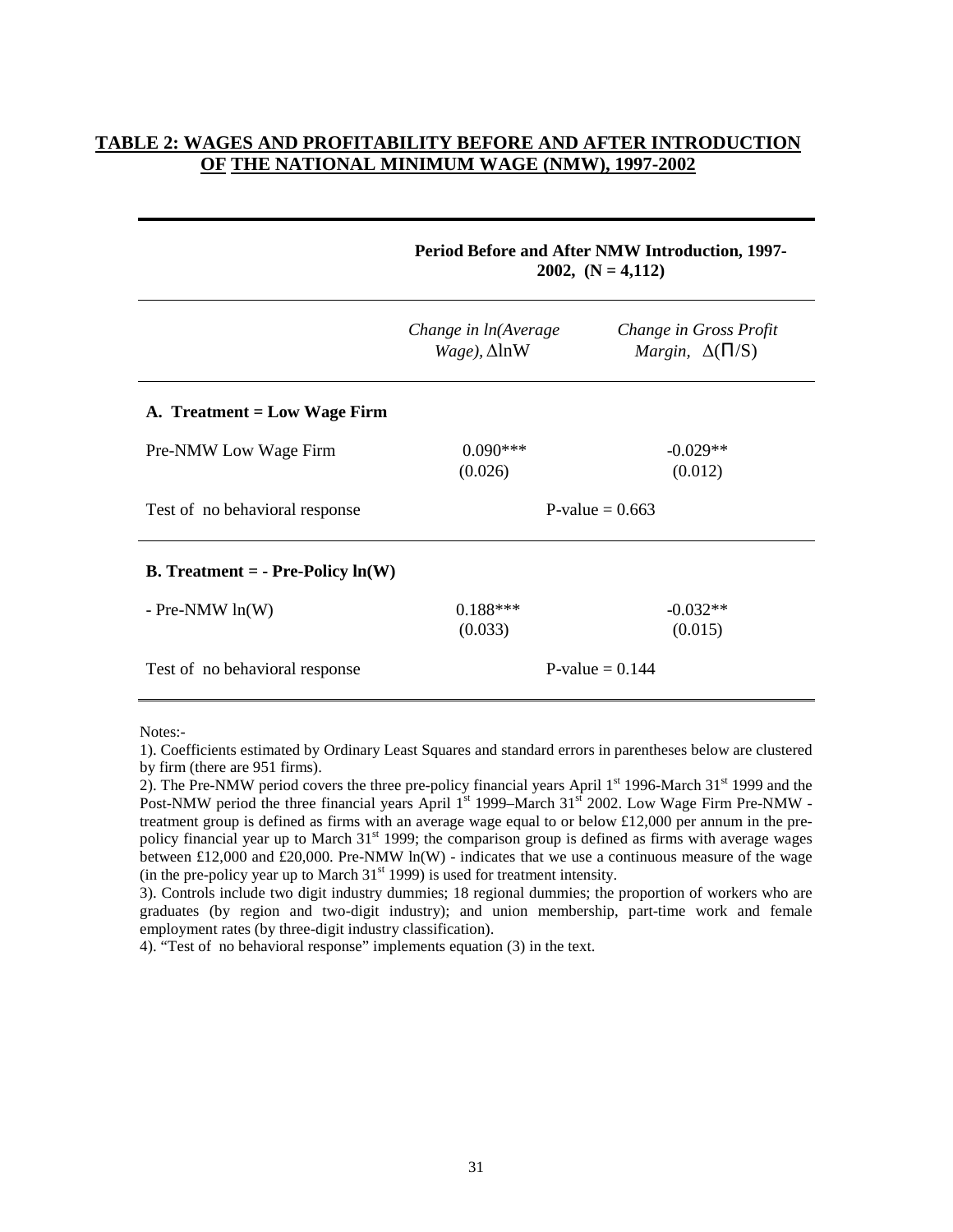# **TABLE 2: WAGES AND PROFITABILITY BEFORE AND AFTER INTRODUCTION OF THE NATIONAL MINIMUM WAGE (NMW), 1997-2002**

|                                                   | Period Before and After NMW Introduction, 1997-<br>2002, $(N = 4,112)$ |                                                           |  |
|---------------------------------------------------|------------------------------------------------------------------------|-----------------------------------------------------------|--|
|                                                   | Change in ln(Average<br>$Wage$ ), $\Delta$ lnW                         | Change in Gross Profit<br><i>Margin</i> , $\Delta(\Pi/S)$ |  |
| A. Treatment = Low Wage Firm                      |                                                                        |                                                           |  |
| Pre-NMW Low Wage Firm                             | $0.090***$<br>(0.026)                                                  | $-0.029**$<br>(0.012)                                     |  |
| Test of no behavioral response                    | P-value $= 0.663$                                                      |                                                           |  |
| <b>B.</b> Treatment = $\text{- Pre-Policy In}(W)$ |                                                                        |                                                           |  |
| $-$ Pre-NMW $ln(W)$                               | $0.188***$<br>(0.033)                                                  | $-0.032**$<br>(0.015)                                     |  |
| Test of no behavioral response                    |                                                                        | P-value $= 0.144$                                         |  |

Notes:-

1). Coefficients estimated by Ordinary Least Squares and standard errors in parentheses below are clustered by firm (there are 951 firms).

2). The Pre-NMW period covers the three pre-policy financial years April  $1<sup>st</sup>$  1996-March 31 $<sup>st</sup>$  1999 and the</sup> Post-NMW period the three financial years April 1<sup>st</sup> 1999–March 31<sup>st</sup> 2002. Low Wage Firm Pre-NMW treatment group is defined as firms with an average wage equal to or below £12,000 per annum in the prepolicy financial year up to March 31<sup>st</sup> 1999; the comparison group is defined as firms with average wages between £12,000 and £20,000. Pre-NMW ln(W) - indicates that we use a continuous measure of the wage (in the pre-policy year up to March  $31<sup>st</sup> 1999$ ) is used for treatment intensity.

3). Controls include two digit industry dummies; 18 regional dummies; the proportion of workers who are graduates (by region and two-digit industry); and union membership, part-time work and female employment rates (by three-digit industry classification).

4). "Test of no behavioral response" implements equation (3) in the text.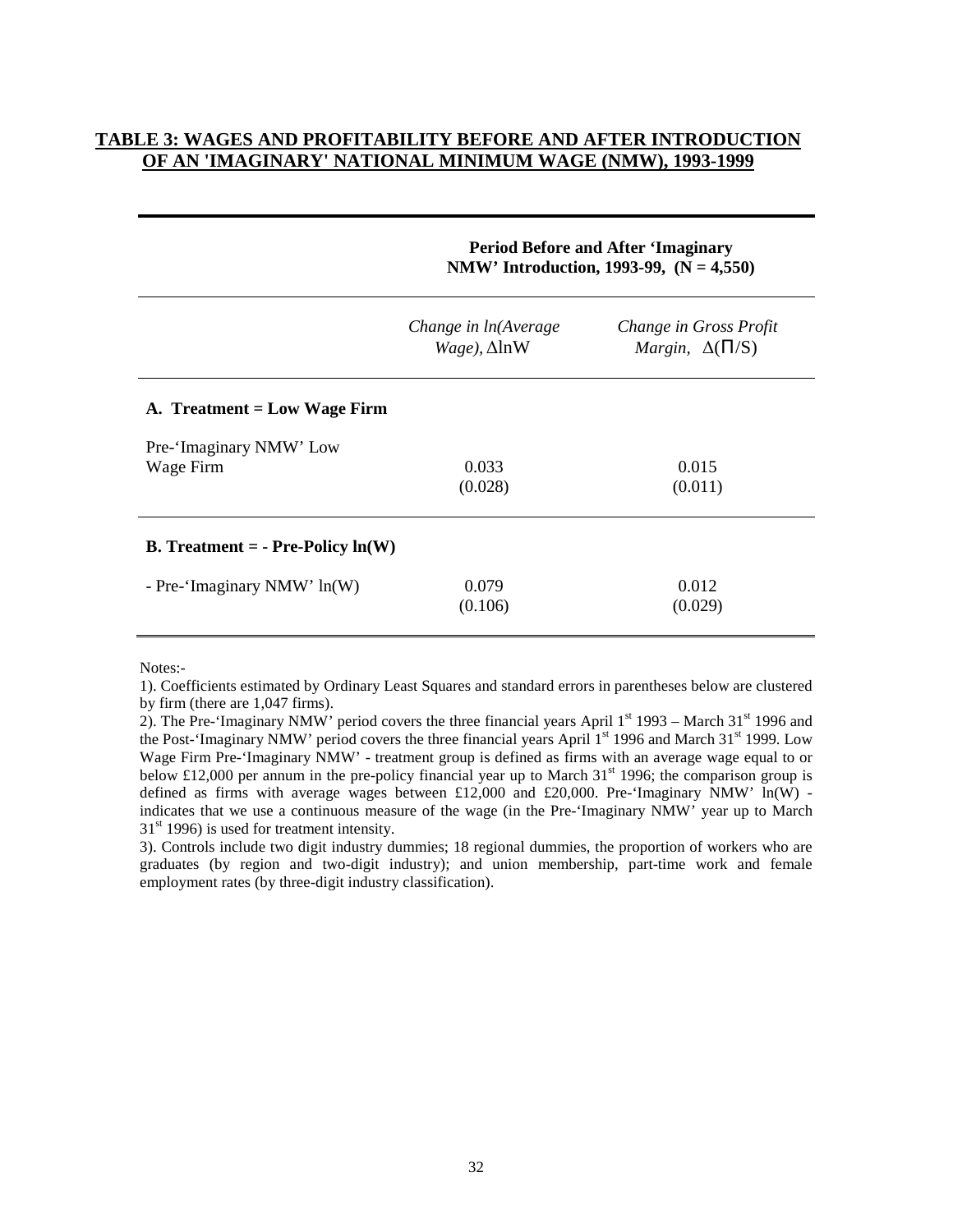# **TABLE 3: WAGES AND PROFITABILITY BEFORE AND AFTER INTRODUCTION OF AN 'IMAGINARY' NATIONAL MINIMUM WAGE (NMW), 1993-1999**

|                                                   | <b>Period Before and After 'Imaginary</b><br>NMW' Introduction, 1993-99, $(N = 4,550)$ |                                                           |  |
|---------------------------------------------------|----------------------------------------------------------------------------------------|-----------------------------------------------------------|--|
|                                                   | Change in ln(Average<br>$Wage$ ), $\Delta$ lnW                                         | Change in Gross Profit<br><i>Margin</i> , $\Delta(\Pi/S)$ |  |
| A. Treatment = Low Wage Firm                      |                                                                                        |                                                           |  |
| Pre-'Imaginary NMW' Low                           |                                                                                        |                                                           |  |
| Wage Firm                                         | 0.033                                                                                  | 0.015                                                     |  |
|                                                   | (0.028)                                                                                | (0.011)                                                   |  |
| <b>B.</b> Treatment = $\text{- Pre-Policy In}(W)$ |                                                                                        |                                                           |  |
| - Pre-'Imaginary NMW' ln(W)                       | 0.079                                                                                  | 0.012                                                     |  |
|                                                   | (0.106)                                                                                | (0.029)                                                   |  |
|                                                   |                                                                                        |                                                           |  |

Notes:-

3). Controls include two digit industry dummies; 18 regional dummies, the proportion of workers who are graduates (by region and two-digit industry); and union membership, part-time work and female employment rates (by three-digit industry classification).

<sup>1).</sup> Coefficients estimated by Ordinary Least Squares and standard errors in parentheses below are clustered by firm (there are 1,047 firms).

<sup>2).</sup> The Pre-'Imaginary NMW' period covers the three financial years April  $1<sup>st</sup> 1993$  – March 31<sup>st</sup> 1996 and the Post-'Imaginary NMW' period covers the three financial years April 1<sup>st</sup> 1996 and March 31<sup>st</sup> 1999. Low Wage Firm Pre-'Imaginary NMW' - treatment group is defined as firms with an average wage equal to or below £12,000 per annum in the pre-policy financial year up to March  $31<sup>st</sup>$  1996; the comparison group is defined as firms with average wages between £12,000 and £20,000. Pre-'Imaginary NMW'  $ln(W)$  indicates that we use a continuous measure of the wage (in the Pre-'Imaginary NMW' year up to March  $31<sup>st</sup>$  1996) is used for treatment intensity.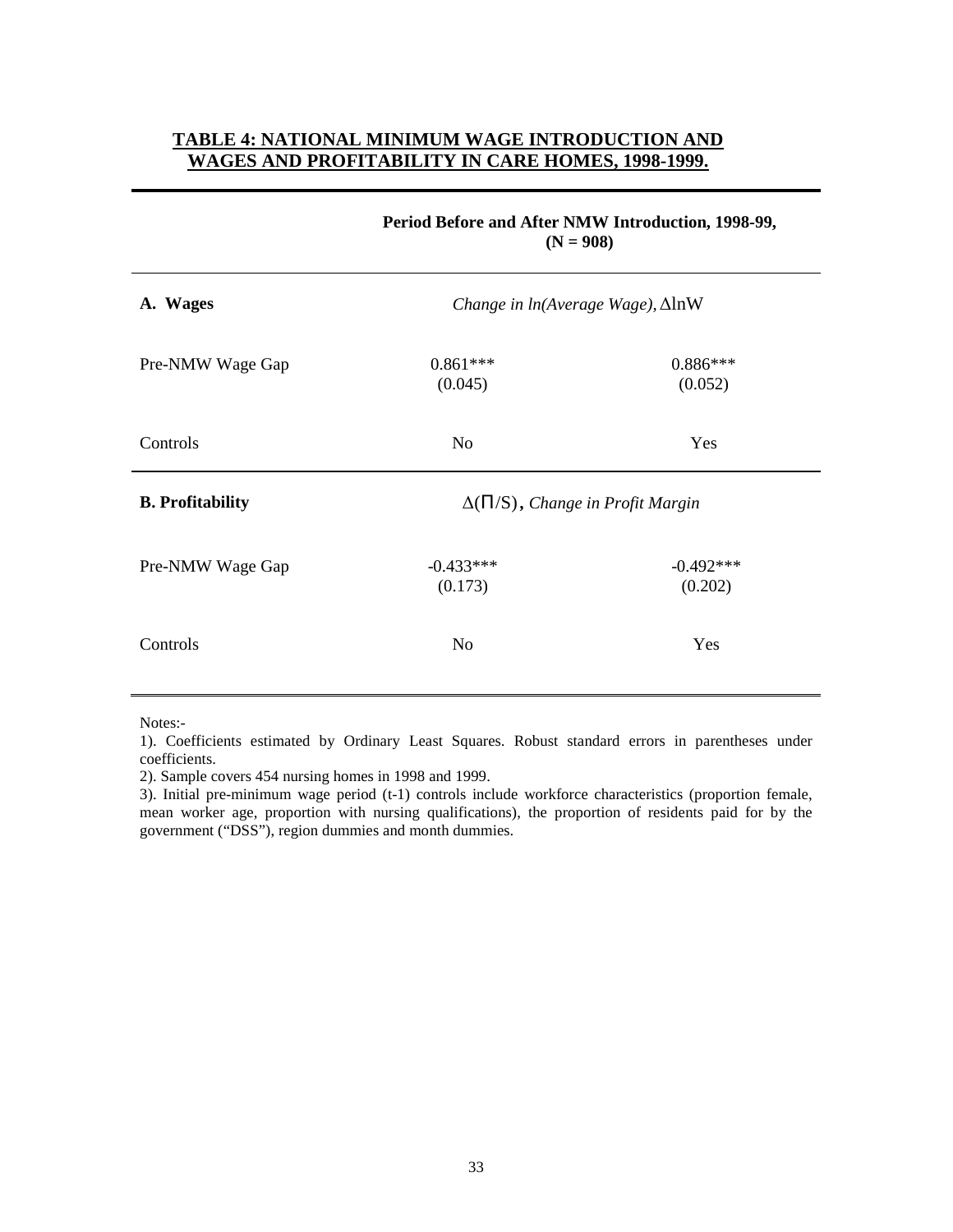# **TABLE 4: NATIONAL MINIMUM WAGE INTRODUCTION AND WAGES AND PROFITABILITY IN CARE HOMES, 1998-1999.**

|                         | $(N = 908)$                                  |                        |  |
|-------------------------|----------------------------------------------|------------------------|--|
| A. Wages                | Change in $ln(Average\,Wage)$ , $\Delta lnW$ |                        |  |
| Pre-NMW Wage Gap        | $0.861***$<br>(0.045)                        | $0.886***$<br>(0.052)  |  |
| Controls                | N <sub>o</sub>                               | Yes                    |  |
| <b>B.</b> Profitability | $\Delta(\Pi/S)$ , Change in Profit Margin    |                        |  |
| Pre-NMW Wage Gap        | $-0.433***$<br>(0.173)                       | $-0.492***$<br>(0.202) |  |
| Controls                | N <sub>o</sub>                               | Yes                    |  |

# **Period Before and After NMW Introduction, 1998-99,**

Notes:-

1). Coefficients estimated by Ordinary Least Squares. Robust standard errors in parentheses under coefficients.

2). Sample covers 454 nursing homes in 1998 and 1999.

3). Initial pre-minimum wage period (t-1) controls include workforce characteristics (proportion female, mean worker age, proportion with nursing qualifications), the proportion of residents paid for by the government ("DSS"), region dummies and month dummies.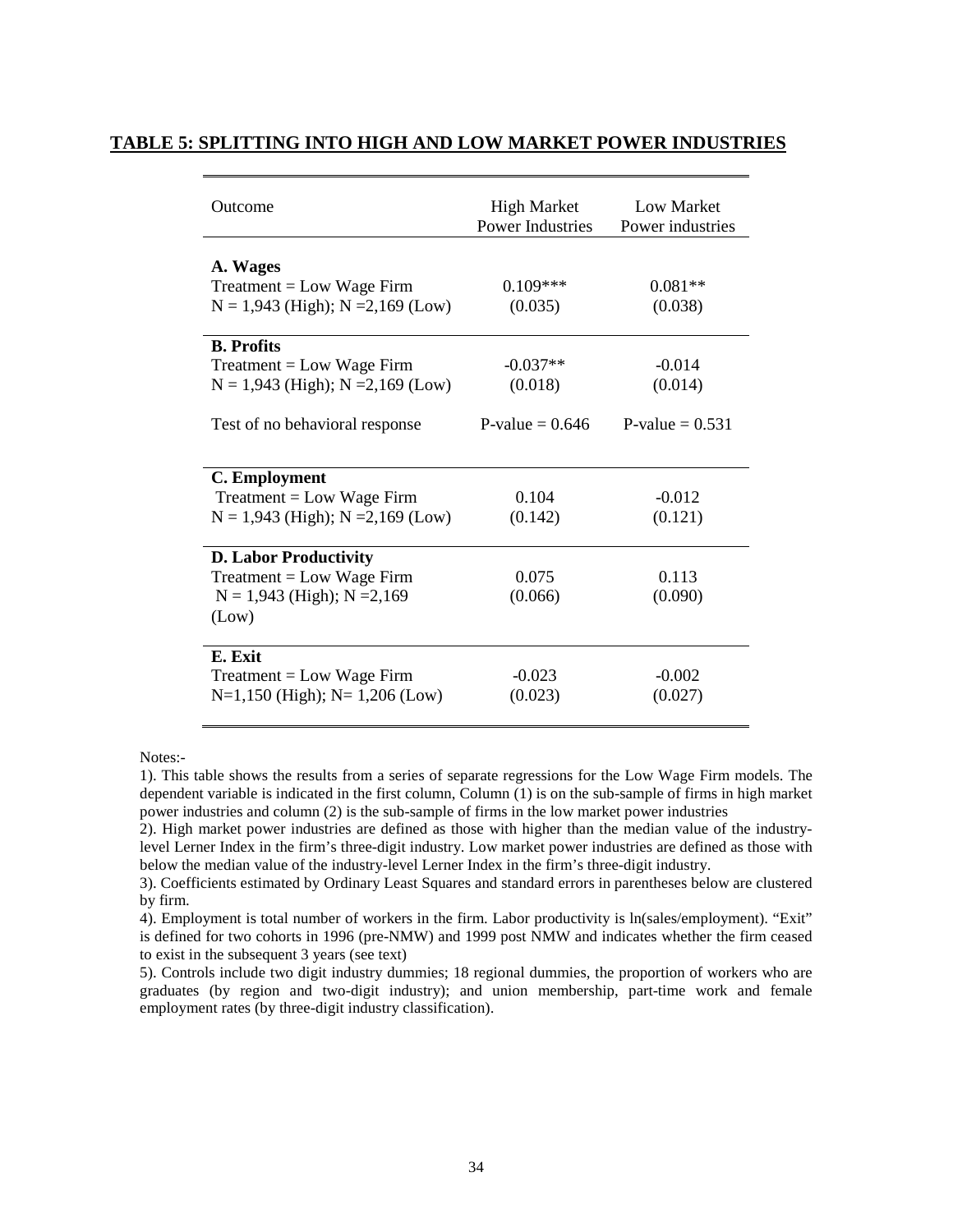#### **TABLE 5: SPLITTING INTO HIGH AND LOW MARKET POWER INDUSTRIES**

| Outcome                                                                                                                     | <b>High Market</b><br><b>Power Industries</b> | Low Market<br>Power industries           |
|-----------------------------------------------------------------------------------------------------------------------------|-----------------------------------------------|------------------------------------------|
| A. Wages<br>$Treatment = Low wage Firm$<br>$N = 1,943$ (High); $N = 2,169$ (Low)                                            | $0.109***$<br>(0.035)                         | $0.081**$<br>(0.038)                     |
| <b>B.</b> Profits<br>$Treatment = Low wage Firm$<br>$N = 1,943$ (High); $N = 2,169$ (Low)<br>Test of no behavioral response | $-0.037**$<br>(0.018)<br>P-value $= 0.646$    | $-0.014$<br>(0.014)<br>P-value $= 0.531$ |
| C. Employment                                                                                                               |                                               |                                          |
| $Treatment = Low wage Firm$<br>$N = 1,943$ (High); $N = 2,169$ (Low)                                                        | 0.104<br>(0.142)                              | $-0.012$<br>(0.121)                      |
| <b>D. Labor Productivity</b><br>$Treatment = Low wage Firm$<br>$N = 1,943$ (High); $N = 2,169$<br>(Low)                     | 0.075<br>(0.066)                              | 0.113<br>(0.090)                         |
| E. Exit<br>$Treatment = Low wage Firm$<br>$N=1,150$ (High); $N=1,206$ (Low)                                                 | $-0.023$<br>(0.023)                           | $-0.002$<br>(0.027)                      |

Notes:-

1). This table shows the results from a series of separate regressions for the Low Wage Firm models. The dependent variable is indicated in the first column, Column (1) is on the sub-sample of firms in high market power industries and column (2) is the sub-sample of firms in the low market power industries

2). High market power industries are defined as those with higher than the median value of the industrylevel Lerner Index in the firm's three-digit industry. Low market power industries are defined as those with below the median value of the industry-level Lerner Index in the firm's three-digit industry.

3). Coefficients estimated by Ordinary Least Squares and standard errors in parentheses below are clustered by firm.

4). Employment is total number of workers in the firm. Labor productivity is ln(sales/employment). "Exit" is defined for two cohorts in 1996 (pre-NMW) and 1999 post NMW and indicates whether the firm ceased to exist in the subsequent 3 years (see text)

5). Controls include two digit industry dummies; 18 regional dummies, the proportion of workers who are graduates (by region and two-digit industry); and union membership, part-time work and female employment rates (by three-digit industry classification).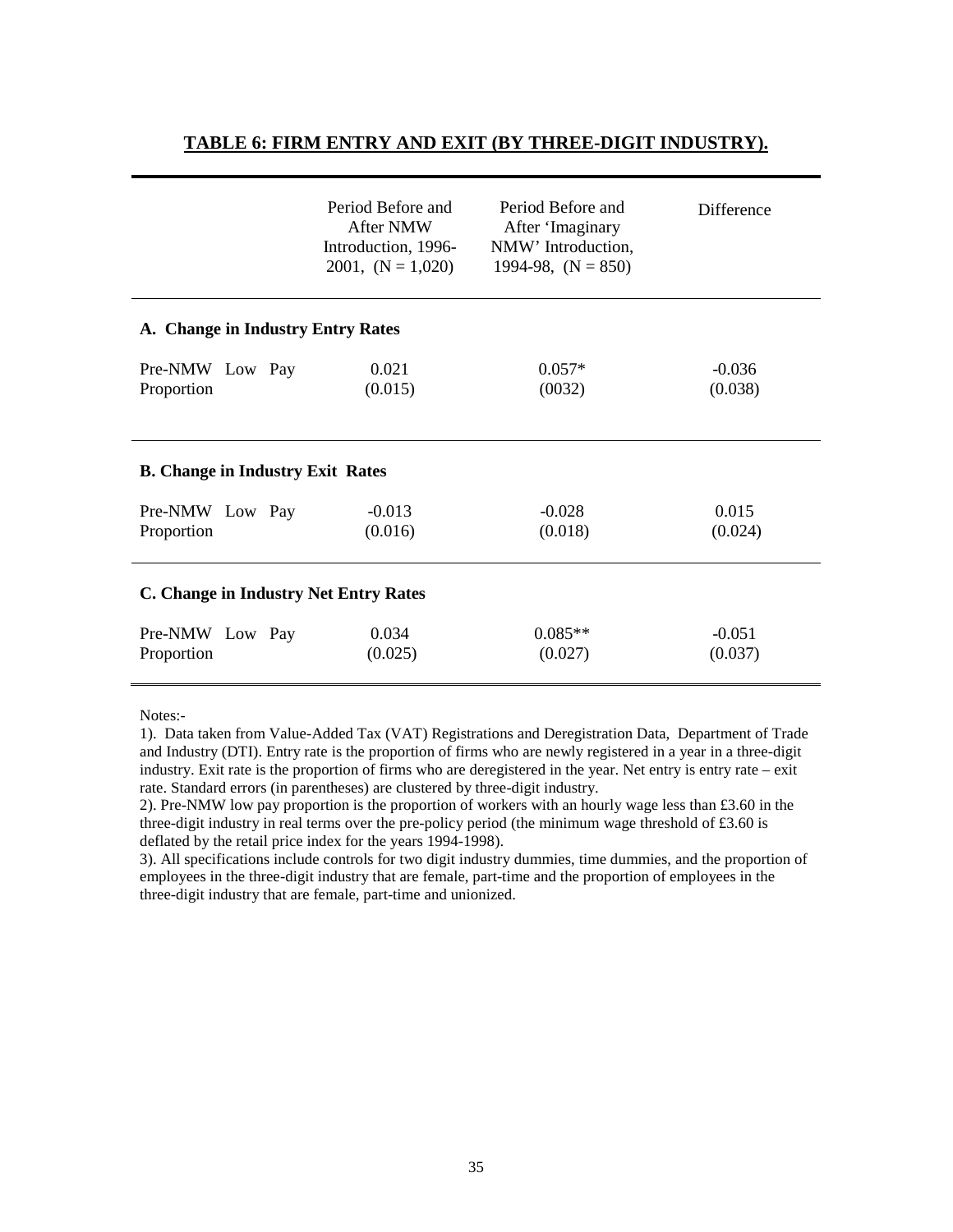# **TABLE 6: FIRM ENTRY AND EXIT (BY THREE-DIGIT INDUSTRY).**

|                                         | Period Before and<br><b>After NMW</b><br>Introduction, 1996-<br>2001, $(N = 1,020)$ | Period Before and<br>After 'Imaginary<br>NMW' Introduction,<br>1994-98, $(N = 850)$ | Difference          |  |
|-----------------------------------------|-------------------------------------------------------------------------------------|-------------------------------------------------------------------------------------|---------------------|--|
| A. Change in Industry Entry Rates       |                                                                                     |                                                                                     |                     |  |
| Pre-NMW Low Pay<br>Proportion           | 0.021<br>(0.015)                                                                    | $0.057*$<br>(0032)                                                                  | $-0.036$<br>(0.038) |  |
| <b>B.</b> Change in Industry Exit Rates |                                                                                     |                                                                                     |                     |  |
| Pre-NMW Low Pay<br>Proportion           | $-0.013$<br>(0.016)                                                                 | $-0.028$<br>(0.018)                                                                 | 0.015<br>(0.024)    |  |
| C. Change in Industry Net Entry Rates   |                                                                                     |                                                                                     |                     |  |
| Pre-NMW Low Pay<br>Proportion           | 0.034<br>(0.025)                                                                    | $0.085**$<br>(0.027)                                                                | $-0.051$<br>(0.037) |  |

Notes:-

1). Data taken from Value-Added Tax (VAT) Registrations and Deregistration Data, Department of Trade and Industry (DTI). Entry rate is the proportion of firms who are newly registered in a year in a three-digit industry. Exit rate is the proportion of firms who are deregistered in the year. Net entry is entry rate – exit rate. Standard errors (in parentheses) are clustered by three-digit industry.

2). Pre-NMW low pay proportion is the proportion of workers with an hourly wage less than £3.60 in the three-digit industry in real terms over the pre-policy period (the minimum wage threshold of £3.60 is deflated by the retail price index for the years 1994-1998).

3). All specifications include controls for two digit industry dummies, time dummies, and the proportion of employees in the three-digit industry that are female, part-time and the proportion of employees in the three-digit industry that are female, part-time and unionized.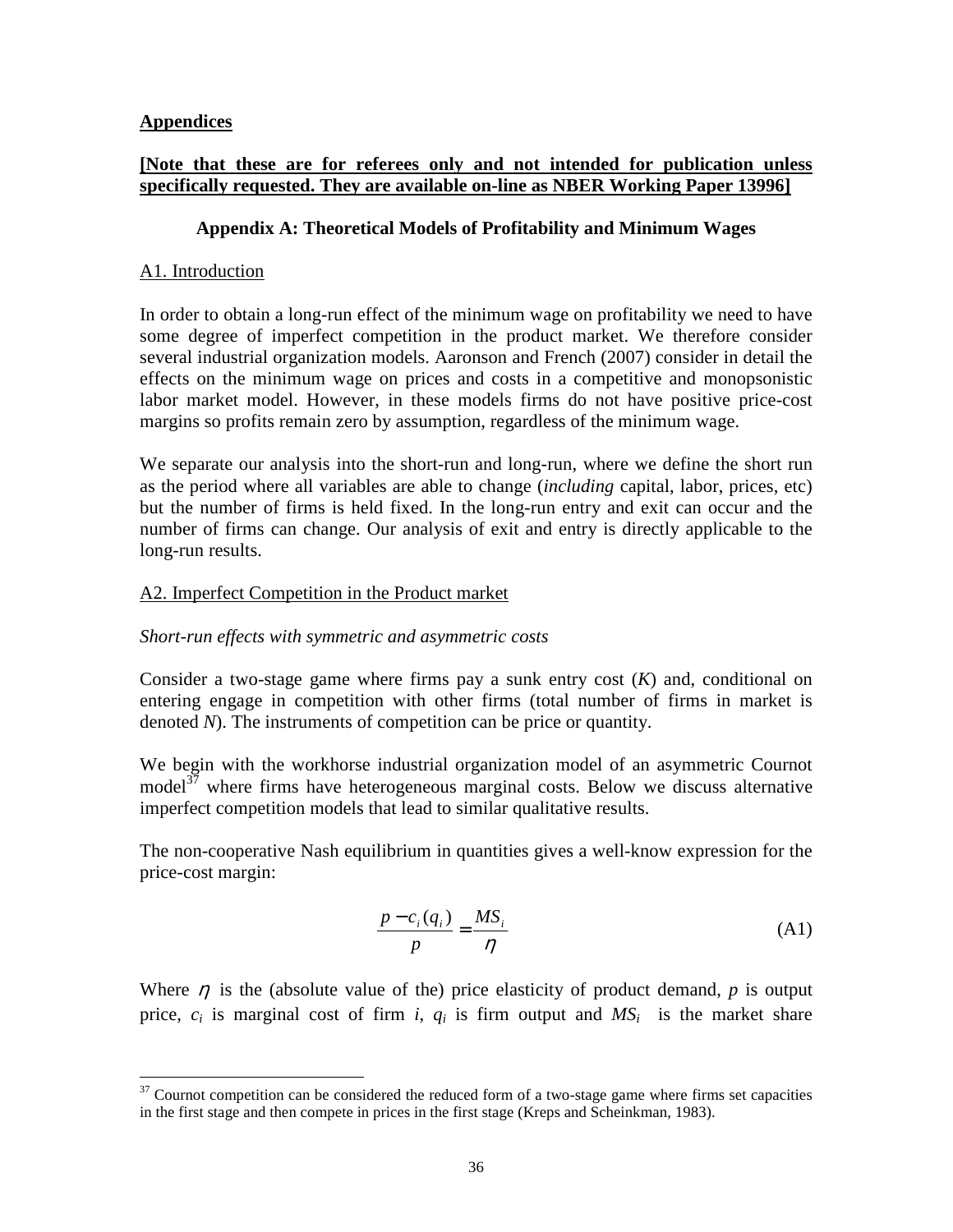# **Appendices**

# **[Note that these are for referees only and not intended for publication unless specifically requested. They are available on-line as NBER Working Paper 13996]**

# **Appendix A: Theoretical Models of Profitability and Minimum Wages**

# A1. Introduction

In order to obtain a long-run effect of the minimum wage on profitability we need to have some degree of imperfect competition in the product market. We therefore consider several industrial organization models. Aaronson and French (2007) consider in detail the effects on the minimum wage on prices and costs in a competitive and monopsonistic labor market model. However, in these models firms do not have positive price-cost margins so profits remain zero by assumption, regardless of the minimum wage.

We separate our analysis into the short-run and long-run, where we define the short run as the period where all variables are able to change (*including* capital, labor, prices, etc) but the number of firms is held fixed. In the long-run entry and exit can occur and the number of firms can change. Our analysis of exit and entry is directly applicable to the long-run results.

# A2. Imperfect Competition in the Product market

## *Short-run effects with symmetric and asymmetric costs*

Consider a two-stage game where firms pay a sunk entry cost (*K*) and, conditional on entering engage in competition with other firms (total number of firms in market is denoted *N*). The instruments of competition can be price or quantity.

We begin with the workhorse industrial organization model of an asymmetric Cournot model $3^7$  where firms have heterogeneous marginal costs. Below we discuss alternative imperfect competition models that lead to similar qualitative results.

The non-cooperative Nash equilibrium in quantities gives a well-know expression for the price-cost margin:

$$
\frac{p - c_i(q_i)}{p} = \frac{MS_i}{\eta}
$$
 (A1)

Where  $\eta$  is the (absolute value of the) price elasticity of product demand,  $p$  is output price,  $c_i$  is marginal cost of firm *i*,  $q_i$  is firm output and  $MS_i$  is the market share

 $\overline{a}$  $37$  Cournot competition can be considered the reduced form of a two-stage game where firms set capacities in the first stage and then compete in prices in the first stage (Kreps and Scheinkman, 1983).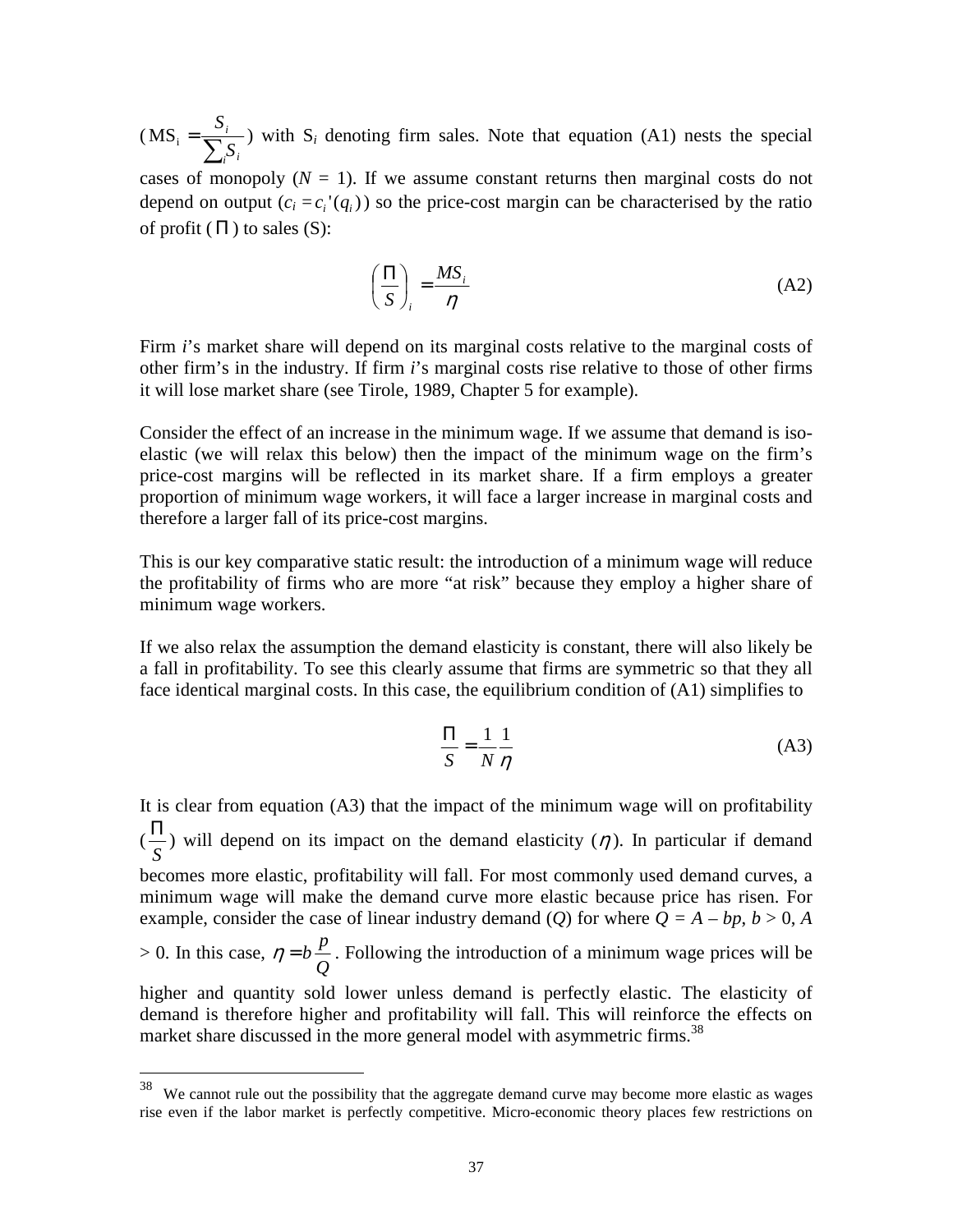$(MS_i = \frac{S_i}{\sum_{i=1}^{n} S_i}$ *i i i S S*  $MS_i = \frac{S_i}{\sum_{i} S_i}$  with S<sub>i</sub> denoting firm sales. Note that equation (A1) nests the special

cases of monopoly  $(N = 1)$ . If we assume constant returns then marginal costs do not depend on output  $(c_i = c_i' (q_i))$  so the price-cost margin can be characterised by the ratio of profit  $(\Pi)$  to sales  $(S)$ :

$$
\left(\frac{\Pi}{S}\right)_i = \frac{MS_i}{\eta} \tag{A2}
$$

Firm *i*'s market share will depend on its marginal costs relative to the marginal costs of other firm's in the industry. If firm *i*'s marginal costs rise relative to those of other firms it will lose market share (see Tirole, 1989, Chapter 5 for example).

Consider the effect of an increase in the minimum wage. If we assume that demand is isoelastic (we will relax this below) then the impact of the minimum wage on the firm's price-cost margins will be reflected in its market share. If a firm employs a greater proportion of minimum wage workers, it will face a larger increase in marginal costs and therefore a larger fall of its price-cost margins.

This is our key comparative static result: the introduction of a minimum wage will reduce the profitability of firms who are more "at risk" because they employ a higher share of minimum wage workers.

If we also relax the assumption the demand elasticity is constant, there will also likely be a fall in profitability. To see this clearly assume that firms are symmetric so that they all face identical marginal costs. In this case, the equilibrium condition of (A1) simplifies to

$$
\frac{\Pi}{S} = \frac{1}{N} \frac{1}{\eta}
$$
 (A3)

It is clear from equation (A3) that the impact of the minimum wage will on profitability ( *S*  $\frac{\Pi}{\sigma}$ ) will depend on its impact on the demand elasticity ( $\eta$ ). In particular if demand becomes more elastic, profitability will fall. For most commonly used demand curves, a minimum wage will make the demand curve more elastic because price has risen. For example, consider the case of linear industry demand (*Q*) for where  $Q = A - bp$ ,  $b > 0$ , *A* > 0. In this case, *Q*  $\eta = b \frac{p}{q}$ . Following the introduction of a minimum wage prices will be higher and quantity sold lower unless demand is perfectly elastic. The elasticity of demand is therefore higher and profitability will fall. This will reinforce the effects on market share discussed in the more general model with asymmetric firms.<sup>38</sup>

<sup>&</sup>lt;sup>38</sup> We cannot rule out the possibility that the aggregate demand curve may become more elastic as wages rise even if the labor market is perfectly competitive. Micro-economic theory places few restrictions on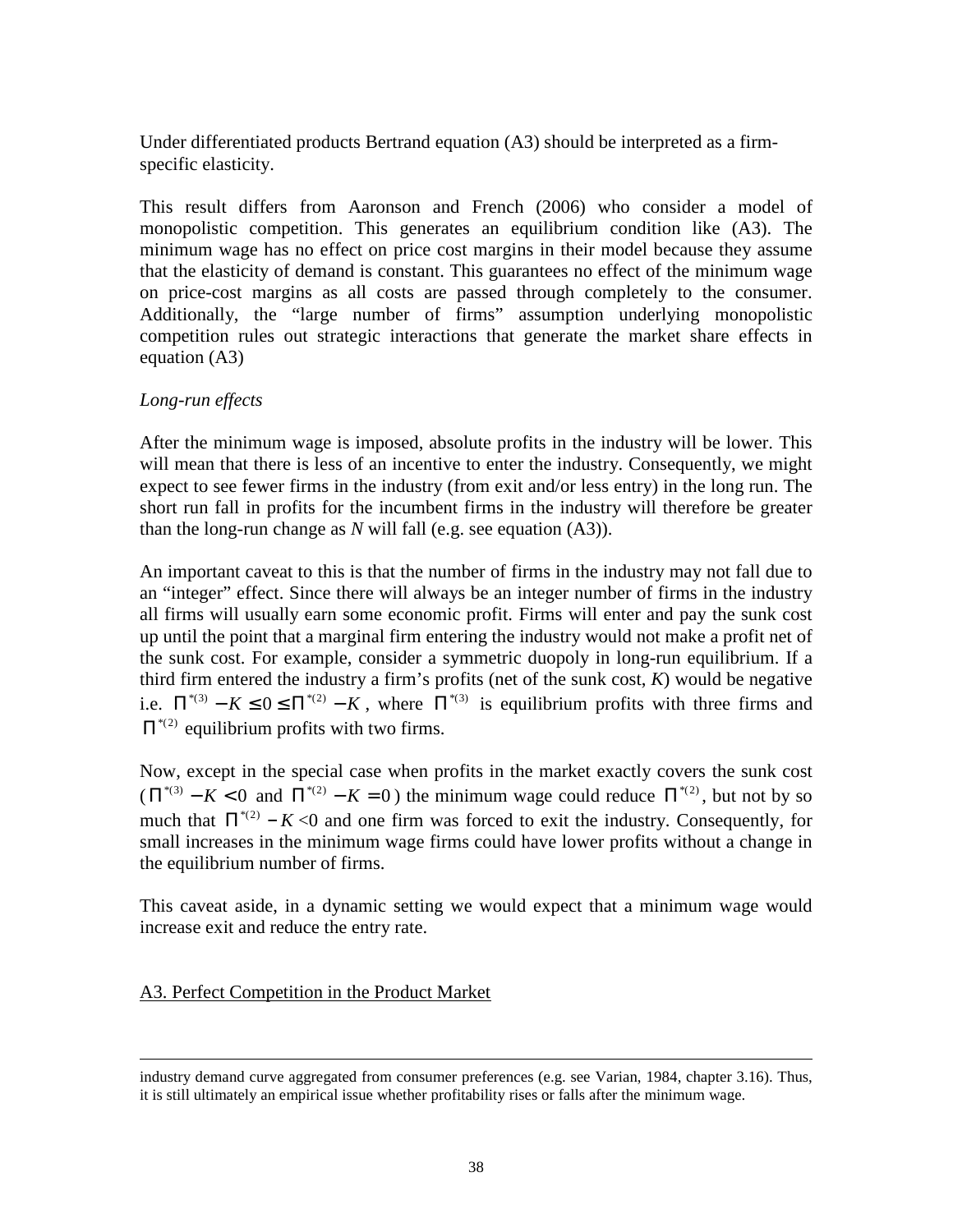Under differentiated products Bertrand equation (A3) should be interpreted as a firmspecific elasticity.

This result differs from Aaronson and French (2006) who consider a model of monopolistic competition. This generates an equilibrium condition like (A3). The minimum wage has no effect on price cost margins in their model because they assume that the elasticity of demand is constant. This guarantees no effect of the minimum wage on price-cost margins as all costs are passed through completely to the consumer. Additionally, the "large number of firms" assumption underlying monopolistic competition rules out strategic interactions that generate the market share effects in equation (A3)

# *Long-run effects*

After the minimum wage is imposed, absolute profits in the industry will be lower. This will mean that there is less of an incentive to enter the industry. Consequently, we might expect to see fewer firms in the industry (from exit and/or less entry) in the long run. The short run fall in profits for the incumbent firms in the industry will therefore be greater than the long-run change as *N* will fall (e.g. see equation (A3)).

An important caveat to this is that the number of firms in the industry may not fall due to an "integer" effect. Since there will always be an integer number of firms in the industry all firms will usually earn some economic profit. Firms will enter and pay the sunk cost up until the point that a marginal firm entering the industry would not make a profit net of the sunk cost. For example, consider a symmetric duopoly in long-run equilibrium. If a third firm entered the industry a firm's profits (net of the sunk cost, *K*) would be negative i.e.  $\Pi^{*(3)} - K \leq 0 \leq \Pi^{*(2)} - K$ , where  $\Pi^{*(3)}$  is equilibrium profits with three firms and  $\Pi^{*(2)}$  equilibrium profits with two firms.

Now, except in the special case when profits in the market exactly covers the sunk cost  $(\Pi^{*(3)} - K < 0$  and  $\Pi^{*(2)} - K = 0$ ) the minimum wage could reduce  $\Pi^{*(2)}$ , but not by so much that  $\Pi^{*(2)} - K \le 0$  and one firm was forced to exit the industry. Consequently, for small increases in the minimum wage firms could have lower profits without a change in the equilibrium number of firms.

This caveat aside, in a dynamic setting we would expect that a minimum wage would increase exit and reduce the entry rate.

## A3. Perfect Competition in the Product Market

<u>.</u>

industry demand curve aggregated from consumer preferences (e.g. see Varian, 1984, chapter 3.16). Thus, it is still ultimately an empirical issue whether profitability rises or falls after the minimum wage.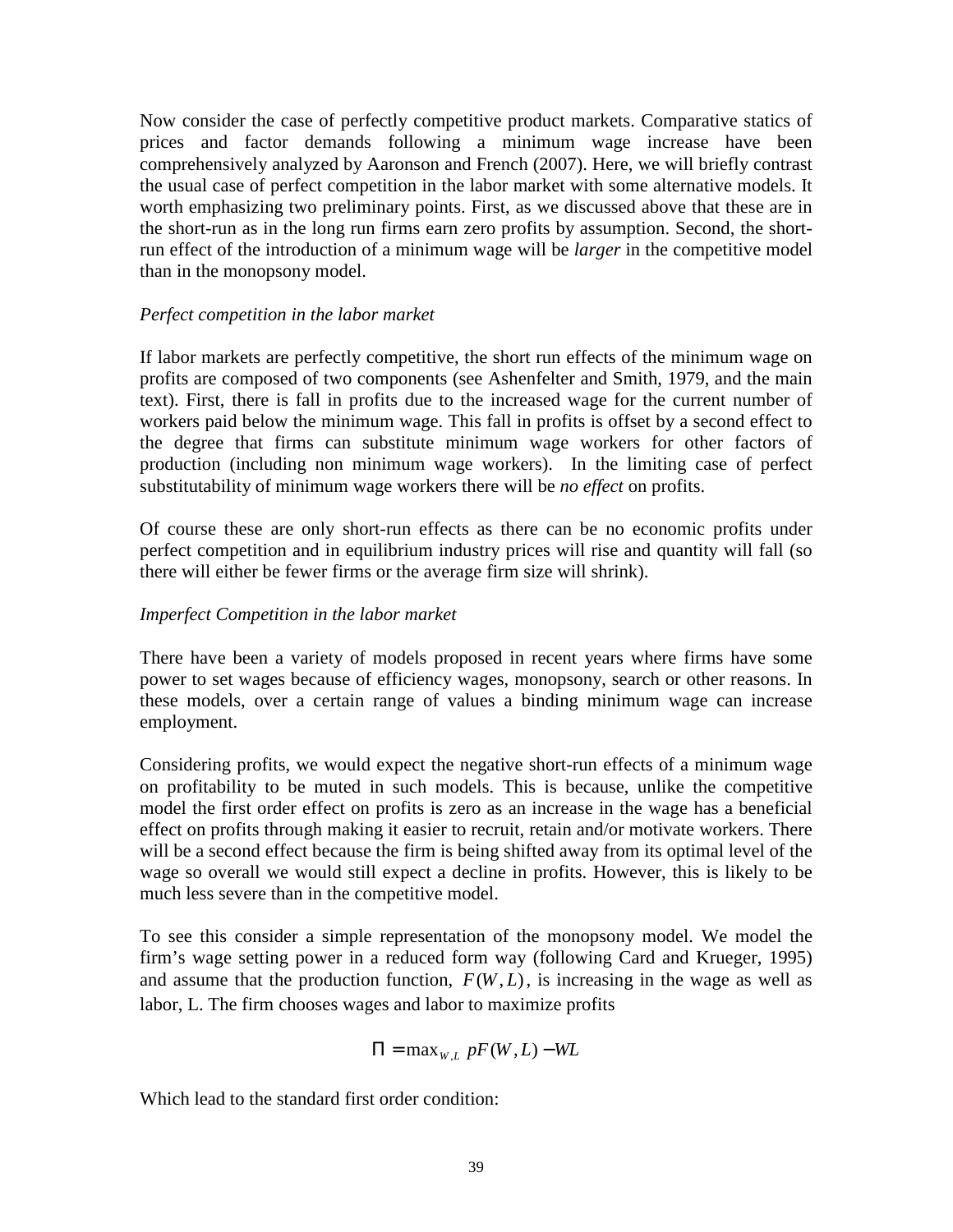Now consider the case of perfectly competitive product markets. Comparative statics of prices and factor demands following a minimum wage increase have been comprehensively analyzed by Aaronson and French (2007). Here, we will briefly contrast the usual case of perfect competition in the labor market with some alternative models. It worth emphasizing two preliminary points. First, as we discussed above that these are in the short-run as in the long run firms earn zero profits by assumption. Second, the shortrun effect of the introduction of a minimum wage will be *larger* in the competitive model than in the monopsony model.

## *Perfect competition in the labor market*

If labor markets are perfectly competitive, the short run effects of the minimum wage on profits are composed of two components (see Ashenfelter and Smith, 1979, and the main text). First, there is fall in profits due to the increased wage for the current number of workers paid below the minimum wage. This fall in profits is offset by a second effect to the degree that firms can substitute minimum wage workers for other factors of production (including non minimum wage workers). In the limiting case of perfect substitutability of minimum wage workers there will be *no effect* on profits.

Of course these are only short-run effects as there can be no economic profits under perfect competition and in equilibrium industry prices will rise and quantity will fall (so there will either be fewer firms or the average firm size will shrink).

# *Imperfect Competition in the labor market*

There have been a variety of models proposed in recent years where firms have some power to set wages because of efficiency wages, monopsony, search or other reasons. In these models, over a certain range of values a binding minimum wage can increase employment.

Considering profits, we would expect the negative short-run effects of a minimum wage on profitability to be muted in such models. This is because, unlike the competitive model the first order effect on profits is zero as an increase in the wage has a beneficial effect on profits through making it easier to recruit, retain and/or motivate workers. There will be a second effect because the firm is being shifted away from its optimal level of the wage so overall we would still expect a decline in profits. However, this is likely to be much less severe than in the competitive model.

To see this consider a simple representation of the monopsony model. We model the firm's wage setting power in a reduced form way (following Card and Krueger, 1995) and assume that the production function,  $F(W, L)$ , is increasing in the wage as well as labor, L. The firm chooses wages and labor to maximize profits

$$
\Pi = \max_{W, L} pF(W, L) - WL
$$

Which lead to the standard first order condition: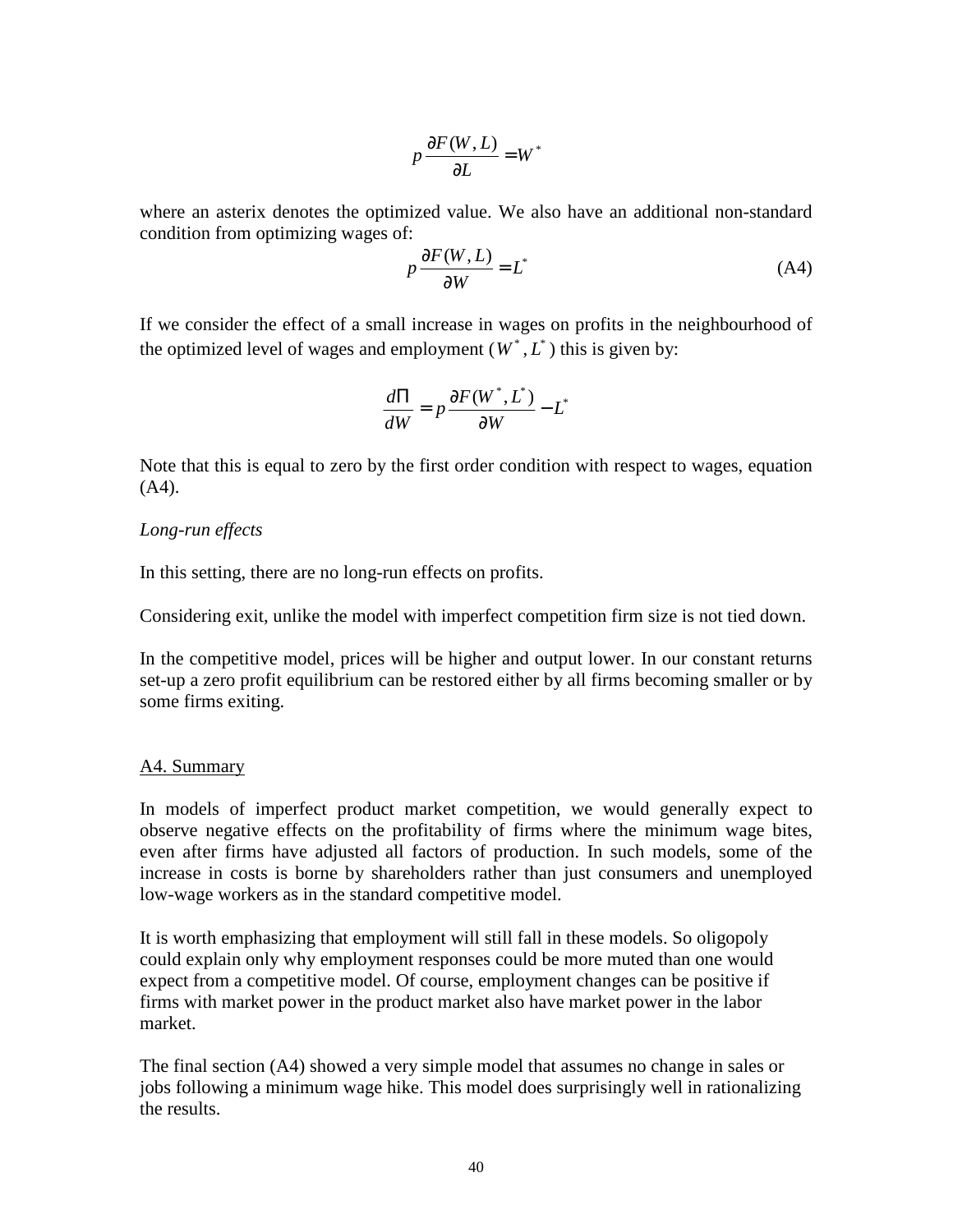$$
p\frac{\partial F(W,L)}{\partial L} = W^*
$$

where an asterix denotes the optimized value. We also have an additional non-standard condition from optimizing wages of:

$$
p\frac{\partial F(W,L)}{\partial W} = L^* \tag{A4}
$$

If we consider the effect of a small increase in wages on profits in the neighbourhood of the optimized level of wages and employment  $(W^*, L^*)$  this is given by:

$$
\frac{d\Pi}{dW} = p\frac{\partial F(W^*, L^*)}{\partial W} - L^*
$$

Note that this is equal to zero by the first order condition with respect to wages, equation (A4).

## *Long-run effects*

In this setting, there are no long-run effects on profits.

Considering exit, unlike the model with imperfect competition firm size is not tied down.

In the competitive model, prices will be higher and output lower. In our constant returns set-up a zero profit equilibrium can be restored either by all firms becoming smaller or by some firms exiting.

#### A4. Summary

In models of imperfect product market competition, we would generally expect to observe negative effects on the profitability of firms where the minimum wage bites, even after firms have adjusted all factors of production. In such models, some of the increase in costs is borne by shareholders rather than just consumers and unemployed low-wage workers as in the standard competitive model.

It is worth emphasizing that employment will still fall in these models. So oligopoly could explain only why employment responses could be more muted than one would expect from a competitive model. Of course, employment changes can be positive if firms with market power in the product market also have market power in the labor market.

The final section (A4) showed a very simple model that assumes no change in sales or jobs following a minimum wage hike. This model does surprisingly well in rationalizing the results.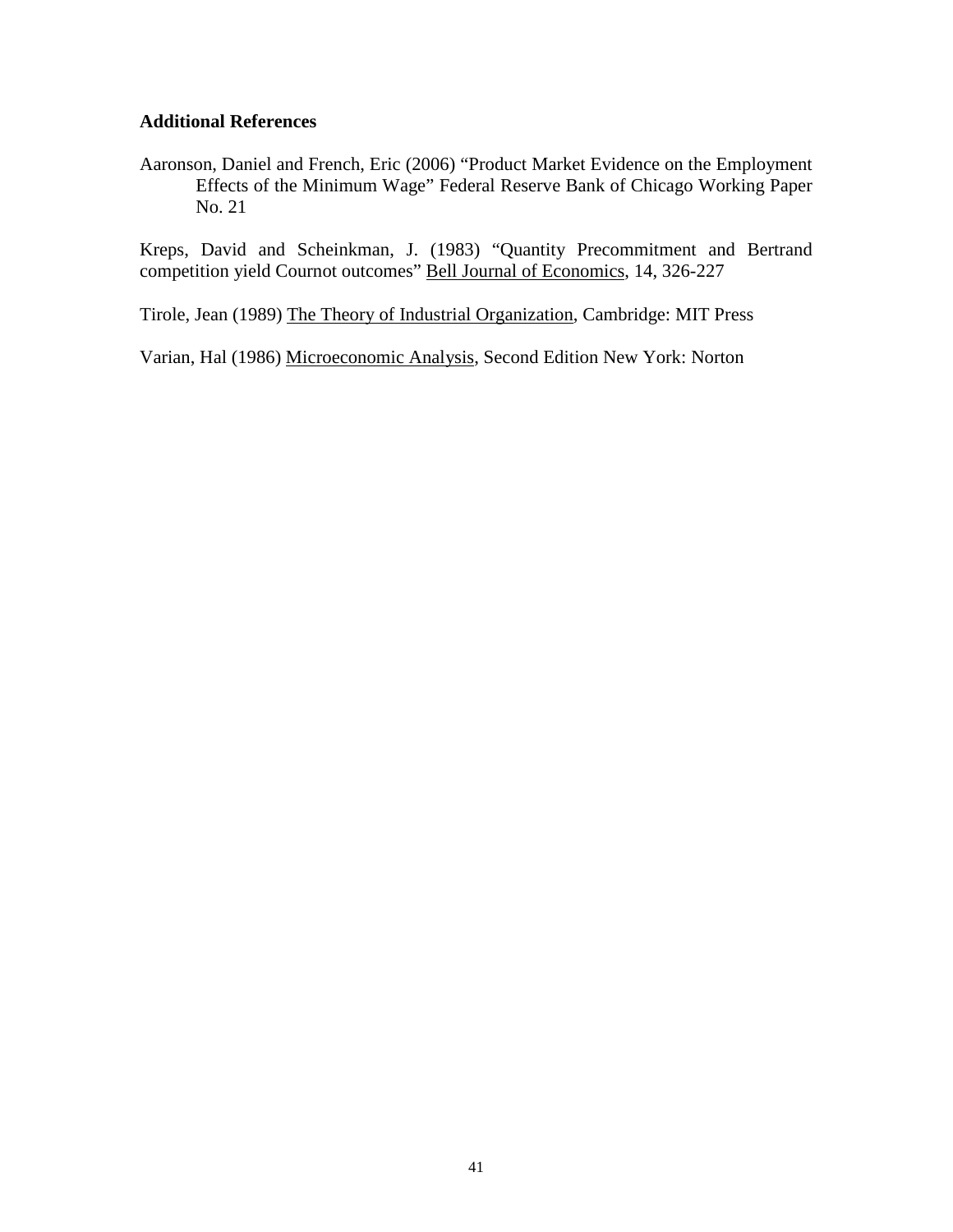#### **Additional References**

Aaronson, Daniel and French, Eric (2006) "Product Market Evidence on the Employment Effects of the Minimum Wage" Federal Reserve Bank of Chicago Working Paper No. 21

Kreps, David and Scheinkman, J. (1983) "Quantity Precommitment and Bertrand competition yield Cournot outcomes" Bell Journal of Economics, 14, 326-227

Tirole, Jean (1989) The Theory of Industrial Organization, Cambridge: MIT Press

Varian, Hal (1986) Microeconomic Analysis, Second Edition New York: Norton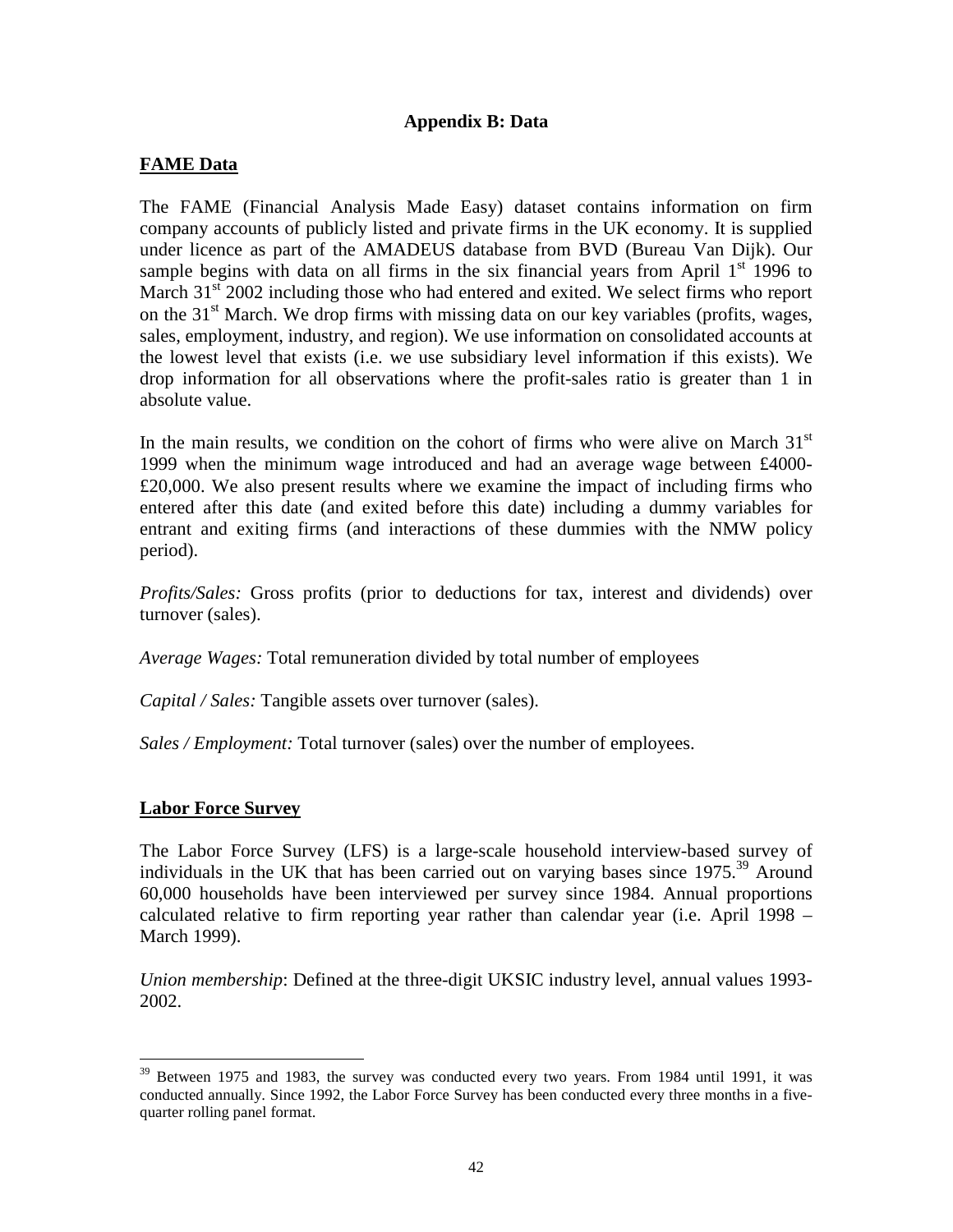# **Appendix B: Data**

# **FAME Data**

The FAME (Financial Analysis Made Easy) dataset contains information on firm company accounts of publicly listed and private firms in the UK economy. It is supplied under licence as part of the AMADEUS database from BVD (Bureau Van Dijk). Our sample begins with data on all firms in the six financial years from April  $1<sup>st</sup>$  1996 to March  $31<sup>st</sup>$  2002 including those who had entered and exited. We select firms who report on the  $31<sup>st</sup>$  March. We drop firms with missing data on our key variables (profits, wages, sales, employment, industry, and region). We use information on consolidated accounts at the lowest level that exists (i.e. we use subsidiary level information if this exists). We drop information for all observations where the profit-sales ratio is greater than 1 in absolute value.

In the main results, we condition on the cohort of firms who were alive on March  $31<sup>st</sup>$ 1999 when the minimum wage introduced and had an average wage between £4000- £20,000. We also present results where we examine the impact of including firms who entered after this date (and exited before this date) including a dummy variables for entrant and exiting firms (and interactions of these dummies with the NMW policy period).

*Profits/Sales:* Gross profits (prior to deductions for tax, interest and dividends) over turnover (sales).

*Average Wages:* Total remuneration divided by total number of employees

*Capital / Sales:* Tangible assets over turnover (sales).

*Sales / Employment:* Total turnover (sales) over the number of employees.

## **Labor Force Survey**

 $\overline{a}$ 

The Labor Force Survey (LFS) is a large-scale household interview-based survey of individuals in the UK that has been carried out on varying bases since  $1975$ <sup>39</sup> Around 60,000 households have been interviewed per survey since 1984. Annual proportions calculated relative to firm reporting year rather than calendar year (i.e. April 1998 – March 1999).

*Union membership*: Defined at the three-digit UKSIC industry level, annual values 1993- 2002.

 $39$  Between 1975 and 1983, the survey was conducted every two years. From 1984 until 1991, it was conducted annually. Since 1992, the Labor Force Survey has been conducted every three months in a fivequarter rolling panel format.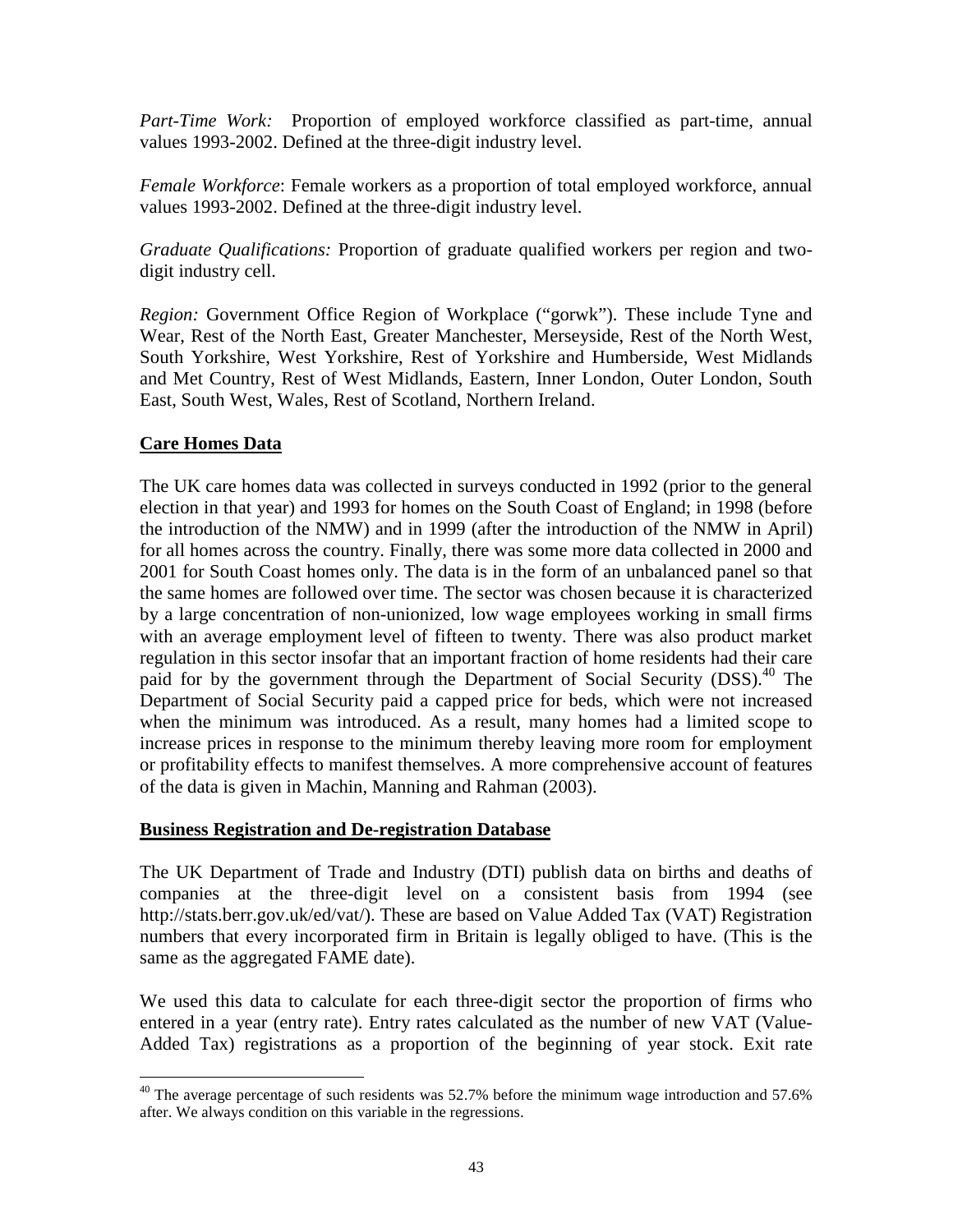*Part-Time Work:* Proportion of employed workforce classified as part-time, annual values 1993-2002. Defined at the three-digit industry level.

*Female Workforce*: Female workers as a proportion of total employed workforce, annual values 1993-2002. Defined at the three-digit industry level.

*Graduate Qualifications:* Proportion of graduate qualified workers per region and twodigit industry cell.

*Region:* Government Office Region of Workplace ("gorwk"). These include Tyne and Wear, Rest of the North East, Greater Manchester, Merseyside, Rest of the North West, South Yorkshire, West Yorkshire, Rest of Yorkshire and Humberside, West Midlands and Met Country, Rest of West Midlands, Eastern, Inner London, Outer London, South East, South West, Wales, Rest of Scotland, Northern Ireland.

# **Care Homes Data**

 $\overline{a}$ 

The UK care homes data was collected in surveys conducted in 1992 (prior to the general election in that year) and 1993 for homes on the South Coast of England; in 1998 (before the introduction of the NMW) and in 1999 (after the introduction of the NMW in April) for all homes across the country. Finally, there was some more data collected in 2000 and 2001 for South Coast homes only. The data is in the form of an unbalanced panel so that the same homes are followed over time. The sector was chosen because it is characterized by a large concentration of non-unionized, low wage employees working in small firms with an average employment level of fifteen to twenty. There was also product market regulation in this sector insofar that an important fraction of home residents had their care paid for by the government through the Department of Social Security (DSS).<sup>40</sup> The Department of Social Security paid a capped price for beds, which were not increased when the minimum was introduced. As a result, many homes had a limited scope to increase prices in response to the minimum thereby leaving more room for employment or profitability effects to manifest themselves. A more comprehensive account of features of the data is given in Machin, Manning and Rahman (2003).

# **Business Registration and De-registration Database**

The UK Department of Trade and Industry (DTI) publish data on births and deaths of companies at the three-digit level on a consistent basis from 1994 (see http://stats.berr.gov.uk/ed/vat/). These are based on Value Added Tax (VAT) Registration numbers that every incorporated firm in Britain is legally obliged to have. (This is the same as the aggregated FAME date).

We used this data to calculate for each three-digit sector the proportion of firms who entered in a year (entry rate). Entry rates calculated as the number of new VAT (Value-Added Tax) registrations as a proportion of the beginning of year stock. Exit rate

 $40$  The average percentage of such residents was 52.7% before the minimum wage introduction and 57.6% after. We always condition on this variable in the regressions.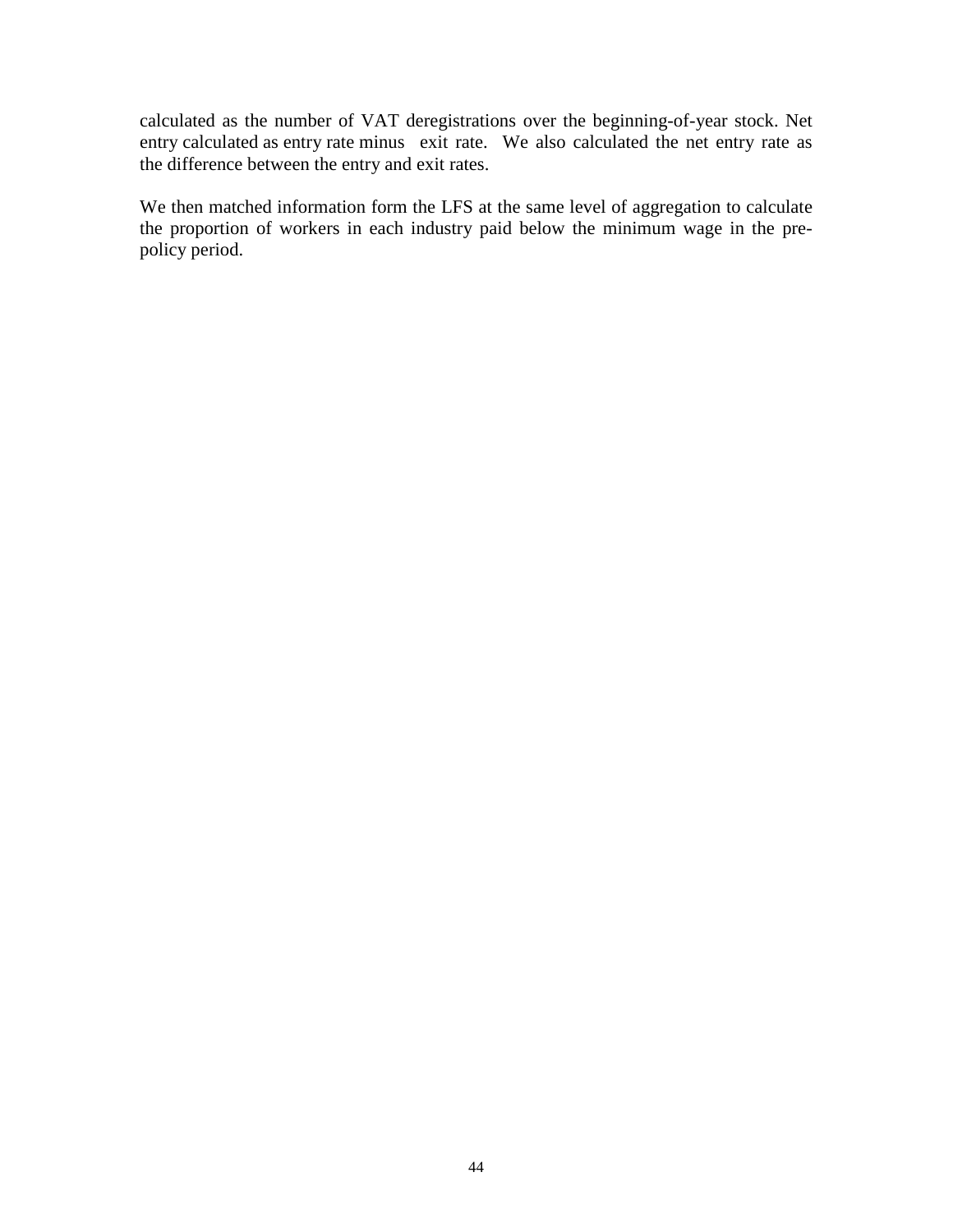calculated as the number of VAT deregistrations over the beginning-of-year stock. Net entry calculated as entry rate minus exit rate. We also calculated the net entry rate as the difference between the entry and exit rates.

We then matched information form the LFS at the same level of aggregation to calculate the proportion of workers in each industry paid below the minimum wage in the prepolicy period.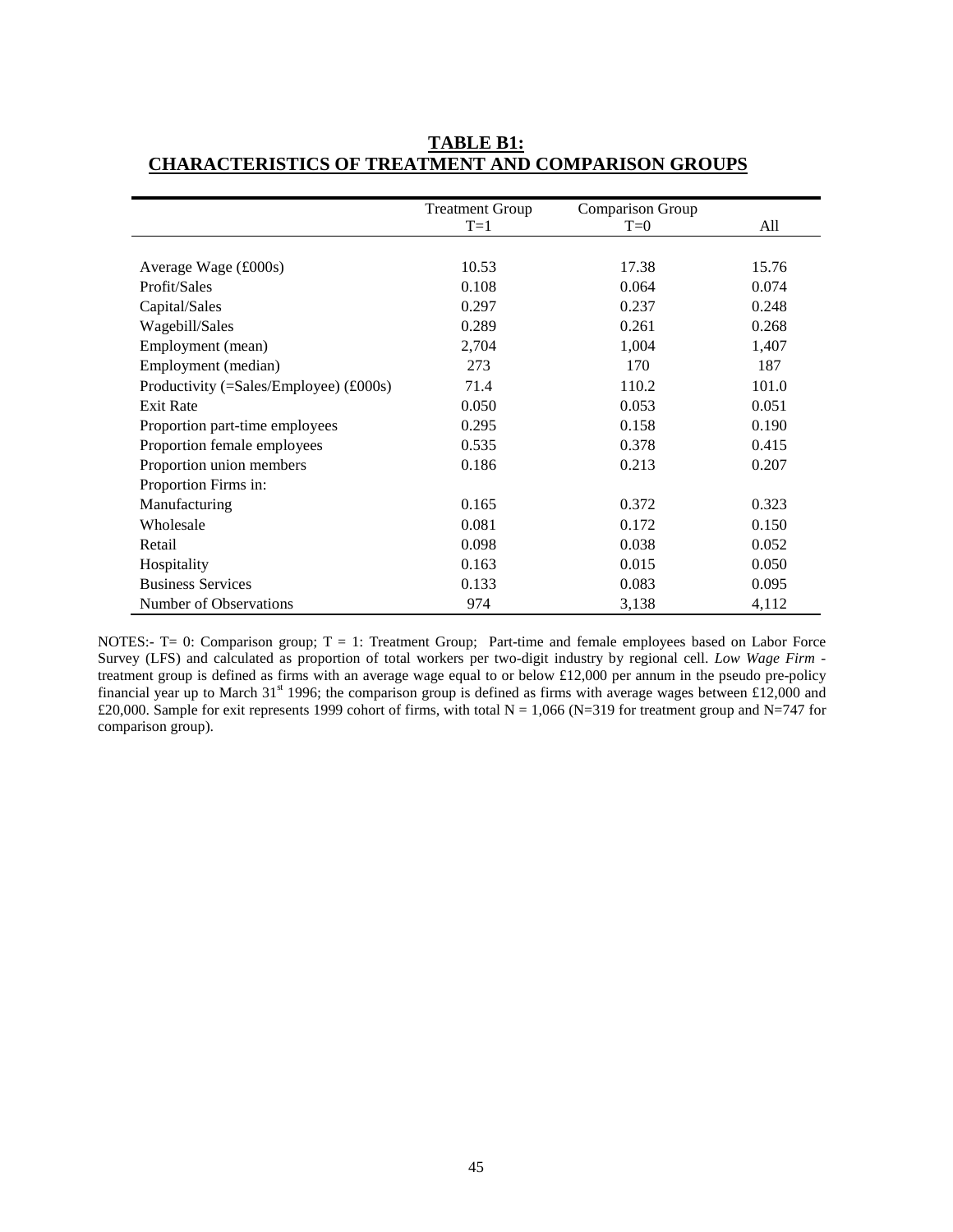|                                                       | <b>Treatment Group</b> | Comparison Group |       |
|-------------------------------------------------------|------------------------|------------------|-------|
|                                                       | $T=1$                  | $T=0$            | All   |
|                                                       |                        |                  |       |
| Average Wage $(\text{\pounds}000s)$                   | 10.53                  | 17.38            | 15.76 |
| Profit/Sales                                          | 0.108                  | 0.064            | 0.074 |
| Capital/Sales                                         | 0.297                  | 0.237            | 0.248 |
| Wagebill/Sales                                        | 0.289                  | 0.261            | 0.268 |
| Employment (mean)                                     | 2,704                  | 1,004            | 1,407 |
| Employment (median)                                   | 273                    | 170              | 187   |
| Productivity (=Sales/Employee) $(\text{\pounds}000s)$ | 71.4                   | 110.2            | 101.0 |
| <b>Exit Rate</b>                                      | 0.050                  | 0.053            | 0.051 |
| Proportion part-time employees                        | 0.295                  | 0.158            | 0.190 |
| Proportion female employees                           | 0.535                  | 0.378            | 0.415 |
| Proportion union members                              | 0.186                  | 0.213            | 0.207 |
| Proportion Firms in:                                  |                        |                  |       |
| Manufacturing                                         | 0.165                  | 0.372            | 0.323 |
| Wholesale                                             | 0.081                  | 0.172            | 0.150 |
| Retail                                                | 0.098                  | 0.038            | 0.052 |
| Hospitality                                           | 0.163                  | 0.015            | 0.050 |
| <b>Business Services</b>                              | 0.133                  | 0.083            | 0.095 |
| Number of Observations                                | 974                    | 3,138            | 4,112 |

# **TABLE B1: CHARACTERISTICS OF TREATMENT AND COMPARISON GROUPS**

NOTES:- T= 0: Comparison group; T = 1: Treatment Group; Part-time and female employees based on Labor Force Survey (LFS) and calculated as proportion of total workers per two-digit industry by regional cell. *Low Wage Firm* treatment group is defined as firms with an average wage equal to or below £12,000 per annum in the pseudo pre-policy financial year up to March 31<sup>st</sup> 1996; the comparison group is defined as firms with average wages between £12,000 and £20,000. Sample for exit represents 1999 cohort of firms, with total  $N = 1,066$  (N=319 for treatment group and N=747 for comparison group).